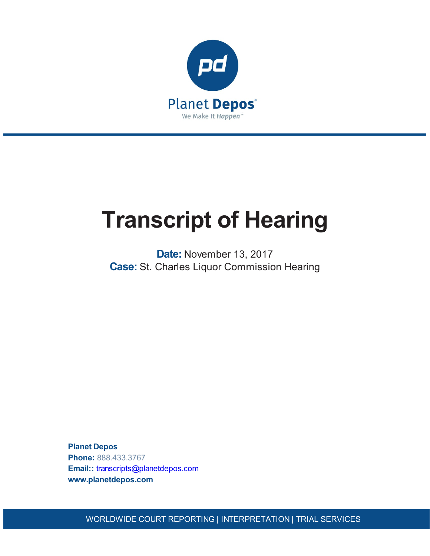

# **Transcript of Hearing**

**Date:** November 13, 2017 **Case:** St. Charles Liquor Commission Hearing

**Planet Depos Phone:** 888.433.3767 **Email::** [transcripts@planetdepos.com](mailto:transcripts@planetdepos.com) **www.planetdepos.com**

WORLDWIDE COURT REPORTING | INTERPRETATION | TRIAL SERVICES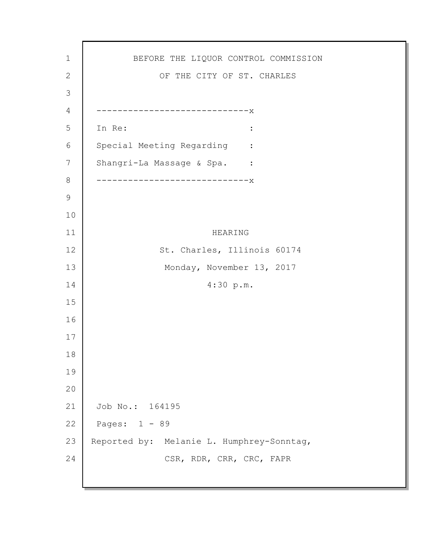BEFORE THE LIQUOR CONTROL COMMISSION OF THE CITY OF ST. CHARLES -----------------------------x In Re:  $\qquad \qquad :$ Special Meeting Regarding : Shangri-La Massage & Spa. : -----------------------------x HEARING St. Charles, Illinois 60174 Monday, November 13, 2017 4:30 p.m. Job No.: 164195 Pages: 1 - 89 Reported by: Melanie L. Humphrey-Sonntag, CSR, RDR, CRR, CRC, FAPR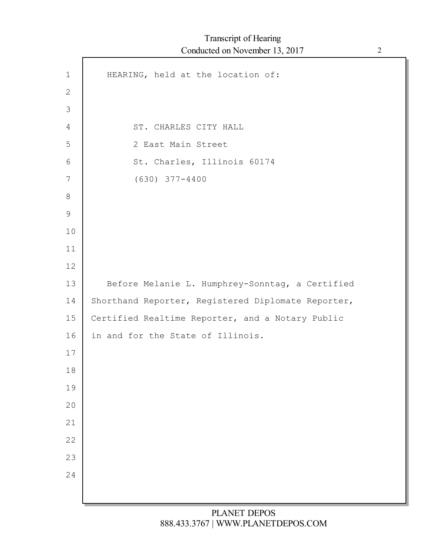| $\mathbf 1$    | HEARING, held at the location of:                  |
|----------------|----------------------------------------------------|
| $\mathbf{2}$   |                                                    |
| $\mathfrak{Z}$ |                                                    |
| 4              | ST. CHARLES CITY HALL                              |
| 5              | 2 East Main Street                                 |
| 6              | St. Charles, Illinois 60174                        |
| 7              | $(630)$ 377-4400                                   |
| $8\,$          |                                                    |
| $\mathsf 9$    |                                                    |
| 10             |                                                    |
| 11             |                                                    |
| 12             |                                                    |
| 13             | Before Melanie L. Humphrey-Sonntag, a Certified    |
| 14             | Shorthand Reporter, Registered Diplomate Reporter, |
| 15             | Certified Realtime Reporter, and a Notary Public   |
| 16             | in and for the State of Illinois.                  |
| 17             |                                                    |
| 18             |                                                    |
| 19             |                                                    |
| 20             |                                                    |
| 21             |                                                    |
| 22             |                                                    |
| 23             |                                                    |
| 24             |                                                    |
|                |                                                    |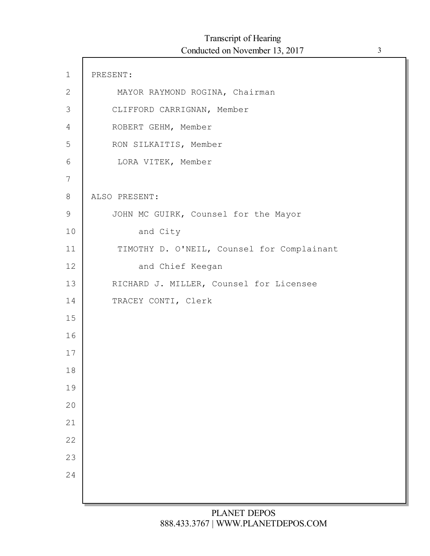| $\mathbf 1$    | PRESENT:                                   |
|----------------|--------------------------------------------|
| $\mathbf{2}$   | MAYOR RAYMOND ROGINA, Chairman             |
| 3              | CLIFFORD CARRIGNAN, Member                 |
| $\overline{4}$ | ROBERT GEHM, Member                        |
| 5              | RON SILKAITIS, Member                      |
| 6              | LORA VITEK, Member                         |
| 7              |                                            |
| 8              | ALSO PRESENT:                              |
| $\mathsf 9$    | JOHN MC GUIRK, Counsel for the Mayor       |
| 10             | and City                                   |
| 11             | TIMOTHY D. O'NEIL, Counsel for Complainant |
| 12             | and Chief Keegan                           |
| 13             | RICHARD J. MILLER, Counsel for Licensee    |
| 14             | TRACEY CONTI, Clerk                        |
| 15             |                                            |
| 16             |                                            |
| 17             |                                            |
| 18             |                                            |
| 19             |                                            |
| 20             |                                            |
| 21             |                                            |
| 22             |                                            |
| 23             |                                            |
| 24             |                                            |
|                |                                            |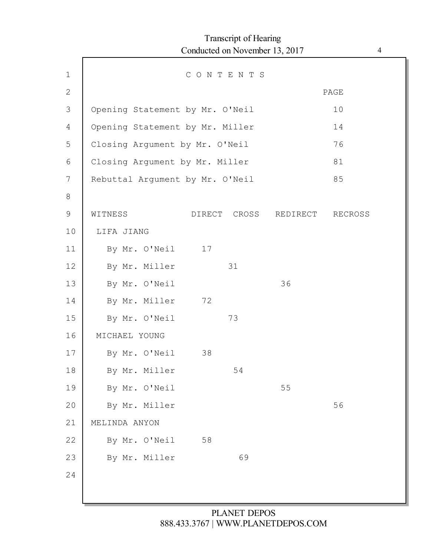|               |                                 | Conducted on November 13, 2017 | <b>Transcript of Hearing</b> |          |         | $\overline{4}$ |
|---------------|---------------------------------|--------------------------------|------------------------------|----------|---------|----------------|
| $\mathbf 1$   |                                 | CONTENTS                       |                              |          |         |                |
| $\mathbf{2}$  |                                 |                                |                              |          | PAGE    |                |
| 3             | Opening Statement by Mr. O'Neil |                                |                              |          | 10      |                |
| 4             | Opening Statement by Mr. Miller |                                |                              |          | 14      |                |
| 5             | Closing Argument by Mr. O'Neil  |                                |                              |          | 76      |                |
| 6             | Closing Argument by Mr. Miller  |                                |                              |          | 81      |                |
| 7             | Rebuttal Argument by Mr. O'Neil |                                |                              |          | 85      |                |
| 8             |                                 |                                |                              |          |         |                |
| $\mathcal{G}$ | WITNESS                         |                                | DIRECT CROSS                 | REDIRECT | RECROSS |                |
| 10            | LIFA JIANG                      |                                |                              |          |         |                |
| 11            | By Mr. O'Neil                   | 17                             |                              |          |         |                |
| 12            | By Mr. Miller                   |                                | 31                           |          |         |                |
| 13            | By Mr. O'Neil                   |                                |                              | 36       |         |                |
| 14            | By Mr. Miller                   | 72                             |                              |          |         |                |
| 15            | By Mr. O'Neil                   |                                | 73                           |          |         |                |
| 16            | MICHAEL YOUNG                   |                                |                              |          |         |                |
| 17            | By Mr. O'Neil                   | 38                             |                              |          |         |                |
| $18\,$        | By Mr. Miller                   |                                | 54                           |          |         |                |
| 19            | By Mr. O'Neil                   |                                |                              | 55       |         |                |
| 20            | By Mr. Miller                   |                                |                              |          | 56      |                |
| 21            | MELINDA ANYON                   |                                |                              |          |         |                |
| 22            | By Mr. O'Neil                   | 58                             |                              |          |         |                |
| 23            | By Mr. Miller                   |                                | 69                           |          |         |                |
| 24            |                                 |                                |                              |          |         |                |
|               |                                 |                                |                              |          |         |                |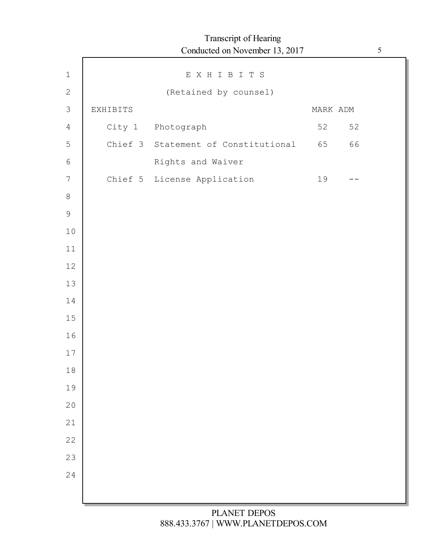|                  |          | Transcript of Hearing<br>Conducted on November 13, 2017 |          |    | $\sqrt{5}$ |
|------------------|----------|---------------------------------------------------------|----------|----|------------|
| $\mathbf 1$      |          | EXHIBITS                                                |          |    |            |
| $\sqrt{2}$       |          | (Retained by counsel)                                   |          |    |            |
| $\mathfrak{Z}$   | EXHIBITS |                                                         | MARK ADM |    |            |
| 4                |          | City 1 Photograph                                       | 52       | 52 |            |
| 5                |          | Chief 3 Statement of Constitutional                     | 65       | 66 |            |
| 6                |          | Rights and Waiver                                       |          |    |            |
| $\boldsymbol{7}$ |          | Chief 5 License Application                             | 19       |    |            |
| $\,8\,$          |          |                                                         |          |    |            |
| $\mathcal{G}$    |          |                                                         |          |    |            |
| $10$             |          |                                                         |          |    |            |
| $11$             |          |                                                         |          |    |            |
| 12               |          |                                                         |          |    |            |
| 13               |          |                                                         |          |    |            |
| 14               |          |                                                         |          |    |            |
| $15\,$           |          |                                                         |          |    |            |
| 16               |          |                                                         |          |    |            |
| 17               |          |                                                         |          |    |            |
| $1\,8$           |          |                                                         |          |    |            |
| 19               |          |                                                         |          |    |            |
| 20               |          |                                                         |          |    |            |
| 21               |          |                                                         |          |    |            |
| 22               |          |                                                         |          |    |            |
| 23               |          |                                                         |          |    |            |
| 24               |          |                                                         |          |    |            |
|                  |          |                                                         |          |    |            |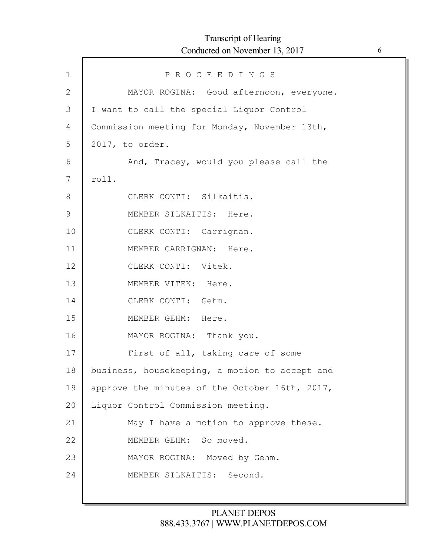| $\mathbf 1$  | PROCEEDINGS                                    |
|--------------|------------------------------------------------|
| $\mathbf{2}$ | MAYOR ROGINA: Good afternoon, everyone.        |
| 3            | I want to call the special Liquor Control      |
| 4            | Commission meeting for Monday, November 13th,  |
| 5            | 2017, to order.                                |
| 6            | And, Tracey, would you please call the         |
| 7            | roll.                                          |
| 8            | CLERK CONTI: Silkaitis.                        |
| 9            | MEMBER SILKAITIS: Here.                        |
| 10           | CLERK CONTI: Carrignan.                        |
| 11           | MEMBER CARRIGNAN: Here.                        |
| 12           | CLERK CONTI: Vitek.                            |
| 13           | MEMBER VITEK: Here.                            |
| 14           | CLERK CONTI: Gehm.                             |
| 15           | MEMBER GEHM: Here.                             |
| 16           | MAYOR ROGINA: Thank you.                       |
| 17           | First of all, taking care of some              |
| 18           | business, housekeeping, a motion to accept and |
| 19           | approve the minutes of the October 16th, 2017, |
| 20           | Liquor Control Commission meeting.             |
| 21           | May I have a motion to approve these.          |
| 22           | MEMBER GEHM: So moved.                         |
| 23           | MAYOR ROGINA: Moved by Gehm.                   |
| 24           | MEMBER SILKAITIS: Second.                      |
|              |                                                |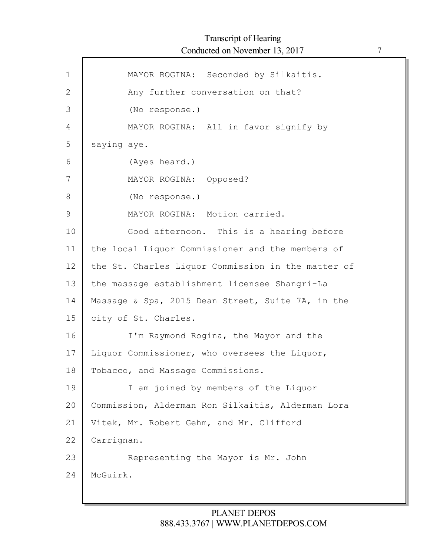| $\mathbf 1$ | MAYOR ROGINA: Seconded by Silkaitis.               |
|-------------|----------------------------------------------------|
| 2           | Any further conversation on that?                  |
| 3           | (No response.)                                     |
| 4           | MAYOR ROGINA: All in favor signify by              |
| 5           | saying aye.                                        |
| 6           | (Ayes heard.)                                      |
| 7           | MAYOR ROGINA: Opposed?                             |
| 8           | (No response.)                                     |
| 9           | MAYOR ROGINA: Motion carried.                      |
| 10          | Good afternoon. This is a hearing before           |
| 11          | the local Liquor Commissioner and the members of   |
| 12          | the St. Charles Liquor Commission in the matter of |
| 13          | the massage establishment licensee Shangri-La      |
| 14          | Massage & Spa, 2015 Dean Street, Suite 7A, in the  |
| 15          | city of St. Charles.                               |
| 16          | I'm Raymond Rogina, the Mayor and the              |
| 17          | Liquor Commissioner, who oversees the Liquor,      |
| 18          | Tobacco, and Massage Commissions.                  |
| 19          | I am joined by members of the Liquor               |
| 20          | Commission, Alderman Ron Silkaitis, Alderman Lora  |
| 21          | Vitek, Mr. Robert Gehm, and Mr. Clifford           |
| 22          | Carrignan.                                         |
| 23          | Representing the Mayor is Mr. John                 |
| 24          | McGuirk.                                           |
|             |                                                    |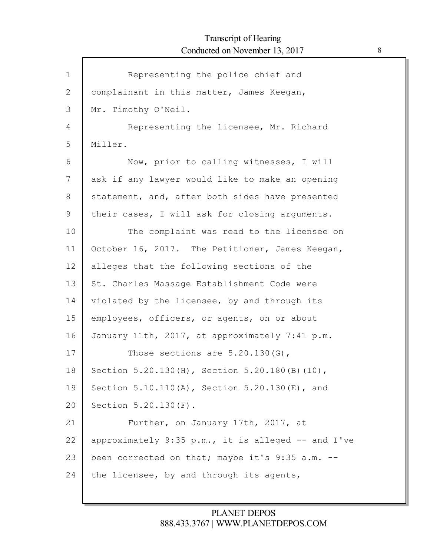| $\mathbf{1}$ | Representing the police chief and                  |
|--------------|----------------------------------------------------|
| $\mathbf{2}$ | complainant in this matter, James Keegan,          |
| 3            | Mr. Timothy O'Neil.                                |
| 4            | Representing the licensee, Mr. Richard             |
| 5            | Miller.                                            |
| 6            | Now, prior to calling witnesses, I will            |
| 7            | ask if any lawyer would like to make an opening    |
| 8            | statement, and, after both sides have presented    |
| 9            | their cases, I will ask for closing arguments.     |
| 10           | The complaint was read to the licensee on          |
| 11           | October 16, 2017. The Petitioner, James Keegan,    |
| 12           | alleges that the following sections of the         |
| 13           | St. Charles Massage Establishment Code were        |
| 14           | violated by the licensee, by and through its       |
| 15           | employees, officers, or agents, on or about        |
| 16           | January 11th, 2017, at approximately 7:41 p.m.     |
| 17           | Those sections are $5.20.130(G)$ ,                 |
| 18           | Section 5.20.130(H), Section 5.20.180(B)(10),      |
| 19           | Section 5.10.110(A), Section 5.20.130(E), and      |
| 20           | Section 5.20.130 (F).                              |
| 21           | Further, on January 17th, 2017, at                 |
| 22           | approximately 9:35 p.m., it is alleged -- and I've |
| 23           | been corrected on that; maybe it's 9:35 a.m. --    |
| 24           | the licensee, by and through its agents,           |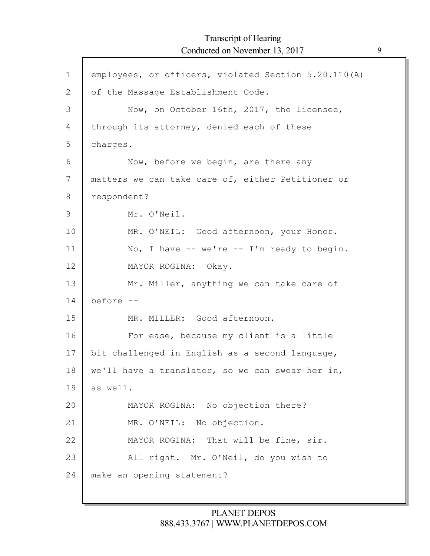| $\mathbf{1}$ | employees, or officers, violated Section 5.20.110(A) |
|--------------|------------------------------------------------------|
| $\mathbf{2}$ | of the Massage Establishment Code.                   |
| 3            | Now, on October 16th, 2017, the licensee,            |
| 4            | through its attorney, denied each of these           |
| 5            | charges.                                             |
| 6            | Now, before we begin, are there any                  |
| 7            | matters we can take care of, either Petitioner or    |
| 8            | respondent?                                          |
| $\mathsf 9$  | Mr. O'Neil.                                          |
| 10           | MR. O'NEIL: Good afternoon, your Honor.              |
| 11           | No, I have $--$ we're $--$ I'm ready to begin.       |
| 12           | MAYOR ROGINA: Okay.                                  |
| 13           | Mr. Miller, anything we can take care of             |
| 14           | before --                                            |
| 15           | MR. MILLER: Good afternoon.                          |
| 16           | For ease, because my client is a little              |
| 17           | bit challenged in English as a second language,      |
| 18           | we'll have a translator, so we can swear her in,     |
| 19           | as well.                                             |
| 20           | MAYOR ROGINA: No objection there?                    |
| 21           | MR. O'NEIL: No objection.                            |
| 22           | MAYOR ROGINA: That will be fine, sir.                |
| 23           | All right. Mr. O'Neil, do you wish to                |
| 24           | make an opening statement?                           |
|              |                                                      |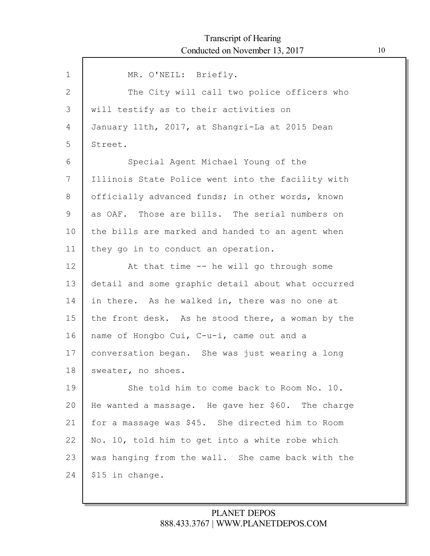| $\mathbf{1}$ | MR. O'NEIL: Briefly.                               |
|--------------|----------------------------------------------------|
| 2            | The City will call two police officers who         |
| 3            | will testify as to their activities on             |
| 4            | January 11th, 2017, at Shangri-La at 2015 Dean     |
| 5            | Street.                                            |
| 6            | Special Agent Michael Young of the                 |
| 7            | Illinois State Police went into the facility with  |
| 8            | officially advanced funds; in other words, known   |
| 9            | as OAF. Those are bills. The serial numbers on     |
| 10           | the bills are marked and handed to an agent when   |
| 11           | they go in to conduct an operation.                |
| 12           | At that time -- he will go through some            |
| 13           | detail and some graphic detail about what occurred |
| 14           | in there. As he walked in, there was no one at     |
| 15           | the front desk. As he stood there, a woman by the  |
| 16           | name of Hongbo Cui, C-u-i, came out and a          |
| 17           | conversation began. She was just wearing a long    |
| 18           | sweater, no shoes.                                 |
| 19           | She told him to come back to Room No. 10.          |
| 20           | He wanted a massage. He gave her \$60. The charge  |
| 21           | for a massage was \$45. She directed him to Room   |
| 22           | No. 10, told him to get into a white robe which    |
| 23           | was hanging from the wall. She came back with the  |
| 24           | \$15 in change.                                    |
|              |                                                    |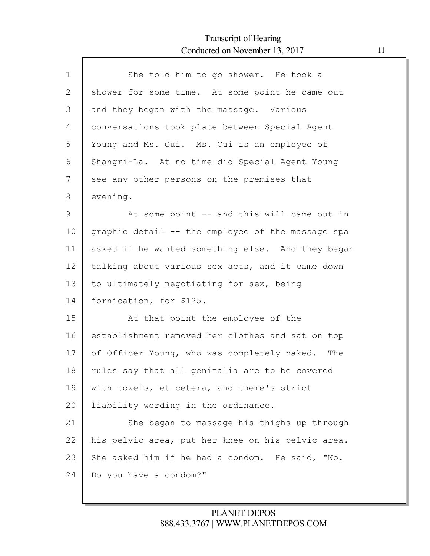| $\mathbf 1$ | She told him to go shower. He took a              |
|-------------|---------------------------------------------------|
| 2           | shower for some time. At some point he came out   |
| 3           | and they began with the massage. Various          |
| 4           | conversations took place between Special Agent    |
| 5           | Young and Ms. Cui. Ms. Cui is an employee of      |
| 6           | Shangri-La. At no time did Special Agent Young    |
| 7           | see any other persons on the premises that        |
| 8           | evening.                                          |
| 9           | At some point -- and this will came out in        |
| 10          | graphic detail -- the employee of the massage spa |
| 11          | asked if he wanted something else. And they began |
| 12          | talking about various sex acts, and it came down  |
| 13          | to ultimately negotiating for sex, being          |
| 14          | fornication, for \$125.                           |
| 15          | At that point the employee of the                 |
| 16          | establishment removed her clothes and sat on top  |
| 17          | of Officer Young, who was completely naked. The   |
| 18          | rules say that all genitalia are to be covered    |
| 19          | with towels, et cetera, and there's strict        |
| 20          | liability wording in the ordinance.               |
| 21          | She began to massage his thighs up through        |
| 22          | his pelvic area, put her knee on his pelvic area. |
| 23          | She asked him if he had a condom. He said, "No.   |
| 24          | Do you have a condom?"                            |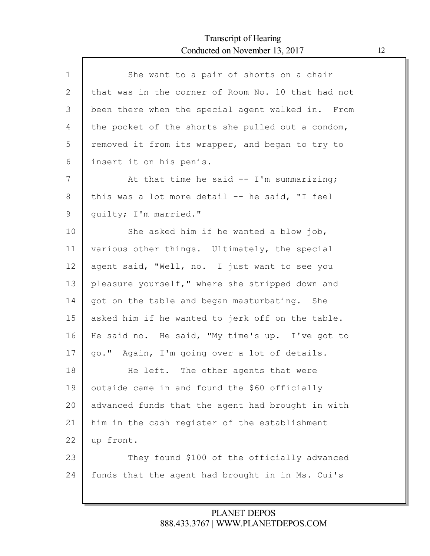Г

| $\mathbf{1}$ | She want to a pair of shorts on a chair            |
|--------------|----------------------------------------------------|
| 2            | that was in the corner of Room No. 10 that had not |
| 3            | been there when the special agent walked in. From  |
| 4            | the pocket of the shorts she pulled out a condom,  |
| 5            | removed it from its wrapper, and began to try to   |
| 6            | insert it on his penis.                            |
| 7            | At that time he said -- I'm summarizing;           |
| 8            | this was a lot more detail -- he said, "I feel     |
| 9            | quilty; I'm married."                              |
| 10           | She asked him if he wanted a blow job,             |
| 11           | various other things. Ultimately, the special      |
| 12           | agent said, "Well, no. I just want to see you      |
| 13           | pleasure yourself," where she stripped down and    |
| 14           | got on the table and began masturbating. She       |
| 15           | asked him if he wanted to jerk off on the table.   |
| 16           | He said no. He said, "My time's up. I've got to    |
| 17           | go." Again, I'm going over a lot of details.       |
| 18           | He left. The other agents that were                |
| 19           | outside came in and found the \$60 officially      |
| 20           | advanced funds that the agent had brought in with  |
| 21           | him in the cash register of the establishment      |
| 22           | up front.                                          |
| 23           | They found \$100 of the officially advanced        |
| 24           | funds that the agent had brought in in Ms. Cui's   |
|              |                                                    |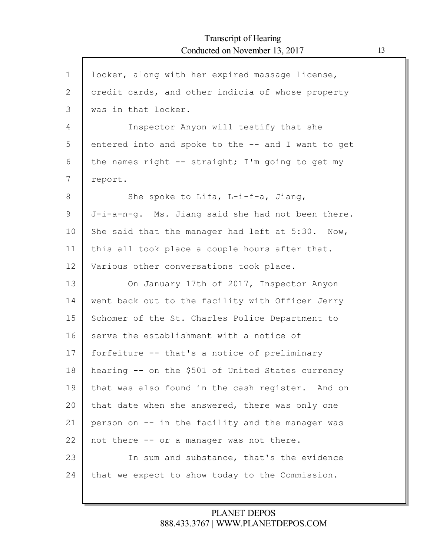$\mathsf{l}$ 

| $\mathbf 1$  | locker, along with her expired massage license,    |
|--------------|----------------------------------------------------|
| $\mathbf{2}$ | credit cards, and other indicia of whose property  |
| 3            | was in that locker.                                |
| 4            | Inspector Anyon will testify that she              |
| 5            | entered into and spoke to the -- and I want to get |
| 6            | the names right -- straight; I'm going to get my   |
| 7            | report.                                            |
| 8            | She spoke to Lifa, L-i-f-a, Jiang,                 |
| 9            | J-i-a-n-g. Ms. Jiang said she had not been there.  |
| 10           | She said that the manager had left at 5:30. Now,   |
| 11           | this all took place a couple hours after that.     |
| 12           | Various other conversations took place.            |
| 13           | On January 17th of 2017, Inspector Anyon           |
| 14           | went back out to the facility with Officer Jerry   |
| 15           | Schomer of the St. Charles Police Department to    |
| 16           | serve the establishment with a notice of           |
| 17           | forfeiture -- that's a notice of preliminary       |
| 18           | hearing -- on the \$501 of United States currency  |
| 19           | that was also found in the cash register. And on   |
| 20           | that date when she answered, there was only one    |
| 21           | person on -- in the facility and the manager was   |
| 22           | not there -- or a manager was not there.           |
| 23           | In sum and substance, that's the evidence          |
| 24           | that we expect to show today to the Commission.    |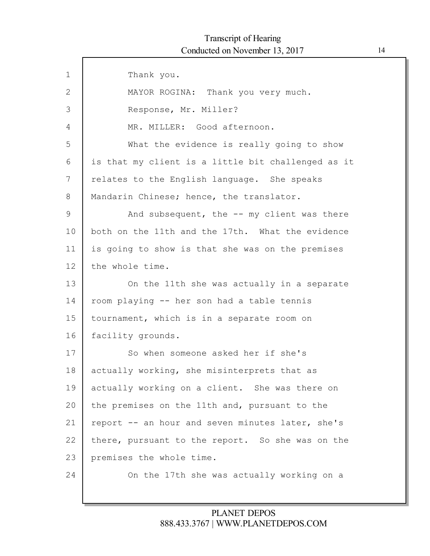| $\mathbf 1$  | Thank you.                                         |
|--------------|----------------------------------------------------|
| $\mathbf{2}$ | MAYOR ROGINA: Thank you very much.                 |
| 3            | Response, Mr. Miller?                              |
| 4            | MR. MILLER: Good afternoon.                        |
| 5            | What the evidence is really going to show          |
| 6            | is that my client is a little bit challenged as it |
| 7            | relates to the English language. She speaks        |
| 8            | Mandarin Chinese; hence, the translator.           |
| 9            | And subsequent, the -- my client was there         |
| 10           | both on the 11th and the 17th. What the evidence   |
| 11           | is going to show is that she was on the premises   |
| 12           | the whole time.                                    |
| 13           | On the 11th she was actually in a separate         |
| 14           | room playing -- her son had a table tennis         |
| 15           | tournament, which is in a separate room on         |
| 16           | facility grounds.                                  |
| 17           | So when someone asked her if she's                 |
| 18           | actually working, she misinterprets that as        |
| 19           | actually working on a client. She was there on     |
| 20           | the premises on the 11th and, pursuant to the      |
| 21           | report -- an hour and seven minutes later, she's   |
| 22           | there, pursuant to the report. So she was on the   |
| 23           | premises the whole time.                           |
| 24           | On the 17th she was actually working on a          |
|              |                                                    |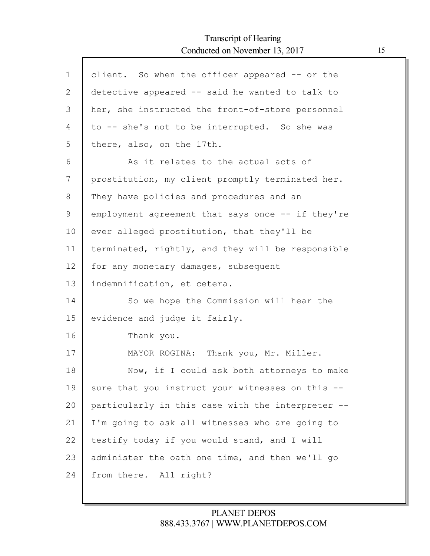| $\mathbf 1$ | client. So when the officer appeared -- or the    |
|-------------|---------------------------------------------------|
| 2           | detective appeared -- said he wanted to talk to   |
| 3           | her, she instructed the front-of-store personnel  |
| 4           | to -- she's not to be interrupted. So she was     |
| 5           | there, also, on the 17th.                         |
| 6           | As it relates to the actual acts of               |
| 7           | prostitution, my client promptly terminated her.  |
| 8           | They have policies and procedures and an          |
| 9           | employment agreement that says once -- if they're |
| 10          | ever alleged prostitution, that they'll be        |
| 11          | terminated, rightly, and they will be responsible |
| 12          | for any monetary damages, subsequent              |
| 13          | indemnification, et cetera.                       |
| 14          | So we hope the Commission will hear the           |
| 15          | evidence and judge it fairly.                     |
| 16          | Thank you.                                        |
| 17          | MAYOR ROGINA: Thank you, Mr. Miller.              |
| 18          | Now, if I could ask both attorneys to make        |
| 19          | sure that you instruct your witnesses on this --  |
| 20          | particularly in this case with the interpreter -- |
| 21          | I'm going to ask all witnesses who are going to   |
| 22          | testify today if you would stand, and I will      |
| 23          | administer the oath one time, and then we'll go   |
| 24          | from there. All right?                            |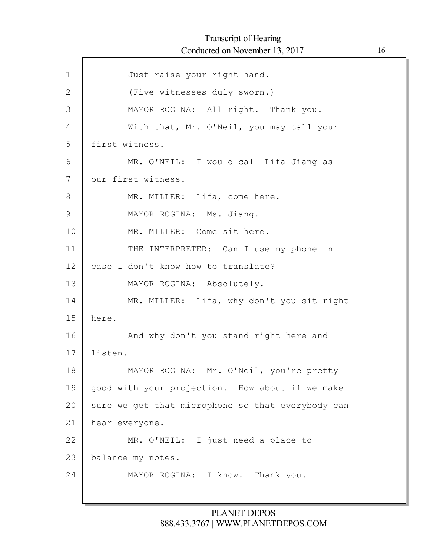| $\mathbf 1$    | Just raise your right hand.                       |
|----------------|---------------------------------------------------|
| $\mathbf{2}$   | (Five witnesses duly sworn.)                      |
| $\mathfrak{Z}$ | MAYOR ROGINA: All right. Thank you.               |
| 4              | With that, Mr. O'Neil, you may call your          |
| 5              | first witness.                                    |
| 6              | MR. O'NEIL: I would call Lifa Jiang as            |
| 7              | our first witness.                                |
| 8              | MR. MILLER: Lifa, come here.                      |
| $\mathcal{G}$  | MAYOR ROGINA: Ms. Jiang.                          |
| 10             | MR. MILLER: Come sit here.                        |
| 11             | THE INTERPRETER: Can I use my phone in            |
| 12             | case I don't know how to translate?               |
| 13             | MAYOR ROGINA: Absolutely.                         |
| 14             | MR. MILLER: Lifa, why don't you sit right         |
| 15             | here.                                             |
| 16             | And why don't you stand right here and            |
| 17             | listen.                                           |
| 18             | MAYOR ROGINA: Mr. O'Neil, you're pretty           |
| 19             | good with your projection. How about if we make   |
| 20             | sure we get that microphone so that everybody can |
| 21             | hear everyone.                                    |
| 22             | MR. O'NEIL: I just need a place to                |
| 23             | balance my notes.                                 |
| 24             | MAYOR ROGINA: I know. Thank you.                  |
|                |                                                   |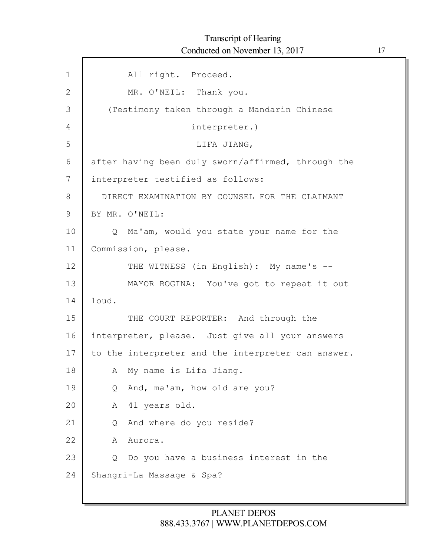| $\mathbf{1}$ | All right. Proceed.                                        |
|--------------|------------------------------------------------------------|
| $\mathbf{2}$ | MR. O'NEIL: Thank you.                                     |
| 3            | (Testimony taken through a Mandarin Chinese                |
| 4            | interpreter.)                                              |
| 5            | LIFA JIANG,                                                |
| 6            | after having been duly sworn/affirmed, through the         |
| 7            | interpreter testified as follows:                          |
| 8            | DIRECT EXAMINATION BY COUNSEL FOR THE CLAIMANT             |
| 9            | BY MR. O'NEIL:                                             |
| 10           | Ma'am, would you state your name for the<br>$\overline{Q}$ |
| 11           | Commission, please.                                        |
| 12           | THE WITNESS (in English): My name's --                     |
| 13           | MAYOR ROGINA: You've got to repeat it out                  |
| 14           | loud.                                                      |
| 15           | THE COURT REPORTER: And through the                        |
| 16           | interpreter, please. Just give all your answers            |
| 17           | to the interpreter and the interpreter can answer.         |
| 18           | My name is Lifa Jiang.<br>A                                |
| 19           | And, ma'am, how old are you?<br>Q                          |
| 20           | 41 years old.<br>Α                                         |
| 21           | And where do you reside?<br>Q.                             |
| 22           | Aurora.<br>A                                               |
| 23           | Do you have a business interest in the<br>Q.               |
| 24           | Shangri-La Massage & Spa?                                  |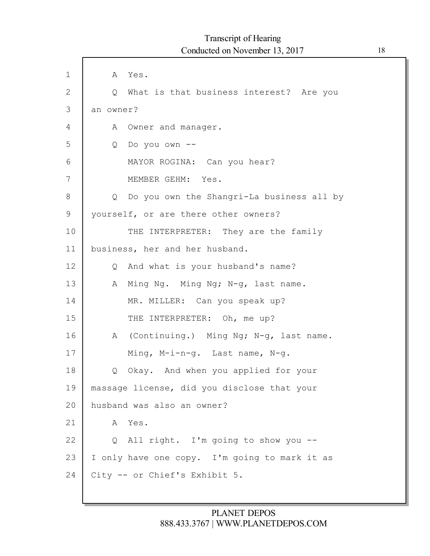| $\mathbf 1$  | A Yes.                                        |
|--------------|-----------------------------------------------|
| $\mathbf{2}$ | Q What is that business interest? Are you     |
| 3            | an owner?                                     |
| 4            | A Owner and manager.                          |
| 5            | Do you own --<br>Q                            |
| 6            | MAYOR ROGINA: Can you hear?                   |
| 7            | MEMBER GEHM: Yes.                             |
| 8            | Q Do you own the Shangri-La business all by   |
| 9            | yourself, or are there other owners?          |
| 10           | THE INTERPRETER: They are the family          |
| 11           | business, her and her husband.                |
| 12           | Q And what is your husband's name?            |
| 13           | A Ming Ng. Ming Ng; N-g, last name.           |
| 14           | MR. MILLER: Can you speak up?                 |
| 15           | THE INTERPRETER: Oh, me up?                   |
| 16           | A (Continuing.) Ming Ng; N-g, last name.      |
| 17           | Ming, M-i-n-g. Last name, N-g.                |
| 18           | Q Okay. And when you applied for your         |
| 19           | massage license, did you disclose that your   |
| 20           | husband was also an owner?                    |
| 21           | Yes.<br>A                                     |
| 22           | Q All right. I'm going to show you --         |
| 23           | I only have one copy. I'm going to mark it as |
| 24           | City -- or Chief's Exhibit 5.                 |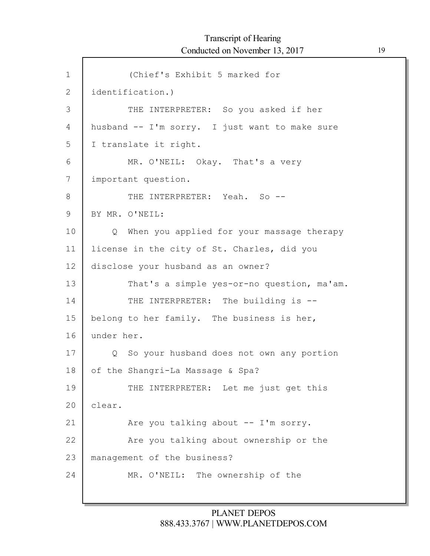1 2 3 4 5 6 7 8 9 10 11 12 13 14 15 16 17 18 19 20 21 22 23 24 (Chief's Exhibit 5 marked for identification.) THE INTERPRETER: So you asked if her husband -- I'm sorry. I just want to make sure I translate it right. MR. O'NEIL: Okay. That's a very important question. THE INTERPRETER: Yeah. So --BY MR. O'NEIL: Q When you applied for your massage therapy license in the city of St. Charles, did you disclose your husband as an owner? That's a simple yes-or-no question, ma'am. THE INTERPRETER: The building is -belong to her family. The business is her, under her. Q So your husband does not own any portion of the Shangri-La Massage & Spa? THE INTERPRETER: Let me just get this clear. Are you talking about -- I'm sorry. Are you talking about ownership or the management of the business? MR. O'NEIL: The ownership of the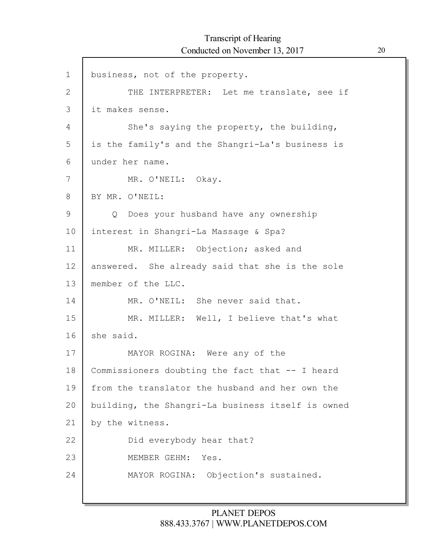$\Gamma$ 

| $\mathbf 1$  | business, not of the property.                    |
|--------------|---------------------------------------------------|
| $\mathbf{2}$ | THE INTERPRETER: Let me translate, see if         |
| 3            | it makes sense.                                   |
| 4            | She's saying the property, the building,          |
| 5            | is the family's and the Shangri-La's business is  |
| 6            | under her name.                                   |
| 7            | MR. O'NEIL: Okay.                                 |
| 8            | BY MR. O'NEIL:                                    |
| 9            | Q Does your husband have any ownership            |
| 10           | interest in Shangri-La Massage & Spa?             |
| 11           | MR. MILLER: Objection; asked and                  |
| 12           | answered. She already said that she is the sole   |
| 13           | member of the LLC.                                |
| 14           | MR. O'NEIL: She never said that.                  |
| 15           | MR. MILLER: Well, I believe that's what           |
| 16           | she said.                                         |
| 17           | MAYOR ROGINA: Were any of the                     |
| 18           | Commissioners doubting the fact that -- I heard   |
| 19           | from the translator the husband and her own the   |
| 20           | building, the Shangri-La business itself is owned |
| 21           | by the witness.                                   |
| 22           | Did everybody hear that?                          |
| 23           | MEMBER GEHM:<br>Yes.                              |
| 24           | MAYOR ROGINA:<br>Objection's sustained.           |
|              |                                                   |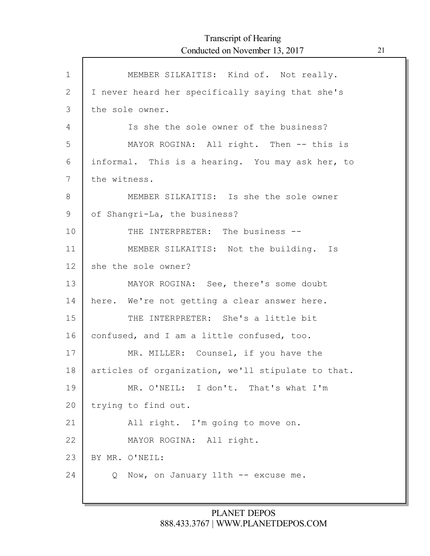| $\mathbf{1}$ | MEMBER SILKAITIS: Kind of. Not really.             |
|--------------|----------------------------------------------------|
| $\mathbf{2}$ | I never heard her specifically saying that she's   |
| 3            | the sole owner.                                    |
| 4            | Is she the sole owner of the business?             |
| 5            | MAYOR ROGINA: All right. Then -- this is           |
| 6            | informal. This is a hearing. You may ask her, to   |
| 7            | the witness.                                       |
| 8            | MEMBER SILKAITIS: Is she the sole owner            |
| 9            | of Shangri-La, the business?                       |
| 10           | THE INTERPRETER: The business --                   |
| 11           | MEMBER SILKAITIS: Not the building. Is             |
| 12           | she the sole owner?                                |
| 13           | MAYOR ROGINA: See, there's some doubt              |
| 14           | here. We're not getting a clear answer here.       |
| 15           | THE INTERPRETER: She's a little bit                |
| 16           | confused, and I am a little confused, too.         |
| 17           | MR. MILLER: Counsel, if you have the               |
| 18           | articles of organization, we'll stipulate to that. |
| 19           | MR. O'NEIL: I don't. That's what I'm               |
| 20           | trying to find out.                                |
| 21           | All right. I'm going to move on.                   |
| 22           | MAYOR ROGINA: All right.                           |
| 23           | BY MR. O'NEIL:                                     |
| 24           | Now, on January 11th -- excuse me.<br>Q            |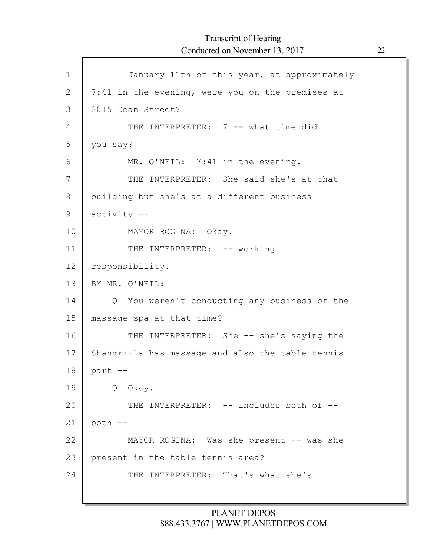| $\mathbf 1$  | January 11th of this year, at approximately      |
|--------------|--------------------------------------------------|
| $\mathbf{2}$ | 7:41 in the evening, were you on the premises at |
| 3            | 2015 Dean Street?                                |
| 4            | THE INTERPRETER: 7 -- what time did              |
| 5            | you say?                                         |
| 6            | MR. O'NEIL: 7:41 in the evening.                 |
| 7            | THE INTERPRETER: She said she's at that          |
| 8            | building but she's at a different business       |
| 9            | activity --                                      |
| 10           | MAYOR ROGINA: Okay.                              |
| 11           | THE INTERPRETER: -- working                      |
| 12           | responsibility.                                  |
| 13           | BY MR. O'NEIL:                                   |
| 14           | Q You weren't conducting any business of the     |
| 15           | massage spa at that time?                        |
| 16           | THE INTERPRETER: She -- she's saying the         |
| 17           | Shangri-La has massage and also the table tennis |
| 18           | part --                                          |
| 19           | Q Okay.                                          |
| 20           | THE INTERPRETER: -- includes both of --          |
| 21           | $both --$                                        |
| 22           | MAYOR ROGINA: Was she present -- was she         |
| 23           | present in the table tennis area?                |
| 24           | THE INTERPRETER: That's what she's               |
|              |                                                  |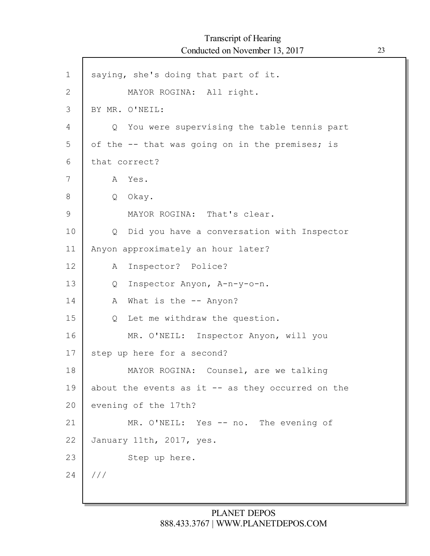| $\mathbf 1$  | saying, she's doing that part of it.                      |
|--------------|-----------------------------------------------------------|
| $\mathbf{2}$ | MAYOR ROGINA: All right.                                  |
| 3            | BY MR. O'NEIL:                                            |
| 4            | Q You were supervising the table tennis part              |
| 5            | of the -- that was going on in the premises; is           |
| 6            | that correct?                                             |
| 7            | A Yes.                                                    |
| 8            | Q Okay.                                                   |
| 9            | MAYOR ROGINA: That's clear.                               |
| 10           | Did you have a conversation with Inspector<br>$Q_{\perp}$ |
| 11           | Anyon approximately an hour later?                        |
| 12           | Inspector? Police?<br>A                                   |
| 13           | Inspector Anyon, A-n-y-o-n.<br>Q                          |
| 14           | What is the $-$ - Anyon?<br>A                             |
| 15           | Let me withdraw the question.<br>Q                        |
| 16           | MR. O'NEIL: Inspector Anyon, will you                     |
| 17           | step up here for a second?                                |
| 18           | MAYOR ROGINA: Counsel, are we talking                     |
| 19           | about the events as it $-$ as they occurred on the        |
| 20           | evening of the 17th?                                      |
| 21           | MR. O'NEIL: Yes -- no. The evening of                     |
| 22           | January 11th, 2017, yes.                                  |
| 23           | Step up here.                                             |
| 24           | ///                                                       |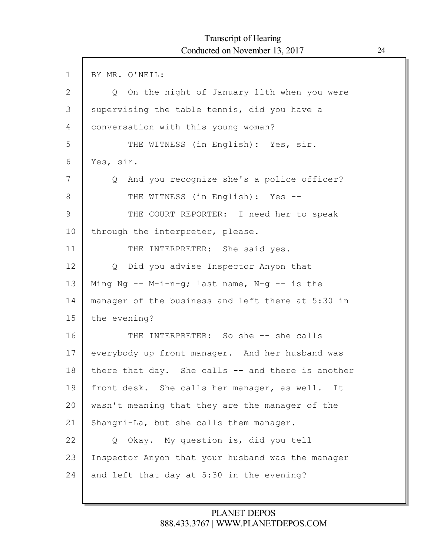| $\mathbf 1$ | BY MR. O'NEIL:                                    |
|-------------|---------------------------------------------------|
| 2           | Q On the night of January 11th when you were      |
| 3           | supervising the table tennis, did you have a      |
| 4           | conversation with this young woman?               |
| 5           | THE WITNESS (in English): Yes, sir.               |
| 6           | Yes, sir.                                         |
| 7           | Q And you recognize she's a police officer?       |
| 8           | THE WITNESS (in English): Yes --                  |
| 9           | THE COURT REPORTER: I need her to speak           |
| 10          | through the interpreter, please.                  |
| 11          | THE INTERPRETER: She said yes.                    |
| 12          | Q Did you advise Inspector Anyon that             |
| 13          | Ming Ng $-$ - M-i-n-g; last name, N-g $-$ is the  |
| 14          | manager of the business and left there at 5:30 in |
| 15          | the evening?                                      |
| 16          | THE INTERPRETER: So she -- she calls              |
| 17          | everybody up front manager. And her husband was   |
| 18          | there that day. She calls -- and there is another |
| 19          | front desk. She calls her manager, as well.<br>It |
| 20          | wasn't meaning that they are the manager of the   |
| 21          | Shangri-La, but she calls them manager.           |
| 22          | Okay. My question is, did you tell<br>$Q_{\cdot}$ |
| 23          | Inspector Anyon that your husband was the manager |
| 24          | and left that day at 5:30 in the evening?         |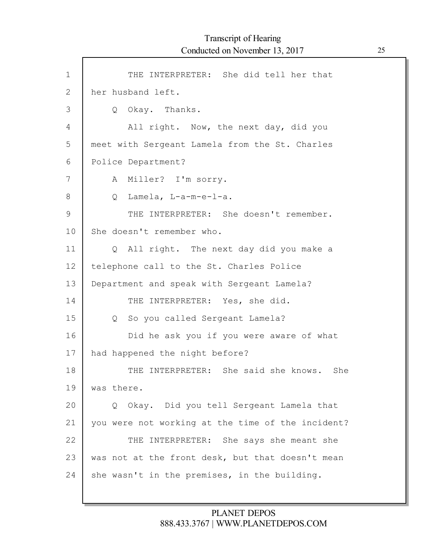| $\mathbf 1$    | THE INTERPRETER: She did tell her that                |
|----------------|-------------------------------------------------------|
| $\overline{2}$ | her husband left.                                     |
| 3              | Q Okay. Thanks.                                       |
| 4              | All right. Now, the next day, did you                 |
| 5              | meet with Sergeant Lamela from the St. Charles        |
| 6              | Police Department?                                    |
| 7              | A Miller? I'm sorry.                                  |
| 8              | Lamela, L-a-m-e-l-a.<br>Q                             |
| $\mathcal{G}$  | THE INTERPRETER: She doesn't remember.                |
| 10             | She doesn't remember who.                             |
| 11             | All right. The next day did you make a<br>$Q_{\rm c}$ |
| 12             | telephone call to the St. Charles Police              |
| 13             | Department and speak with Sergeant Lamela?            |
| 14             | THE INTERPRETER: Yes, she did.                        |
| 15             | So you called Sergeant Lamela?<br>$Q_{\perp}$         |
| 16             | Did he ask you if you were aware of what              |
| 17             | had happened the night before?                        |
| 18             | THE INTERPRETER: She said she knows. She              |
| 19             | was there.                                            |
| 20             | Q Okay. Did you tell Sergeant Lamela that             |
| 21             | you were not working at the time of the incident?     |
| 22             | INTERPRETER: She says she meant she<br>THE            |
| 23             | was not at the front desk, but that doesn't mean      |
| 24             | she wasn't in the premises, in the building.          |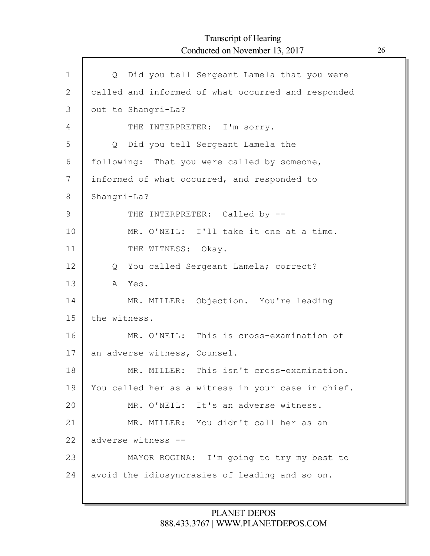Г

| $\mathbf 1$  | Q Did you tell Sergeant Lamela that you were       |
|--------------|----------------------------------------------------|
| $\mathbf{2}$ | called and informed of what occurred and responded |
| 3            | out to Shangri-La?                                 |
| 4            | THE INTERPRETER: I'm sorry.                        |
| 5            | Did you tell Sergeant Lamela the<br>$Q \qquad$     |
| 6            | following: That you were called by someone,        |
| 7            | informed of what occurred, and responded to        |
| 8            | Shangri-La?                                        |
| 9            | THE INTERPRETER: Called by --                      |
| 10           | MR. O'NEIL: I'll take it one at a time.            |
| 11           | THE WITNESS: Okay.                                 |
| 12           | Q You called Sergeant Lamela; correct?             |
| 13           | A Yes.                                             |
| 14           | MR. MILLER: Objection. You're leading              |
| 15           | the witness.                                       |
| 16           | MR. O'NEIL: This is cross-examination of           |
| 17           | an adverse witness, Counsel.                       |
| 18           | MR. MILLER: This isn't cross-examination.          |
| 19           | You called her as a witness in your case in chief. |
| 20           | MR. O'NEIL: It's an adverse witness.               |
| 21           | MR. MILLER: You didn't call her as an              |
| 22           | adverse witness --                                 |
| 23           | MAYOR ROGINA: I'm going to try my best to          |
| 24           | avoid the idiosyncrasies of leading and so on.     |
|              |                                                    |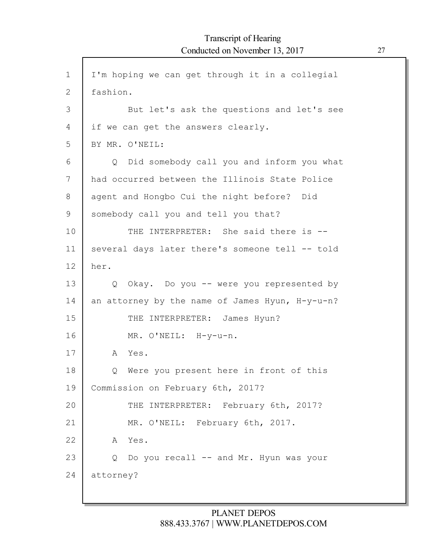1 2 3 4 5 6 7 8 9 10 11 12 13 14 15 16 17 18 19 20 21 22 23 24 I'm hoping we can get through it in a collegial fashion. But let's ask the questions and let's see if we can get the answers clearly. BY MR. O'NEIL: Q Did somebody call you and inform you what had occurred between the Illinois State Police agent and Hongbo Cui the night before? Did somebody call you and tell you that? THE INTERPRETER: She said there is -several days later there's someone tell -- told her. Q Okay. Do you -- were you represented by an attorney by the name of James Hyun, H-y-u-n? THE INTERPRETER: James Hyun? MR. O'NEIL: H-y-u-n. A Yes. Q Were you present here in front of this Commission on February 6th, 2017? THE INTERPRETER: February 6th, 2017? MR. O'NEIL: February 6th, 2017. A Yes. Q Do you recall -- and Mr. Hyun was your attorney?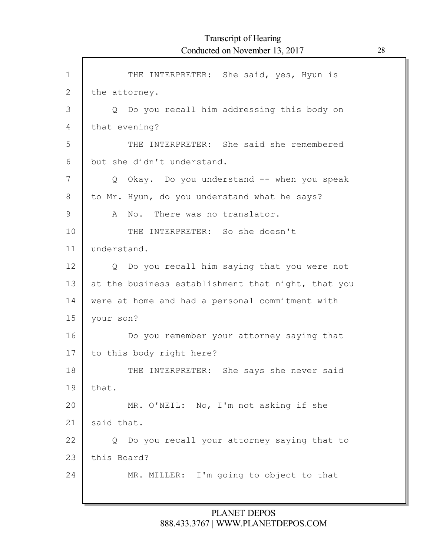| $\mathbf{1}$ | THE INTERPRETER: She said, yes, Hyun is                      |
|--------------|--------------------------------------------------------------|
| 2            | the attorney.                                                |
| 3            | Do you recall him addressing this body on<br>$\circ$         |
| 4            | that evening?                                                |
| 5            | THE INTERPRETER: She said she remembered                     |
| 6            | but she didn't understand.                                   |
| 7            | Q Okay. Do you understand -- when you speak                  |
| 8            | to Mr. Hyun, do you understand what he says?                 |
| 9            | No. There was no translator.<br>A                            |
| 10           | THE INTERPRETER: So she doesn't                              |
| 11           | understand.                                                  |
| 12           | Do you recall him saying that you were not<br>$Q_{\perp}$    |
| 13           | at the business establishment that night, that you           |
| 14           | were at home and had a personal commitment with              |
| 15           | your son?                                                    |
| 16           | Do you remember your attorney saying that                    |
| 17           | to this body right here?                                     |
| 18           | THE INTERPRETER: She says she never said                     |
| 19           | that.                                                        |
| 20           | MR. O'NEIL: No, I'm not asking if she                        |
| 21           | said that.                                                   |
| 22           | Do you recall your attorney saying that to<br>$\overline{Q}$ |
| 23           | this Board?                                                  |
| 24           | MR. MILLER: I'm going to object to that                      |
|              |                                                              |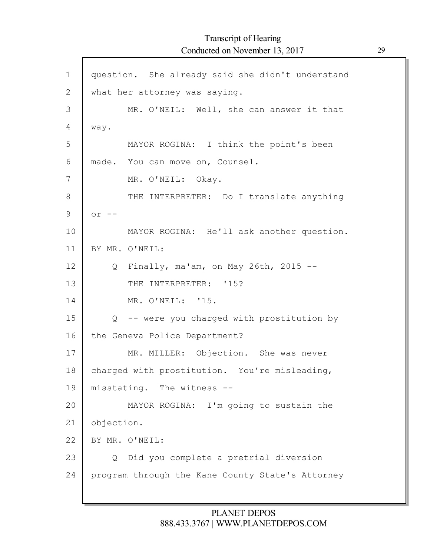| $\mathbf 1$ | question. She already said she didn't understand |
|-------------|--------------------------------------------------|
| 2           | what her attorney was saying.                    |
| 3           | MR. O'NEIL: Well, she can answer it that         |
| 4           | way.                                             |
| 5           | MAYOR ROGINA: I think the point's been           |
| 6           | made. You can move on, Counsel.                  |
| 7           | MR. O'NEIL: Okay.                                |
| 8           | THE INTERPRETER: Do I translate anything         |
| 9           | $or --$                                          |
| 10          | MAYOR ROGINA: He'll ask another question.        |
| 11          | BY MR. O'NEIL:                                   |
| 12          | Finally, ma'am, on May 26th, 2015 $-$ -<br>Q     |
| 13          | THE INTERPRETER: '15?                            |
| 14          | MR. O'NEIL: '15.                                 |
| 15          | Q -- were you charged with prostitution by       |
| 16          | the Geneva Police Department?                    |
| 17          | MR. MILLER: Objection. She was never             |
| 18          | charged with prostitution. You're misleading,    |
| 19          | misstating. The witness --                       |
| 20          | MAYOR ROGINA: I'm going to sustain the           |
| 21          | objection.                                       |
| 22          | BY MR. O'NEIL:                                   |
| 23          | Did you complete a pretrial diversion<br>Q       |
| 24          | program through the Kane County State's Attorney |
|             |                                                  |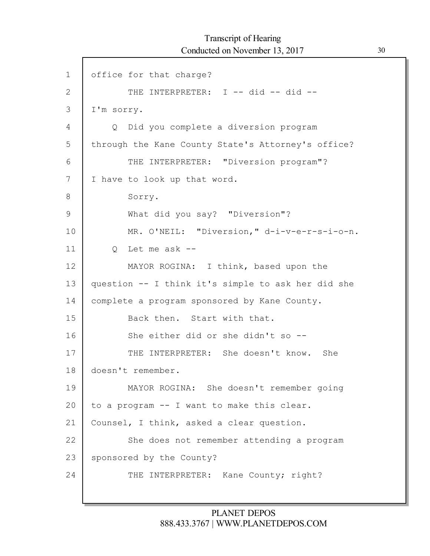1 2 3 4 5 6 7 8 9 10 11 12 13 14 15 16 17 18 19 20 21 22 23 24 office for that charge? THE INTERPRETER: I -- did -- did --I'm sorry. Q Did you complete a diversion program through the Kane County State's Attorney's office? THE INTERPRETER: "Diversion program"? I have to look up that word. Sorry. What did you say? "Diversion"? MR. O'NEIL: "Diversion," d-i-v-e-r-s-i-o-n. Q Let me ask -- MAYOR ROGINA: I think, based upon the question -- I think it's simple to ask her did she complete a program sponsored by Kane County. Back then. Start with that. She either did or she didn't so -- THE INTERPRETER: She doesn't know. She doesn't remember. MAYOR ROGINA: She doesn't remember going to a program -- I want to make this clear. Counsel, I think, asked a clear question. She does not remember attending a program sponsored by the County? THE INTERPRETER: Kane County; right?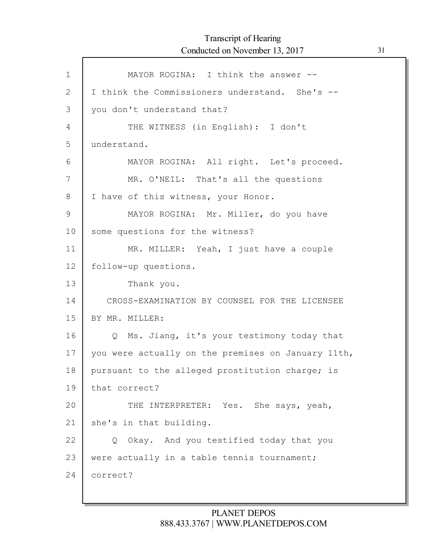| MAYOR ROGINA: I think the answer --                      |
|----------------------------------------------------------|
| I think the Commissioners understand. She's --           |
| you don't understand that?                               |
| THE WITNESS (in English): I don't                        |
| understand.                                              |
| MAYOR ROGINA: All right. Let's proceed.                  |
| MR. O'NEIL: That's all the questions                     |
| I have of this witness, your Honor.                      |
| MAYOR ROGINA: Mr. Miller, do you have                    |
| some questions for the witness?                          |
| MR. MILLER: Yeah, I just have a couple                   |
| follow-up questions.                                     |
| Thank you.                                               |
| CROSS-EXAMINATION BY COUNSEL FOR THE LICENSEE            |
| BY MR. MILLER:                                           |
| Ms. Jiang, it's your testimony today that<br>$Q_{\perp}$ |
| you were actually on the premises on January 11th,       |
| pursuant to the alleged prostitution charge; is          |
| that correct?                                            |
| THE INTERPRETER: Yes. She says, yeah,                    |
| she's in that building.                                  |
| Q Okay. And you testified today that you                 |
| were actually in a table tennis tournament;              |
| correct?                                                 |
|                                                          |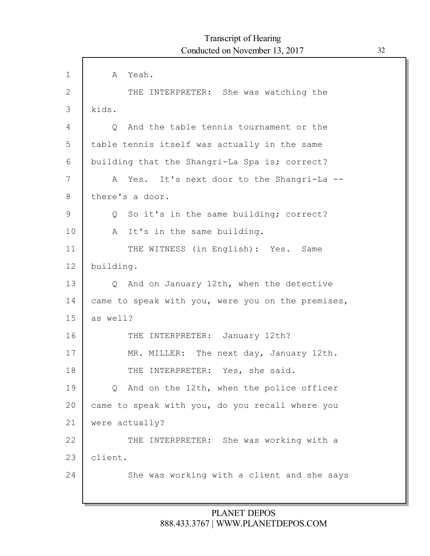| $\mathbf 1$  | A Yeah.                                                |
|--------------|--------------------------------------------------------|
| $\mathbf{2}$ | THE INTERPRETER: She was watching the                  |
| 3            | kids.                                                  |
| 4            | And the table tennis tournament or the<br>$\circ$      |
| 5            | table tennis itself was actually in the same           |
| 6            | building that the Shangri-La Spa is; correct?          |
| 7            | Yes. It's next door to the Shangri-La --<br>A          |
| 8            | there's a door.                                        |
| 9            | Q So it's in the same building; correct?               |
| 10           | A It's in the same building.                           |
| 11           | THE WITNESS (in English): Yes. Same                    |
| 12           | building.                                              |
| 13           | And on January 12th, when the detective<br>$Q_{\perp}$ |
| 14           | came to speak with you, were you on the premises,      |
| 15           | as well?                                               |
| 16           | THE INTERPRETER: January 12th?                         |
| 17           | MR. MILLER: The next day, January 12th.                |
| 18           | THE INTERPRETER: Yes, she said.                        |
| 19           | Q And on the 12th, when the police officer             |
| 20           | came to speak with you, do you recall where you        |
| 21           | were actually?                                         |
| 22           | THE INTERPRETER: She was working with a                |
| 23           | client.                                                |
| 24           | She was working with a client and she says             |
|              |                                                        |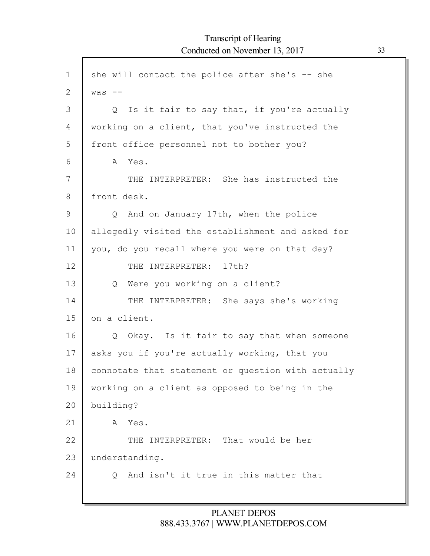```
1
2
3
4
5
6
7
8
9
10
11
12
13
14
15
16
17
18
19
20
21
22
23
24
    she will contact the police after she's -- she
    was --
         Q Is it fair to say that, if you're actually
    working on a client, that you've instructed the
     front office personnel not to bother you?
        A Yes.
            THE INTERPRETER: She has instructed the
    front desk.
        Q And on January 17th, when the police
    allegedly visited the establishment and asked for
    you, do you recall where you were on that day?
            THE INTERPRETER: 17th?
        Q Were you working on a client?
            THE INTERPRETER: She says she's working
    on a client.
        Q Okay. Is it fair to say that when someone
    asks you if you're actually working, that you
    connotate that statement or question with actually
    working on a client as opposed to being in the
    building?
        A Yes.
            THE INTERPRETER: That would be her
    understanding.
        Q And isn't it true in this matter that
```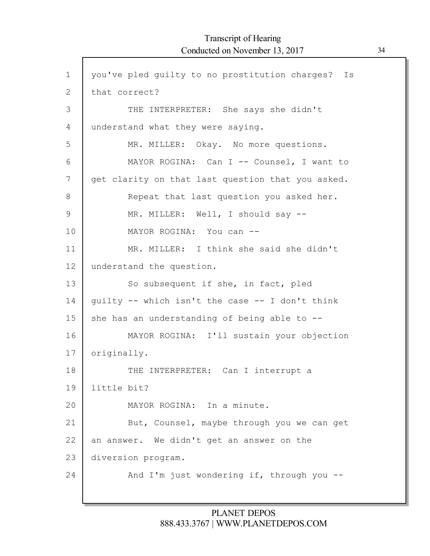$\mathsf{l}$ 

| you've pled guilty to no prostitution charges? Is |
|---------------------------------------------------|
| that correct?                                     |
| THE INTERPRETER: She says she didn't              |
| understand what they were saying.                 |
| MR. MILLER: Okay. No more questions.              |
| MAYOR ROGINA: Can I -- Counsel, I want to         |
| get clarity on that last question that you asked. |
| Repeat that last question you asked her.          |
| MR. MILLER: Well, I should say --                 |
| MAYOR ROGINA: You can --                          |
| MR. MILLER: I think she said she didn't           |
| understand the question.                          |
| So subsequent if she, in fact, pled               |
| guilty -- which isn't the case -- I don't think   |
| she has an understanding of being able to --      |
| MAYOR ROGINA: I'll sustain your objection         |
| originally.                                       |
| THE INTERPRETER: Can I interrupt a                |
| little bit?                                       |
| MAYOR ROGINA: In a minute.                        |
| But, Counsel, maybe through you we can get        |
| an answer. We didn't get an answer on the         |
|                                                   |
| diversion program.                                |
|                                                   |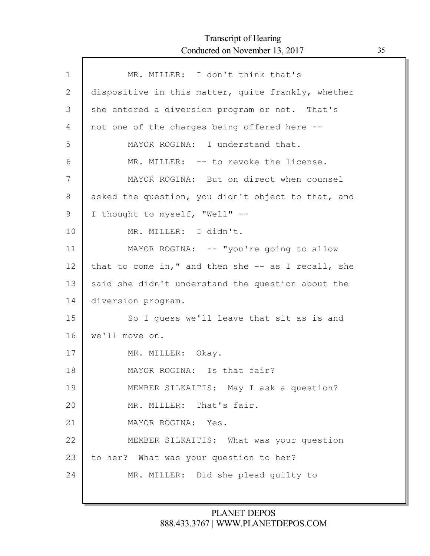Г

| $\mathbf 1$ | MR. MILLER: I don't think that's                   |
|-------------|----------------------------------------------------|
| 2           | dispositive in this matter, quite frankly, whether |
| 3           | she entered a diversion program or not. That's     |
| 4           | not one of the charges being offered here --       |
| 5           | MAYOR ROGINA: I understand that.                   |
| 6           | MR. MILLER: -- to revoke the license.              |
| 7           | MAYOR ROGINA: But on direct when counsel           |
| 8           | asked the question, you didn't object to that, and |
| 9           | I thought to myself, "Well" --                     |
| 10          | MR. MILLER: I didn't.                              |
| 11          | MAYOR ROGINA: -- "you're going to allow            |
| 12          | that to come in," and then she -- as I recall, she |
| 13          | said she didn't understand the question about the  |
| 14          | diversion program.                                 |
| 15          | So I guess we'll leave that sit as is and          |
| 16          | we'll move on.                                     |
| 17          | MR. MILLER: Okay.                                  |
| 18          | MAYOR ROGINA: Is that fair?                        |
| 19          | MEMBER SILKAITIS: May I ask a question?            |
| 20          | MR. MILLER: That's fair.                           |
| 21          | MAYOR ROGINA: Yes.                                 |
| 22          | MEMBER SILKAITIS: What was your question           |
| 23          | to her? What was your question to her?             |
| 24          | MR. MILLER: Did she plead quilty to                |
|             |                                                    |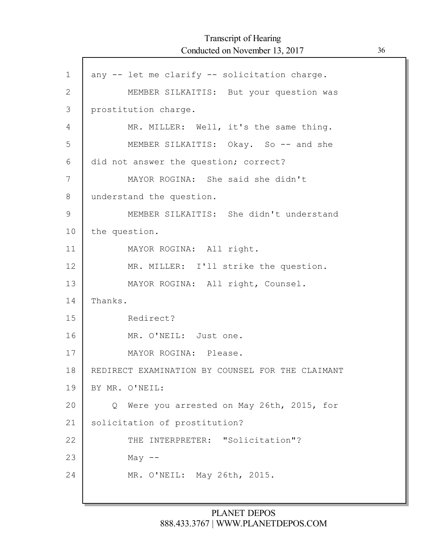| $\mathbf 1$   | any -- let me clarify -- solicitation charge.    |
|---------------|--------------------------------------------------|
| $\mathbf{2}$  | MEMBER SILKAITIS: But your question was          |
| 3             | prostitution charge.                             |
| 4             | MR. MILLER: Well, it's the same thing.           |
| 5             | MEMBER SILKAITIS: Okay. So -- and she            |
| 6             | did not answer the question; correct?            |
| 7             | MAYOR ROGINA: She said she didn't                |
| 8             | understand the question.                         |
| $\mathcal{G}$ | MEMBER SILKAITIS: She didn't understand          |
| 10            | the question.                                    |
| 11            | MAYOR ROGINA: All right.                         |
| 12            | MR. MILLER: I'll strike the question.            |
| 13            | MAYOR ROGINA: All right, Counsel.                |
| 14            | Thanks.                                          |
| 15            | Redirect?                                        |
| 16            | MR. O'NEIL: Just one.                            |
| 17            | MAYOR ROGINA: Please.                            |
| 18            | REDIRECT EXAMINATION BY COUNSEL FOR THE CLAIMANT |
| 19            | BY MR. O'NEIL:                                   |
| 20            | Q Were you arrested on May 26th, 2015, for       |
| 21            | solicitation of prostitution?                    |
| 22            | THE INTERPRETER: "Solicitation"?                 |
| 23            | May $--$                                         |
| 24            | MR. O'NEIL: May 26th, 2015.                      |
|               |                                                  |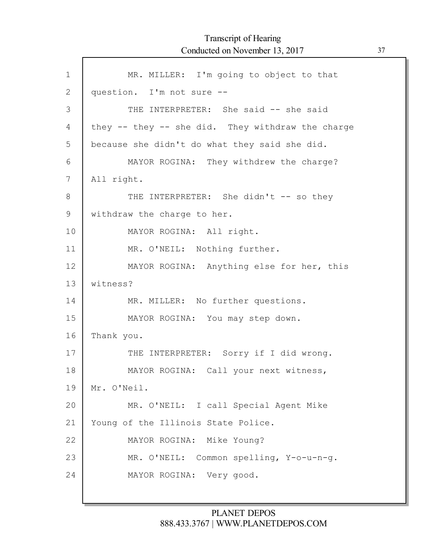$\Gamma$ 

| $\mathbf 1$  | MR. MILLER: I'm going to object to that           |
|--------------|---------------------------------------------------|
| $\mathbf{2}$ | question. I'm not sure --                         |
| 3            | THE INTERPRETER: She said -- she said             |
| 4            | they -- they -- she did. They withdraw the charge |
| 5            | because she didn't do what they said she did.     |
| 6            | MAYOR ROGINA: They withdrew the charge?           |
| 7            | All right.                                        |
| 8            | THE INTERPRETER: She didn't -- so they            |
| 9            | withdraw the charge to her.                       |
| 10           | MAYOR ROGINA: All right.                          |
| 11           | MR. O'NEIL: Nothing further.                      |
| 12           | MAYOR ROGINA: Anything else for her, this         |
| 13           | witness?                                          |
| 14           | MR. MILLER: No further questions.                 |
| 15           | MAYOR ROGINA: You may step down.                  |
| 16           | Thank you.                                        |
| 17           | THE INTERPRETER: Sorry if I did wrong.            |
| 18           | MAYOR ROGINA: Call your next witness,             |
| 19           | Mr. O'Neil.                                       |
| 20           | MR. O'NEIL: I call Special Agent Mike             |
| 21           | Young of the Illinois State Police.               |
| 22           | MAYOR ROGINA: Mike Young?                         |
| 23           | MR. O'NEIL: Common spelling, Y-o-u-n-g.           |
| 24           | MAYOR ROGINA: Very good.                          |
|              |                                                   |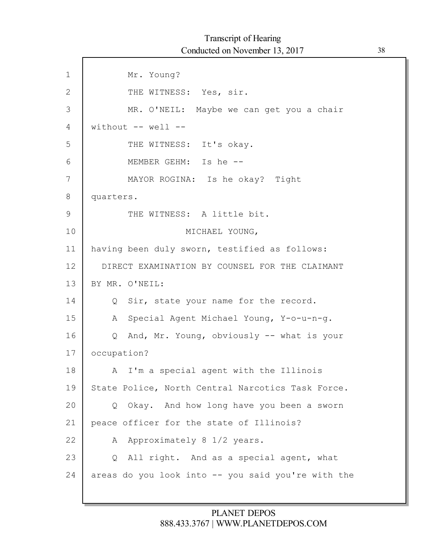| $\mathbf 1$  | Mr. Young?                                         |
|--------------|----------------------------------------------------|
| $\mathbf{2}$ | THE WITNESS: Yes, sir.                             |
| 3            | MR. O'NEIL: Maybe we can get you a chair           |
| 4            | without $--$ well $--$                             |
| 5            | THE WITNESS: It's okay.                            |
| 6            | MEMBER GEHM: Is he --                              |
| 7            | MAYOR ROGINA: Is he okay? Tight                    |
| 8            | quarters.                                          |
| $\mathsf 9$  | THE WITNESS: A little bit.                         |
| 10           | MICHAEL YOUNG,                                     |
| 11           | having been duly sworn, testified as follows:      |
| 12           | DIRECT EXAMINATION BY COUNSEL FOR THE CLAIMANT     |
| 13           | BY MR. O'NEIL:                                     |
| 14           | Q Sir, state your name for the record.             |
| 15           | Special Agent Michael Young, Y-o-u-n-g.<br>A       |
| 16           | Q And, Mr. Young, obviously -- what is your        |
| 17           | occupation?                                        |
| 18           | I'm a special agent with the Illinois<br>A         |
| 19           | State Police, North Central Narcotics Task Force.  |
| 20           | Okay. And how long have you been a sworn<br>Q      |
| 21           | peace officer for the state of Illinois?           |
| 22           | Approximately 8 1/2 years.<br>A                    |
| 23           | All right. And as a special agent, what<br>Q       |
| 24           | areas do you look into -- you said you're with the |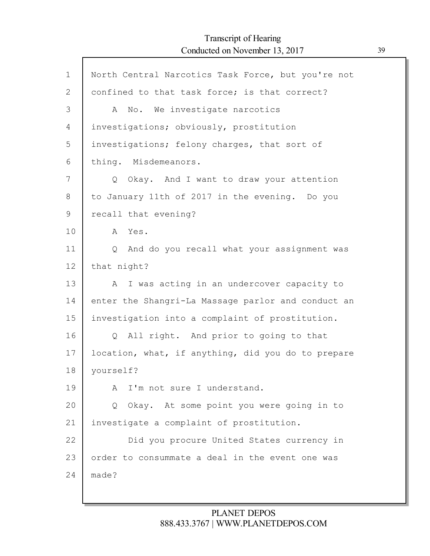| $\mathbf{1}$ | North Central Narcotics Task Force, but you're not     |
|--------------|--------------------------------------------------------|
| 2            | confined to that task force; is that correct?          |
| 3            | No. We investigate narcotics<br>A                      |
| 4            | investigations; obviously, prostitution                |
| 5            | investigations; felony charges, that sort of           |
| 6            | thing. Misdemeanors.                                   |
| 7            | Okay. And I want to draw your attention<br>$Q_{\perp}$ |
| 8            | to January 11th of 2017 in the evening. Do you         |
| 9            | recall that evening?                                   |
| 10           | Yes.<br>A                                              |
| 11           | And do you recall what your assignment was<br>$\circ$  |
| 12           | that night?                                            |
| 13           | I was acting in an undercover capacity to<br>A         |
| 14           | enter the Shangri-La Massage parlor and conduct an     |
| 15           | investigation into a complaint of prostitution.        |
| 16           | All right. And prior to going to that<br>Q             |
| 17           | location, what, if anything, did you do to prepare     |
| 18           | yourself?                                              |
| 19           | I'm not sure I understand.<br>A                        |
| 20           | Okay. At some point you were going in to<br>Q          |
| 21           | investigate a complaint of prostitution.               |
| 22           | Did you procure United States currency in              |
| 23           | order to consummate a deal in the event one was        |
| 24           | made?                                                  |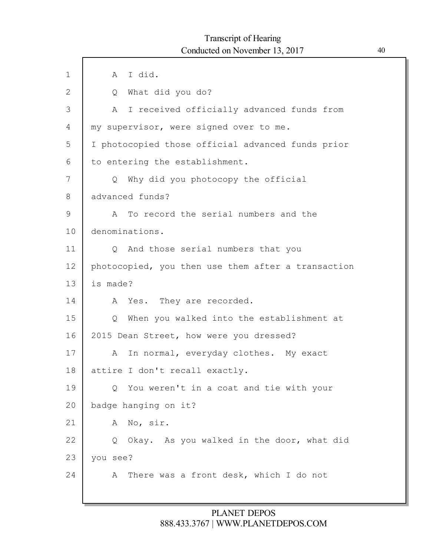# Transcript of Hearing Conducted on November 13, 2017 40

| $\mathbf{1}$  | I did.<br>A                                                 |
|---------------|-------------------------------------------------------------|
| $\mathbf{2}$  | What did you do?<br>Q                                       |
| 3             | I received officially advanced funds from<br>Α              |
| 4             | my supervisor, were signed over to me.                      |
| 5             | I photocopied those official advanced funds prior           |
| 6             | to entering the establishment.                              |
| 7             | Why did you photocopy the official<br>Q                     |
| 8             | advanced funds?                                             |
| $\mathcal{G}$ | To record the serial numbers and the<br>Α                   |
| 10            | denominations.                                              |
| 11            | And those serial numbers that you<br>Q                      |
| 12            | photocopied, you then use them after a transaction          |
| 13            | is made?                                                    |
| 14            | Yes. They are recorded.<br>A                                |
| 15            | When you walked into the establishment at<br>$\overline{Q}$ |
| 16            | 2015 Dean Street, how were you dressed?                     |
| 17            | In normal, everyday clothes. My exact<br>А                  |
| 18            | attire I don't recall exactly.                              |
| 19            | You weren't in a coat and tie with your<br>Q                |
| 20            | badge hanging on it?                                        |
| 21            | No, sir.<br>A                                               |
| 22            | Q Okay. As you walked in the door, what did                 |
| 23            | you see?                                                    |
| 24            | There was a front desk, which I do not<br>A                 |
|               |                                                             |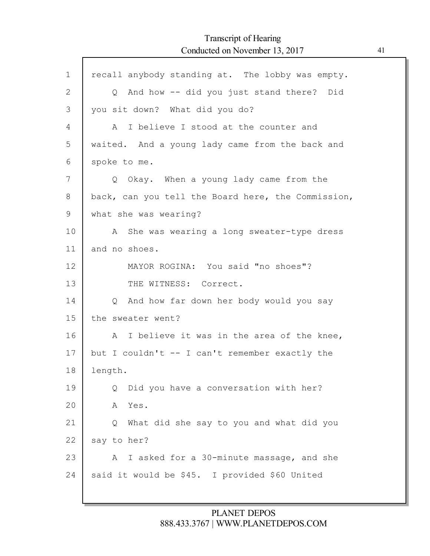# Transcript of Hearing Conducted on November 13, 2017 41

Г

| $\mathbf 1$  | recall anybody standing at. The lobby was empty.   |
|--------------|----------------------------------------------------|
| $\mathbf{2}$ | Q And how -- did you just stand there? Did         |
| 3            | you sit down? What did you do?                     |
| 4            | A I believe I stood at the counter and             |
| 5            | waited. And a young lady came from the back and    |
| 6            | spoke to me.                                       |
| 7            | Q Okay. When a young lady came from the            |
| 8            | back, can you tell the Board here, the Commission, |
| 9            | what she was wearing?                              |
| 10           | A She was wearing a long sweater-type dress        |
| 11           | and no shoes.                                      |
| 12           | MAYOR ROGINA: You said "no shoes"?                 |
| 13           | THE WITNESS: Correct.                              |
| 14           | Q And how far down her body would you say          |
| 15           | the sweater went?                                  |
| 16           | A I believe it was in the area of the knee,        |
| 17           | but I couldn't -- I can't remember exactly the     |
| 18           | length.                                            |
| 19           | Did you have a conversation with her?<br>Q         |
| 20           | Yes.<br>Α                                          |
| 21           | What did she say to you and what did you<br>Q      |
| 22           | say to her?                                        |
| 23           | I asked for a 30-minute massage, and she<br>A      |
| 24           | said it would be \$45. I provided \$60 United      |
|              |                                                    |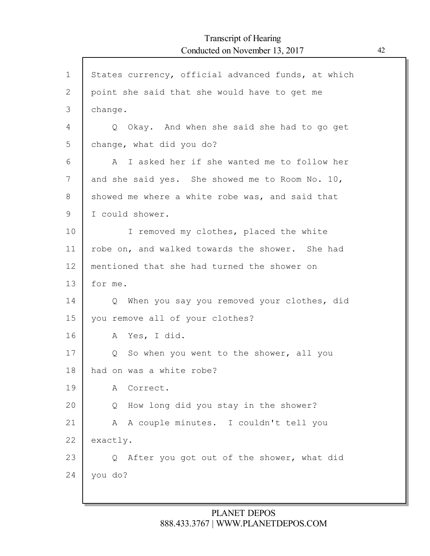| $\mathbf 1$  | States currency, official advanced funds, at which       |
|--------------|----------------------------------------------------------|
| $\mathbf{2}$ | point she said that she would have to get me             |
| 3            | change.                                                  |
| 4            | Q Okay. And when she said she had to go get              |
| 5            | change, what did you do?                                 |
| 6            | A I asked her if she wanted me to follow her             |
| 7            | and she said yes. She showed me to Room No. 10,          |
| 8            | showed me where a white robe was, and said that          |
| 9            | I could shower.                                          |
| 10           | I removed my clothes, placed the white                   |
| 11           | robe on, and walked towards the shower. She had          |
| 12           | mentioned that she had turned the shower on              |
| 13           | for me.                                                  |
| 14           | When you say you removed your clothes, did<br>$\circ$    |
| 15           | you remove all of your clothes?                          |
| 16           | Yes, I did.<br>A                                         |
| 17           | So when you went to the shower, all you<br>Q             |
| 18           | had on was a white robe?                                 |
| 19           | Correct.<br>A                                            |
| 20           | How long did you stay in the shower?<br>Q                |
| 21           | A couple minutes. I couldn't tell you<br>A               |
| 22           | exactly.                                                 |
| 23           | After you got out of the shower, what did<br>$Q_{\perp}$ |
| 24           | you do?                                                  |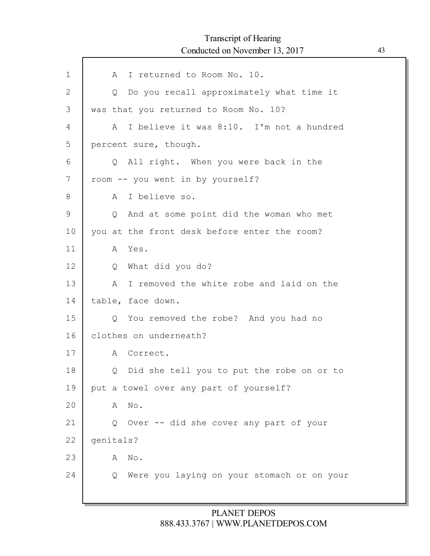# Transcript of Hearing Conducted on November 13, 2017 43

ľ

| $\mathbf 1$ | I returned to Room No. 10.<br>A                         |
|-------------|---------------------------------------------------------|
| 2           | Do you recall approximately what time it<br>$Q_{\cdot}$ |
| 3           | was that you returned to Room No. 10?                   |
| 4           | I believe it was 8:10. I'm not a hundred<br>A           |
| 5           | percent sure, though.                                   |
| 6           | All right. When you were back in the<br>$\circ$         |
| 7           | room -- you went in by yourself?                        |
| 8           | A I believe so.                                         |
| 9           | And at some point did the woman who met<br>$Q_{\perp}$  |
| 10          | you at the front desk before enter the room?            |
| 11          | A Yes.                                                  |
| 12          | What did you do?<br>$Q_{\rm c}$                         |
| 13          | I removed the white robe and laid on the<br>A           |
| 14          | table, face down.                                       |
| 15          | You removed the robe? And you had no<br>$\circ$         |
| 16          | clothes on underneath?                                  |
| 17          | A Correct.                                              |
| 18          | Did she tell you to put the robe on or to<br>Q          |
| 19          | put a towel over any part of yourself?                  |
| 20          | No.<br>A                                                |
| 21          | Q Over -- did she cover any part of your                |
| 22          | qenitals?                                               |
| 23          | No.<br>Α                                                |
| 24          | Were you laying on your stomach or on your<br>Q         |
|             |                                                         |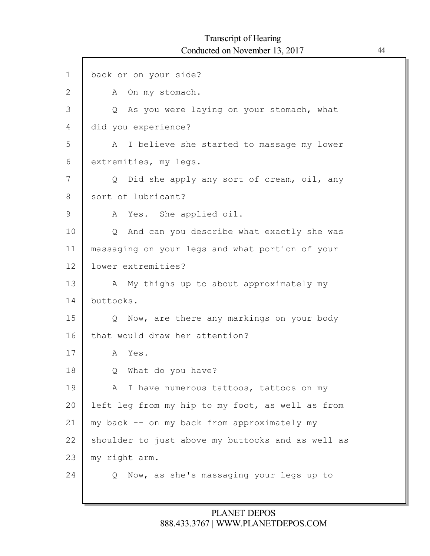| $\mathbf 1$  | back or on your side?                                |
|--------------|------------------------------------------------------|
| $\mathbf{2}$ | A On my stomach.                                     |
| 3            | Q As you were laying on your stomach, what           |
| 4            | did you experience?                                  |
| 5            | A I believe she started to massage my lower          |
| 6            | extremities, my legs.                                |
| 7            | Did she apply any sort of cream, oil, any<br>$\circ$ |
| 8            | sort of lubricant?                                   |
| 9            | A Yes. She applied oil.                              |
| 10           | And can you describe what exactly she was<br>$\circ$ |
| 11           | massaging on your legs and what portion of your      |
| 12           | lower extremities?                                   |
| 13           | A My thighs up to about approximately my             |
| 14           | buttocks.                                            |
| 15           | Q Now, are there any markings on your body           |
| 16           | that would draw her attention?                       |
| 17           | A Yes.                                               |
| 18           | What do you have?<br>Q                               |
| 19           | A I have numerous tattoos, tattoos on my             |
| 20           | left leg from my hip to my foot, as well as from     |
| 21           | my back -- on my back from approximately my          |
| 22           | shoulder to just above my buttocks and as well as    |
| 23           | my right arm.                                        |
| 24           | Now, as she's massaging your legs up to<br>Q         |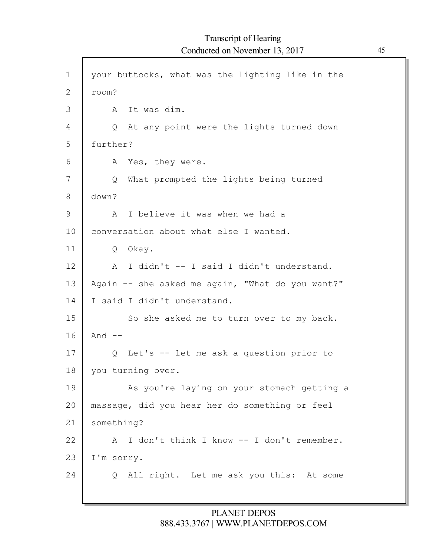| $\mathbf 1$    | your buttocks, what was the lighting like in the        |
|----------------|---------------------------------------------------------|
| $\overline{2}$ | room?                                                   |
| 3              | It was dim.<br>A                                        |
| 4              | At any point were the lights turned down<br>$Q_{\perp}$ |
| 5              | further?                                                |
| 6              | A Yes, they were.                                       |
| 7              | What prompted the lights being turned<br>Q              |
| 8              | down?                                                   |
| 9              | I believe it was when we had a<br>A                     |
| 10             | conversation about what else I wanted.                  |
| 11             | Q Okay.                                                 |
| 12             | I didn't -- I said I didn't understand.<br>A            |
| 13             | Again -- she asked me again, "What do you want?"        |
| 14             | I said I didn't understand.                             |
| 15             | So she asked me to turn over to my back.                |
| 16             | And $--$                                                |
| 17             | Q Let's -- let me ask a question prior to               |
| 18             | you turning over.                                       |
| 19             | As you're laying on your stomach getting a              |
| 20             | massage, did you hear her do something or feel          |
| 21             | something?                                              |
| 22             | I don't think I know -- I don't remember.<br>A          |
| 23             | I'm sorry.                                              |
| 24             | Q All right. Let me ask you this: At some               |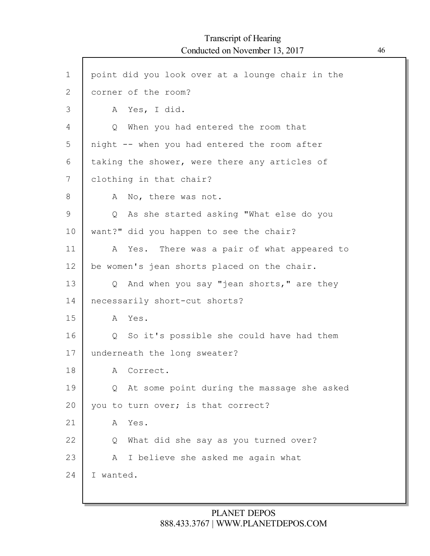| $\mathbf 1$  | point did you look over at a lounge chair in the |
|--------------|--------------------------------------------------|
| $\mathbf{2}$ | corner of the room?                              |
| 3            | A Yes, I did.                                    |
| 4            | Q When you had entered the room that             |
| 5            | night -- when you had entered the room after     |
| 6            | taking the shower, were there any articles of    |
| 7            | clothing in that chair?                          |
| 8            | No, there was not.<br>A                          |
| 9            | Q As she started asking "What else do you        |
| 10           | want?" did you happen to see the chair?          |
| 11           | A Yes. There was a pair of what appeared to      |
| 12           | be women's jean shorts placed on the chair.      |
| 13           | Q And when you say "jean shorts," are they       |
| 14           | necessarily short-cut shorts?                    |
| 15           | A Yes.                                           |
| 16           | Q So it's possible she could have had them       |
| 17           | underneath the long sweater?                     |
| 18           | A Correct.                                       |
| 19           | Q At some point during the massage she asked     |
| 20           | you to turn over; is that correct?               |
| 21           | Yes.<br>A                                        |
| 22           | What did she say as you turned over?<br>Q        |
| 23           | I believe she asked me again what<br>A           |
| 24           | I wanted.                                        |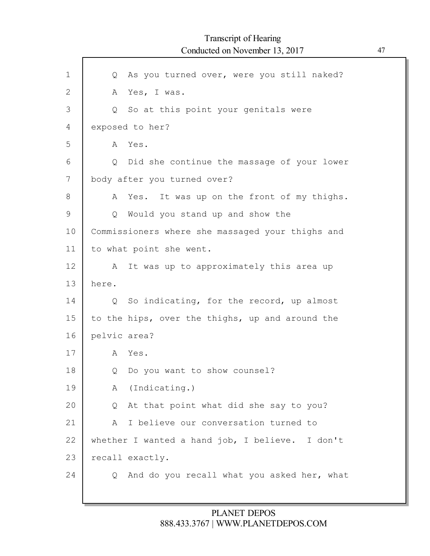| As you turned over, were you still naked?<br>Q   |
|--------------------------------------------------|
| Yes, I was.<br>A                                 |
| Q So at this point your genitals were            |
| exposed to her?                                  |
| A Yes.                                           |
| Did she continue the massage of your lower<br>Q  |
| body after you turned over?                      |
| Yes. It was up on the front of my thighs.<br>A   |
| Would you stand up and show the<br>Q             |
| Commissioners where she massaged your thighs and |
| to what point she went.                          |
| It was up to approximately this area up<br>A     |
| here.                                            |
| Q So indicating, for the record, up almost       |
| to the hips, over the thighs, up and around the  |
| pelvic area?                                     |
| Yes.<br>A                                        |
| Do you want to show counsel?<br>Q                |
| A (Indicating.)                                  |
| At that point what did she say to you?<br>Q      |
| I believe our conversation turned to<br>Α        |
| whether I wanted a hand job, I believe. I don't  |
| recall exactly.                                  |
| And do you recall what you asked her, what<br>Q  |
|                                                  |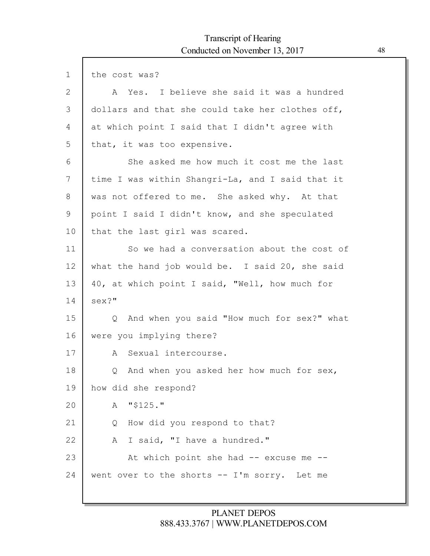| $\mathbf 1$ | the cost was?                                    |
|-------------|--------------------------------------------------|
| 2           | A Yes. I believe she said it was a hundred       |
| 3           | dollars and that she could take her clothes off, |
| 4           | at which point I said that I didn't agree with   |
| 5           | that, it was too expensive.                      |
| 6           | She asked me how much it cost me the last        |
| 7           | time I was within Shangri-La, and I said that it |
| 8           | was not offered to me. She asked why. At that    |
| 9           | point I said I didn't know, and she speculated   |
| 10          | that the last girl was scared.                   |
| 11          | So we had a conversation about the cost of       |
| 12          | what the hand job would be. I said 20, she said  |
| 13          | 40, at which point I said, "Well, how much for   |
| 14          | sex?"                                            |
| 15          | Q And when you said "How much for sex?" what     |
| 16          | were you implying there?                         |
| 17          | A Sexual intercourse.                            |
| 18          | And when you asked her how much for sex,<br>Q    |
| 19          | how did she respond?                             |
| 20          | $"$ \$125."<br>A                                 |
| 21          | How did you respond to that?<br>Q                |
| 22          | I said, "I have a hundred."<br>A                 |
| 23          | At which point she had -- excuse me --           |
| 24          | went over to the shorts -- I'm sorry. Let me     |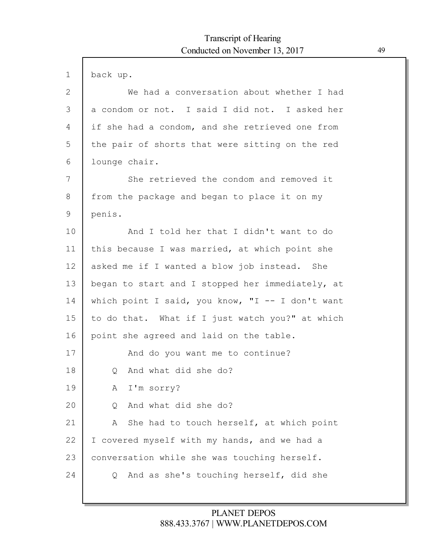| $\mathbf 1$ | back up.                                         |
|-------------|--------------------------------------------------|
| 2           | We had a conversation about whether I had        |
| 3           | a condom or not. I said I did not. I asked her   |
| 4           | if she had a condom, and she retrieved one from  |
| 5           | the pair of shorts that were sitting on the red  |
| 6           | lounge chair.                                    |
| 7           | She retrieved the condom and removed it          |
| 8           | from the package and began to place it on my     |
| 9           | penis.                                           |
| 10          | And I told her that I didn't want to do          |
| 11          | this because I was married, at which point she   |
| 12          | asked me if I wanted a blow job instead. She     |
| 13          | began to start and I stopped her immediately, at |
| 14          | which point I said, you know, "I -- I don't want |
| 15          | to do that. What if I just watch you?" at which  |
| 16          | point she agreed and laid on the table.          |
| 17          | And do you want me to continue?                  |
| 18          | And what did she do?<br>$\circ$                  |
| 19          | I'm sorry?<br>A                                  |
| 20          | And what did she do?<br>Q                        |
| 21          | She had to touch herself, at which point<br>A    |
| 22          | I covered myself with my hands, and we had a     |
| 23          | conversation while she was touching herself.     |
| 24          | And as she's touching herself, did she<br>Q      |
|             |                                                  |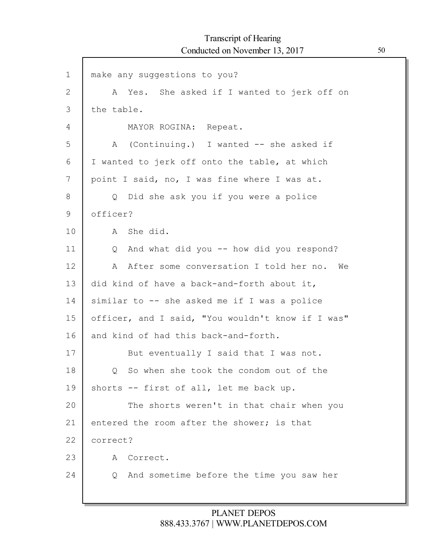$\Gamma$ 

| $\mathbf 1$  | make any suggestions to you?                      |
|--------------|---------------------------------------------------|
| $\mathbf{2}$ | A Yes. She asked if I wanted to jerk off on       |
| 3            | the table.                                        |
| 4            | MAYOR ROGINA: Repeat.                             |
| 5            | A (Continuing.) I wanted -- she asked if          |
| 6            | I wanted to jerk off onto the table, at which     |
| 7            | point I said, no, I was fine where I was at.      |
| 8            | Q Did she ask you if you were a police            |
| 9            | officer?                                          |
| 10           | A She did.                                        |
| 11           | And what did you -- how did you respond?<br>Q     |
| 12           | After some conversation I told her no. We<br>A    |
| 13           | did kind of have a back-and-forth about it,       |
| 14           | similar to -- she asked me if I was a police      |
| 15           | officer, and I said, "You wouldn't know if I was" |
| 16           | and kind of had this back-and-forth.              |
| 17           | But eventually I said that I was not.             |
| 18           | So when she took the condom out of the<br>Q       |
| 19           | shorts -- first of all, let me back up.           |
| 20           | The shorts weren't in that chair when you         |
| 21           | entered the room after the shower; is that        |
| 22           | correct?                                          |
| 23           | Correct.<br>A                                     |
| 24           | And sometime before the time you saw her<br>Q     |
|              |                                                   |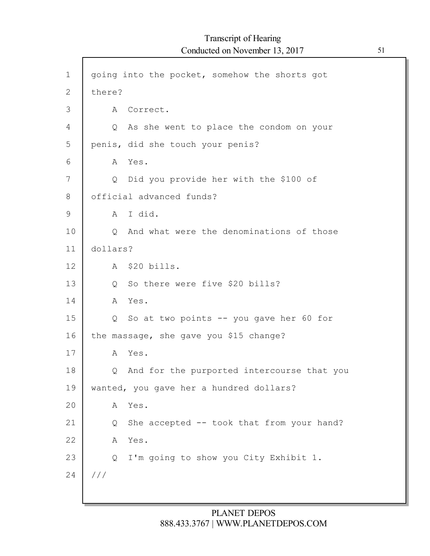$\Gamma$ 

| $\mathbf 1$  | going into the pocket, somehow the shorts got        |
|--------------|------------------------------------------------------|
| $\mathbf{2}$ | there?                                               |
| 3            | Correct.<br>A                                        |
| 4            | As she went to place the condom on your<br>Q         |
| 5            | penis, did she touch your penis?                     |
| 6            | Yes.<br>A                                            |
| 7            | Did you provide her with the \$100 of<br>$Q_{\perp}$ |
| 8            | official advanced funds?                             |
| 9            | I did.<br>A                                          |
| 10           | And what were the denominations of those<br>Q        |
| 11           | dollars?                                             |
| 12           | A \$20 bills.                                        |
| 13           | So there were five \$20 bills?<br>Q                  |
| 14           | Yes.<br>A                                            |
| 15           | So at two points -- you gave her 60 for<br>Q         |
| 16           | the massage, she gave you \$15 change?               |
| 17           | Yes.<br>A                                            |
| 18           | And for the purported intercourse that you<br>Q      |
| 19           | wanted, you gave her a hundred dollars?              |
| 20           | Yes.<br>A                                            |
| 21           | She accepted -- took that from your hand?<br>Q       |
| 22           | Yes.<br>Α                                            |
| 23           | I'm going to show you City Exhibit 1.<br>Q           |
| 24           | $\frac{1}{2}$                                        |
|              |                                                      |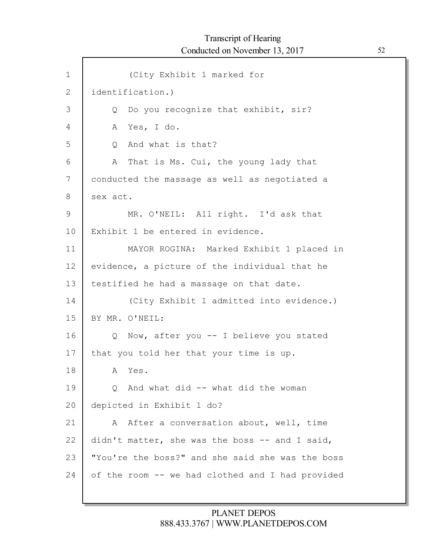1 2 3 4 5 6 7 8 9 10 11 12 13 14 15 16 17 18 19 20 21 22 23 24 (City Exhibit 1 marked for identification.) Q Do you recognize that exhibit, sir? A Yes, I do. Q And what is that? A That is Ms. Cui, the young lady that conducted the massage as well as negotiated a sex act. MR. O'NEIL: All right. I'd ask that Exhibit 1 be entered in evidence. MAYOR ROGINA: Marked Exhibit 1 placed in evidence, a picture of the individual that he testified he had a massage on that date. (City Exhibit 1 admitted into evidence.) BY MR. O'NEIL: Q Now, after you -- I believe you stated that you told her that your time is up. A Yes. Q And what did -- what did the woman depicted in Exhibit 1 do? A After a conversation about, well, time didn't matter, she was the boss -- and I said, "You're the boss?" and she said she was the boss of the room -- we had clothed and I had provided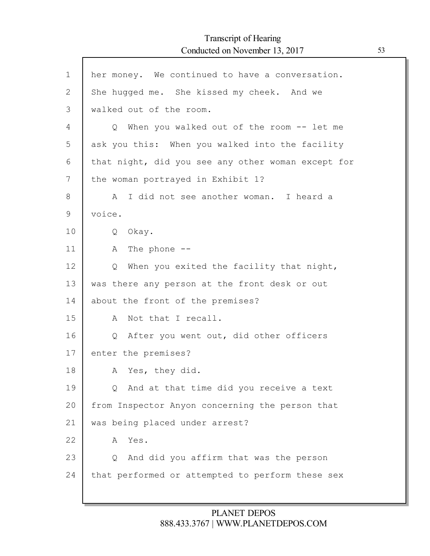# Transcript of Hearing Conducted on November 13, 2017 53

Г

| $\mathbf{1}$   | her money. We continued to have a conversation.        |
|----------------|--------------------------------------------------------|
| $\overline{2}$ | She hugged me. She kissed my cheek. And we             |
| 3              | walked out of the room.                                |
| 4              | Q When you walked out of the room -- let me            |
| 5              | ask you this: When you walked into the facility        |
| 6              | that night, did you see any other woman except for     |
| 7              | the woman portrayed in Exhibit 1?                      |
| 8              | I did not see another woman. I heard a<br>A            |
| 9              | voice.                                                 |
| 10             | Okay.<br>Q                                             |
| 11             | The phone $--$<br>A                                    |
| 12             | When you exited the facility that night,<br>Q          |
| 13             | was there any person at the front desk or out          |
| 14             | about the front of the premises?                       |
| 15             | Not that I recall.<br>A                                |
| 16             | After you went out, did other officers<br>$Q_{\perp}$  |
| 17             | enter the premises?                                    |
| 18             | A Yes, they did.                                       |
| 19             | And at that time did you receive a text<br>$Q_{\perp}$ |
| 20             | from Inspector Anyon concerning the person that        |
| 21             | was being placed under arrest?                         |
| 22             | Yes.<br>A                                              |
| 23             | And did you affirm that was the person<br>Q            |
| 24             | that performed or attempted to perform these sex       |
|                |                                                        |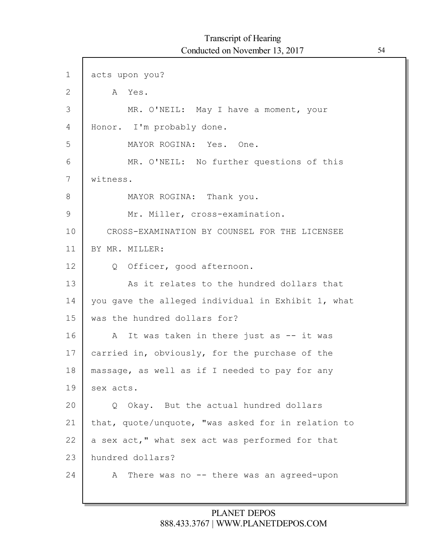1 2 3 4 5 6 7 8 9 10 11 12 13 14 15 16 17 18 19 20 21 22 23 24 acts upon you? A Yes. MR. O'NEIL: May I have a moment, your Honor. I'm probably done. MAYOR ROGINA: Yes. One. MR. O'NEIL: No further questions of this witness. MAYOR ROGINA: Thank you. Mr. Miller, cross-examination. CROSS-EXAMINATION BY COUNSEL FOR THE LICENSEE BY MR. MILLER: Q Officer, good afternoon. As it relates to the hundred dollars that you gave the alleged individual in Exhibit 1, what was the hundred dollars for? A It was taken in there just as -- it was carried in, obviously, for the purchase of the massage, as well as if I needed to pay for any sex acts. Q Okay. But the actual hundred dollars that, quote/unquote, "was asked for in relation to a sex act," what sex act was performed for that hundred dollars? A There was no -- there was an agreed-upon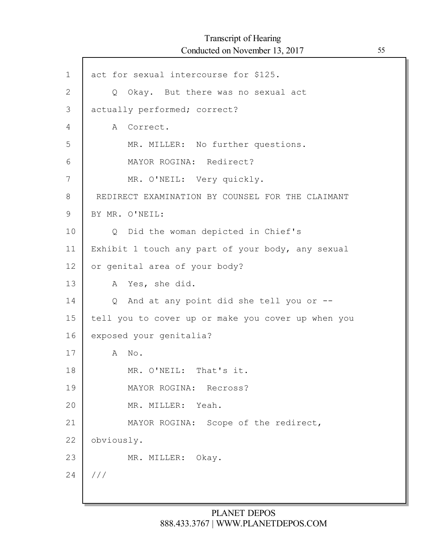$\mathsf{l}$ 

| $\mathbf 1$ | act for sexual intercourse for \$125.              |
|-------------|----------------------------------------------------|
| 2           | Q Okay. But there was no sexual act                |
| 3           | actually performed; correct?                       |
| 4           | A Correct.                                         |
| 5           | MR. MILLER: No further questions.                  |
| 6           | MAYOR ROGINA: Redirect?                            |
| 7           | MR. O'NEIL: Very quickly.                          |
| 8           | REDIRECT EXAMINATION BY COUNSEL FOR THE CLAIMANT   |
| 9           | BY MR. O'NEIL:                                     |
| 10          | Q Did the woman depicted in Chief's                |
| 11          | Exhibit 1 touch any part of your body, any sexual  |
| 12          | or genital area of your body?                      |
| 13          | A Yes, she did.                                    |
| 14          | Q And at any point did she tell you or --          |
| 15          | tell you to cover up or make you cover up when you |
| 16          | exposed your genitalia?                            |
| 17          | No.<br>A                                           |
| 18          | MR. O'NEIL: That's it.                             |
| 19          | MAYOR ROGINA:<br>Recross?                          |
| 20          | Yeah.<br>MR. MILLER:                               |
| 21          | Scope of the redirect,<br>MAYOR ROGINA:            |
| 22          | obviously.                                         |
| 23          | MR. MILLER: Okay.                                  |
| 24          | //                                                 |
|             |                                                    |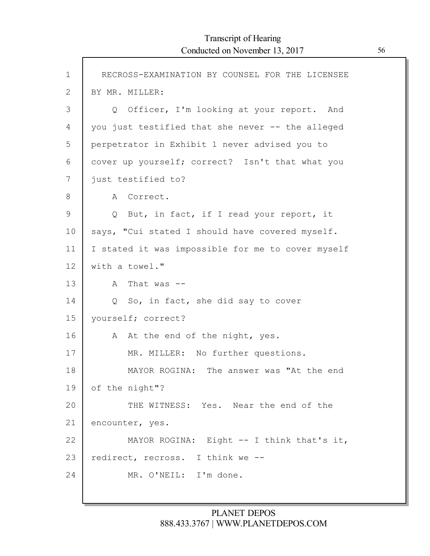$\Gamma$ 

| $\mathbf 1$    | RECROSS-EXAMINATION BY COUNSEL FOR THE LICENSEE    |
|----------------|----------------------------------------------------|
| $\overline{2}$ | BY MR. MILLER:                                     |
| 3              | Q Officer, I'm looking at your report. And         |
| 4              | you just testified that she never -- the alleged   |
| 5              | perpetrator in Exhibit 1 never advised you to      |
| 6              | cover up yourself; correct? Isn't that what you    |
| 7              | just testified to?                                 |
| 8              | A Correct.                                         |
| 9              | But, in fact, if I read your report, it<br>$\circ$ |
| 10             | says, "Cui stated I should have covered myself.    |
| 11             | I stated it was impossible for me to cover myself  |
| 12             | with a towel."                                     |
| 13             | That was $-$<br>A                                  |
| 14             | Q So, in fact, she did say to cover                |
| 15             | yourself; correct?                                 |
| 16             | A At the end of the night, yes.                    |
| 17             | MR. MILLER: No further questions.                  |
| 18             | MAYOR ROGINA: The answer was "At the end           |
| 19             | of the night"?                                     |
| 20             | THE WITNESS: Yes. Near the end of the              |
| 21             | encounter, yes.                                    |
| 22             | MAYOR ROGINA: Eight -- I think that's it,          |
| 23             | redirect, recross. I think we --                   |
| 24             | MR. O'NEIL: I'm done.                              |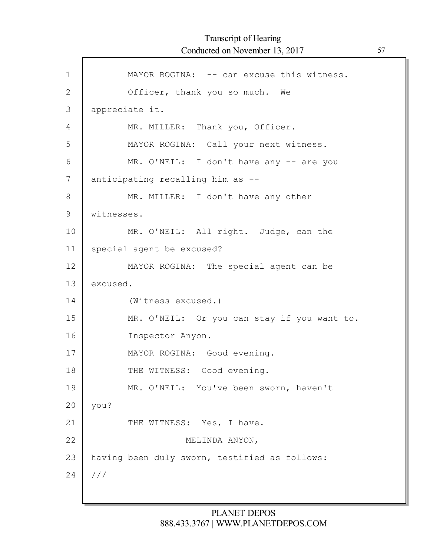| $\mathbf{1}$ | MAYOR ROGINA: -- can excuse this witness.     |
|--------------|-----------------------------------------------|
| $\mathbf{2}$ | Officer, thank you so much. We                |
| 3            | appreciate it.                                |
| 4            | MR. MILLER: Thank you, Officer.               |
| 5            | MAYOR ROGINA: Call your next witness.         |
| 6            | MR. O'NEIL: I don't have any -- are you       |
| 7            | anticipating recalling him as --              |
| 8            | MR. MILLER: I don't have any other            |
| 9            | witnesses.                                    |
| 10           | MR. O'NEIL: All right. Judge, can the         |
| 11           | special agent be excused?                     |
| 12           | MAYOR ROGINA: The special agent can be        |
| 13           | excused.                                      |
| 14           | (Witness excused.)                            |
| 15           | MR. O'NEIL: Or you can stay if you want to.   |
| 16           | Inspector Anyon.                              |
| 17           | MAYOR ROGINA: Good evening.                   |
| 18           | THE WITNESS: Good evening.                    |
| 19           | MR. O'NEIL: You've been sworn, haven't        |
| 20           | you?                                          |
| 21           | THE WITNESS: Yes, I have.                     |
| 22           | MELINDA ANYON,                                |
| 23           | having been duly sworn, testified as follows: |
| 24           | //                                            |
|              |                                               |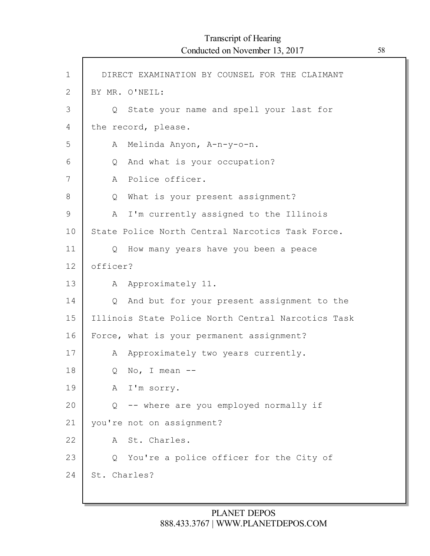$\Gamma$ 

| $\mathbf 1$ | DIRECT EXAMINATION BY COUNSEL FOR THE CLAIMANT     |
|-------------|----------------------------------------------------|
| 2           | BY MR. O'NEIL:                                     |
| 3           | Q State your name and spell your last for          |
| 4           | the record, please.                                |
| 5           | Melinda Anyon, A-n-y-o-n.<br>A                     |
| 6           | And what is your occupation?<br>Q                  |
| 7           | Police officer.<br>A                               |
| 8           | What is your present assignment?<br>Q              |
| 9           | I'm currently assigned to the Illinois<br>A        |
| 10          | State Police North Central Narcotics Task Force.   |
| 11          | How many years have you been a peace<br>$\circ$    |
| 12          | officer?                                           |
| 13          | Approximately 11.<br>A                             |
| 14          | And but for your present assignment to the<br>Q    |
| 15          | Illinois State Police North Central Narcotics Task |
| 16          | Force, what is your permanent assignment?          |
| 17          | Approximately two years currently.<br>A            |
| 18          | No, I mean $--$<br>Q                               |
| 19          | I'm sorry.<br>A                                    |
| 20          | -- where are you employed normally if<br>Q         |
| 21          | you're not on assignment?                          |
| 22          | St. Charles.<br>A                                  |
| 23          | You're a police officer for the City of<br>Q       |
| 24          | St. Charles?                                       |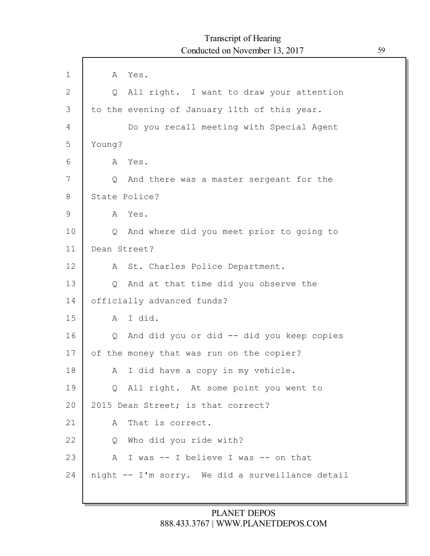| $\mathbf 1$  | Yes.<br>A                                                |
|--------------|----------------------------------------------------------|
| $\mathbf{2}$ | Q All right. I want to draw your attention               |
| 3            | to the evening of January 11th of this year.             |
| 4            | Do you recall meeting with Special Agent                 |
| 5            | Young?                                                   |
| 6            | Yes.<br>A                                                |
| 7            | And there was a master sergeant for the<br>$\circ$       |
| 8            | State Police?                                            |
| 9            | A Yes.                                                   |
| 10           | And where did you meet prior to going to<br>$\circ$      |
| 11           | Dean Street?                                             |
| 12           | St. Charles Police Department.<br>A                      |
| 13           | And at that time did you observe the<br>Q                |
| 14           | officially advanced funds?                               |
| 15           | I did.<br>A                                              |
| 16           | And did you or did -- did you keep copies<br>$Q_{\perp}$ |
| 17           | of the money that was run on the copier?                 |
| 18           | I did have a copy in my vehicle.<br>A                    |
| 19           | Q All right. At some point you went to                   |
| 20           | 2015 Dean Street; is that correct?                       |
| 21           | That is correct.<br>A                                    |
| 22           | Who did you ride with?<br>Q                              |
| 23           | I was -- I believe I was -- on that<br>A                 |
| 24           | night -- I'm sorry. We did a surveillance detail         |
|              |                                                          |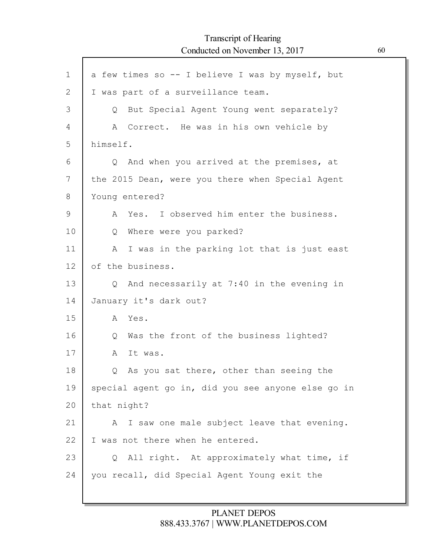| $\mathbf 1$  | a few times so -- I believe I was by myself, but        |
|--------------|---------------------------------------------------------|
| $\mathbf{2}$ | I was part of a surveillance team.                      |
| 3            | But Special Agent Young went separately?<br>$Q_{\perp}$ |
| 4            | A Correct. He was in his own vehicle by                 |
| 5            | himself.                                                |
| 6            | And when you arrived at the premises, at<br>$\circ$     |
| 7            | the 2015 Dean, were you there when Special Agent        |
| 8            | Young entered?                                          |
| 9            | I observed him enter the business.<br>Yes.<br>A         |
| 10           | Where were you parked?<br>Q                             |
| 11           | I was in the parking lot that is just east<br>A         |
| 12           | of the business.                                        |
| 13           | Q And necessarily at 7:40 in the evening in             |
| 14           | January it's dark out?                                  |
| 15           | A Yes.                                                  |
| 16           | Was the front of the business lighted?<br>Q             |
| 17           | It was.<br>A                                            |
| 18           | As you sat there, other than seeing the<br>Q            |
| 19           | special agent go in, did you see anyone else go in      |
| 20           | that night?                                             |
| 21           | I saw one male subject leave that evening.<br>A         |
| 22           | I was not there when he entered.                        |
| 23           | Q All right. At approximately what time, if             |
| 24           | you recall, did Special Agent Young exit the            |
|              |                                                         |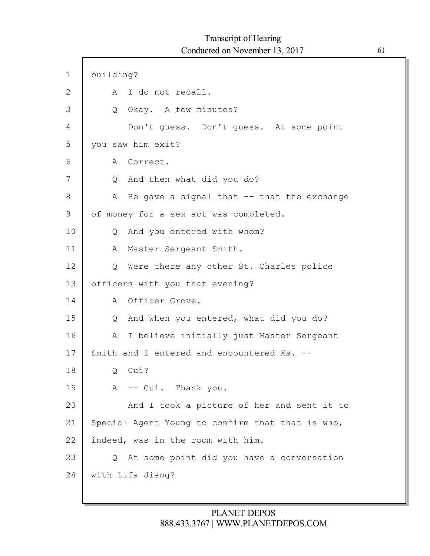$\mathsf{l}$ 

| $\mathbf 1$ | building?                                                |
|-------------|----------------------------------------------------------|
| 2           | A I do not recall.                                       |
| 3           | Okay. A few minutes?<br>Q                                |
| 4           | Don't guess. Don't guess. At some point                  |
| 5           | you saw him exit?                                        |
| 6           | A Correct.                                               |
| 7           | And then what did you do?<br>$Q_{\cdot}$                 |
| 8           | He gave a signal that $--$ that the exchange<br>A        |
| 9           | of money for a sex act was completed.                    |
| 10          | And you entered with whom?<br>$Q_{\perp}$                |
| 11          | Master Sergeant Smith.<br>A                              |
| 12          | Were there any other St. Charles police<br>$\circ$       |
| 13          | officers with you that evening?                          |
| 14          | A Officer Grove.                                         |
| 15          | And when you entered, what did you do?<br>Q              |
| 16          | A I believe initially just Master Sergeant               |
| 17          | Smith and I entered and encountered Ms. --               |
| 18          | Cui?<br>Q.                                               |
| 19          | -- Cui. Thank you.<br>A                                  |
| 20          | And I took a picture of her and sent it to               |
| 21          | Special Agent Young to confirm that that is who,         |
| 22          | indeed, was in the room with him.                        |
| 23          | At some point did you have a conversation<br>$Q_{\perp}$ |
| 24          | with Lifa Jiang?                                         |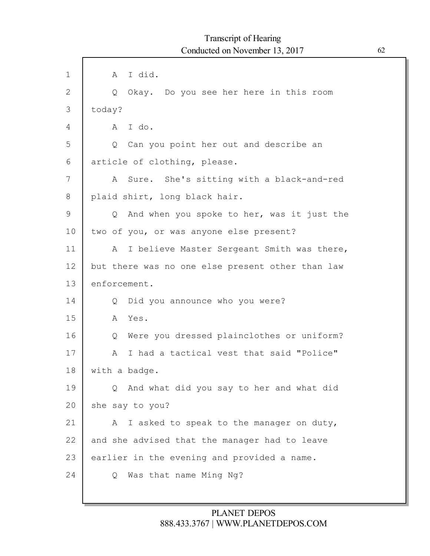| $\mathbf 1$ | A I did.                                            |
|-------------|-----------------------------------------------------|
| 2           | Okay. Do you see her here in this room<br>Q         |
| 3           | today?                                              |
| 4           | I do.<br>A                                          |
| 5           | Q Can you point her out and describe an             |
| 6           | article of clothing, please.                        |
| 7           | Sure. She's sitting with a black-and-red<br>A       |
| 8           | plaid shirt, long black hair.                       |
| 9           | And when you spoke to her, was it just the<br>Q     |
| 10          | two of you, or was anyone else present?             |
| 11          | I believe Master Sergeant Smith was there,<br>A     |
| 12          | but there was no one else present other than law    |
| 13          | enforcement.                                        |
| 14          | Did you announce who you were?<br>$\circ$           |
| 15          | Yes.<br>A                                           |
| 16          | Were you dressed plainclothes or uniform?<br>Q      |
| 17          | I had a tactical vest that said "Police"<br>A       |
| 18          | with a badge.                                       |
| 19          | And what did you say to her and what did<br>$\circ$ |
| 20          | she say to you?                                     |
| 21          | I asked to speak to the manager on duty,<br>A       |
| 22          | and she advised that the manager had to leave       |
| 23          | earlier in the evening and provided a name.         |
| 24          | Was that name Ming Ng?<br>Q                         |
|             |                                                     |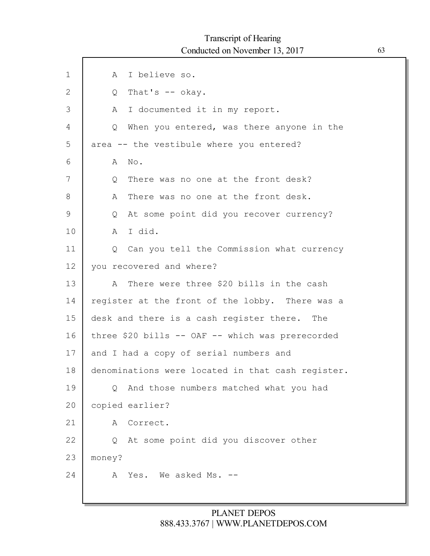| $\mathbf 1$   | I believe so.<br>A                                   |
|---------------|------------------------------------------------------|
| $\mathbf{2}$  | That's $--$ okay.<br>$Q_{\perp}$                     |
| 3             | I documented it in my report.<br>A                   |
| 4             | When you entered, was there anyone in the<br>$\circ$ |
| 5             | area -- the vestibule where you entered?             |
| 6             | No.<br>A                                             |
| 7             | There was no one at the front desk?<br>Q             |
| 8             | There was no one at the front desk.<br>A             |
| $\mathcal{G}$ | At some point did you recover currency?<br>Q         |
| 10            | I did.<br>A                                          |
| 11            | Q Can you tell the Commission what currency          |
| 12            | you recovered and where?                             |
| 13            | There were three \$20 bills in the cash<br>A         |
| 14            | register at the front of the lobby. There was a      |
| 15            | desk and there is a cash register there. The         |
| 16            | three \$20 bills -- OAF -- which was prerecorded     |
| 17            | and I had a copy of serial numbers and               |
| 18            | denominations were located in that cash register.    |
| 19            | And those numbers matched what you had<br>$\circ$    |
| 20            | copied earlier?                                      |
| 21            | Correct.<br>Α                                        |
| 22            | At some point did you discover other<br>Q            |
| 23            | money?                                               |
| 24            | Yes. We asked Ms. --<br>A                            |
|               |                                                      |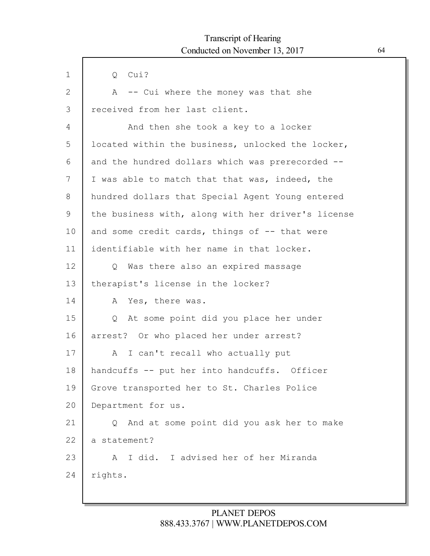| $\mathbf 1$ | Cui?<br>Q                                            |
|-------------|------------------------------------------------------|
| 2           | -- Cui where the money was that she<br>A             |
| 3           | received from her last client.                       |
| 4           | And then she took a key to a locker                  |
| 5           | located within the business, unlocked the locker,    |
| 6           | and the hundred dollars which was prerecorded --     |
| 7           | I was able to match that that was, indeed, the       |
| 8           | hundred dollars that Special Agent Young entered     |
| 9           | the business with, along with her driver's license   |
| 10          | and some credit cards, things of -- that were        |
| 11          | identifiable with her name in that locker.           |
| 12          | Q Was there also an expired massage                  |
| 13          | therapist's license in the locker?                   |
| 14          | Yes, there was.<br>A                                 |
| 15          | At some point did you place her under<br>Q           |
| 16          | arrest? Or who placed her under arrest?              |
| 17          | I can't recall who actually put<br>A                 |
| 18          | handcuffs -- put her into handcuffs. Officer         |
| 19          | Grove transported her to St. Charles Police          |
| 20          | Department for us.                                   |
| 21          | And at some point did you ask her to make<br>$\circ$ |
| 22          | a statement?                                         |
| 23          | I did. I advised her of her Miranda<br>A             |
| 24          | rights.                                              |
|             |                                                      |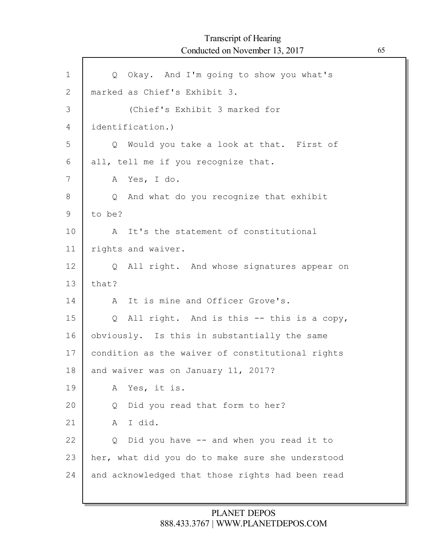| $\mathbf{1}$ | Q Okay. And I'm going to show you what's         |
|--------------|--------------------------------------------------|
| 2            | marked as Chief's Exhibit 3.                     |
| 3            | (Chief's Exhibit 3 marked for                    |
| 4            | identification.)                                 |
| 5            | Q Would you take a look at that. First of        |
| 6            | all, tell me if you recognize that.              |
| 7            | A Yes, I do.                                     |
| 8            | Q And what do you recognize that exhibit         |
| 9            | to be?                                           |
| 10           | A It's the statement of constitutional           |
| 11           | rights and waiver.                               |
| 12           | Q All right. And whose signatures appear on      |
| 13           | that?                                            |
| 14           | It is mine and Officer Grove's.<br>A             |
| 15           | Q All right. And is this -- this is a copy,      |
| 16           | obviously. Is this in substantially the same     |
| 17           | condition as the waiver of constitutional rights |
| 18           | and waiver was on January 11, 2017?              |
| 19           | Yes, it is.<br>А                                 |
| 20           | Did you read that form to her?<br>Q              |
| 21           | I did.<br>A                                      |
| 22           | Did you have -- and when you read it to<br>Q     |
| 23           | her, what did you do to make sure she understood |
| 24           | and acknowledged that those rights had been read |
|              |                                                  |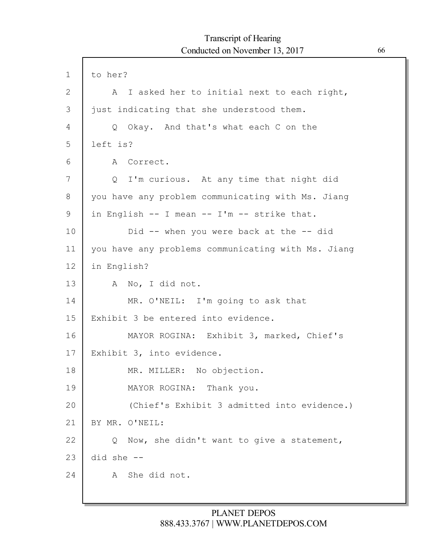| $\mathbf 1$  | to her?                                            |
|--------------|----------------------------------------------------|
| $\mathbf{2}$ | I asked her to initial next to each right,<br>A    |
| 3            | just indicating that she understood them.          |
| 4            | Q Okay. And that's what each C on the              |
| 5            | left is?                                           |
| 6            | A Correct.                                         |
| 7            | I'm curious. At any time that night did<br>Q       |
| 8            | you have any problem communicating with Ms. Jiang  |
| 9            | in English -- I mean -- I'm -- strike that.        |
| 10           | Did $-$ when you were back at the $-$ did          |
| 11           | you have any problems communicating with Ms. Jiang |
| 12           | in English?                                        |
| 13           | A No, I did not.                                   |
| 14           | MR. O'NEIL: I'm going to ask that                  |
| 15           | Exhibit 3 be entered into evidence.                |
| 16           | MAYOR ROGINA: Exhibit 3, marked, Chief's           |
| 17           | Exhibit 3, into evidence.                          |
| 18           | MR. MILLER: No objection.                          |
| 19           | MAYOR ROGINA: Thank you.                           |
| 20           | (Chief's Exhibit 3 admitted into evidence.)        |
| 21           | BY MR. O'NEIL:                                     |
| 22           | Now, she didn't want to give a statement,<br>Q     |
| 23           | $did$ she $--$                                     |
| 24           | She did not.<br>A                                  |
|              |                                                    |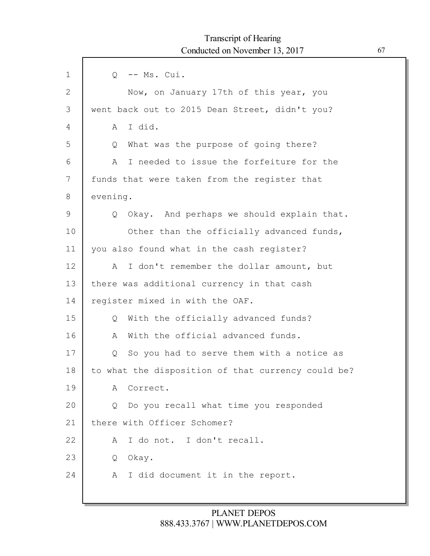| $\mathbf 1$  | -- Ms. Cui.<br>$Q_{\perp}$                         |
|--------------|----------------------------------------------------|
| $\mathbf{2}$ | Now, on January 17th of this year, you             |
| 3            | went back out to 2015 Dean Street, didn't you?     |
| 4            | I did.<br>A                                        |
| 5            | What was the purpose of going there?<br>Q          |
| 6            | I needed to issue the forfeiture for the<br>A      |
| 7            | funds that were taken from the register that       |
| 8            | evening.                                           |
| $\mathsf 9$  | Okay. And perhaps we should explain that.<br>Q     |
| 10           | Other than the officially advanced funds,          |
| 11           | you also found what in the cash register?          |
| 12           | I don't remember the dollar amount, but<br>A       |
| 13           | there was additional currency in that cash         |
| 14           | register mixed in with the OAF.                    |
| 15           | With the officially advanced funds?<br>$Q_{\cdot}$ |
| 16           | With the official advanced funds.<br>A             |
| 17           | So you had to serve them with a notice as<br>Q     |
| 18           | to what the disposition of that currency could be? |
| 19           | Correct.<br>A                                      |
| 20           | Do you recall what time you responded<br>Q         |
| 21           | there with Officer Schomer?                        |
| 22           | I do not. I don't recall.<br>A                     |
| 23           | Okay.<br>Q                                         |
| 24           | I did document it in the report.<br>A              |
|              |                                                    |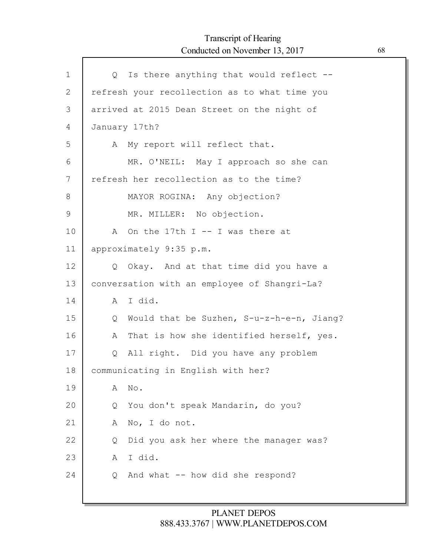# Transcript of Hearing Conducted on November 13, 2017 68

| $\mathbf{1}$ | Q Is there anything that would reflect --      |
|--------------|------------------------------------------------|
| $\mathbf{2}$ | refresh your recollection as to what time you  |
| 3            | arrived at 2015 Dean Street on the night of    |
| 4            | January 17th?                                  |
| 5            | My report will reflect that.<br>A              |
| 6            | MR. O'NEIL: May I approach so she can          |
| 7            | refresh her recollection as to the time?       |
| 8            | MAYOR ROGINA: Any objection?                   |
| 9            | MR. MILLER: No objection.                      |
| 10           | On the 17th $I$ -- I was there at<br>A         |
| 11           | approximately 9:35 p.m.                        |
| 12           | Q Okay. And at that time did you have a        |
| 13           | conversation with an employee of Shangri-La?   |
| 14           | I did.<br>A                                    |
| 15           | Would that be Suzhen, S-u-z-h-e-n, Jiang?<br>Q |
| 16           | That is how she identified herself, yes.<br>A  |
| 17           | All right. Did you have any problem<br>Q       |
| 18           | communicating in English with her?             |
| 19           | $\mathbb{N} \circ$ .<br>A                      |
| 20           | You don't speak Mandarin, do you?<br>Q         |
| 21           | No, I do not.<br>A                             |
| 22           | Did you ask her where the manager was?<br>Q    |
| 23           | I did.<br>A                                    |
| 24           | And what -- how did she respond?<br>Q          |
|              |                                                |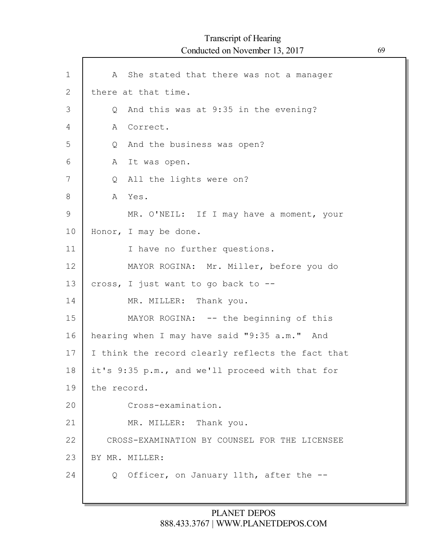| $\mathbf 1$ | A She stated that there was not a manager           |
|-------------|-----------------------------------------------------|
| 2           | there at that time.                                 |
| 3           | And this was at 9:35 in the evening?<br>$Q_{\perp}$ |
| 4           | Correct.<br>A                                       |
| 5           | And the business was open?<br>Q                     |
| 6           | A<br>It was open.                                   |
| 7           | All the lights were on?<br>Q                        |
| 8           | A Yes.                                              |
| 9           | MR. O'NEIL: If I may have a moment, your            |
| 10          | Honor, I may be done.                               |
| 11          | I have no further questions.                        |
| 12          | MAYOR ROGINA: Mr. Miller, before you do             |
| 13          | cross, I just want to go back to --                 |
| 14          | MR. MILLER: Thank you.                              |
| 15          | MAYOR ROGINA: -- the beginning of this              |
| 16          | hearing when I may have said "9:35 a.m." And        |
| 17          | I think the record clearly reflects the fact that   |
| 18          | it's 9:35 p.m., and we'll proceed with that for     |
| 19          | the record.                                         |
| 20          | Cross-examination.                                  |
| 21          | MR. MILLER: Thank you.                              |
| 22          | CROSS-EXAMINATION BY COUNSEL FOR THE LICENSEE       |
| 23          | BY MR. MILLER:                                      |
| 24          | Officer, on January 11th, after the --<br>$\circ$   |
|             |                                                     |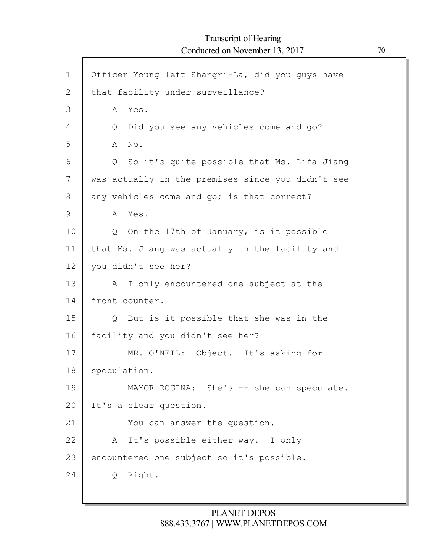| $\mathbf 1$  | Officer Young left Shangri-La, did you guys have  |
|--------------|---------------------------------------------------|
| $\mathbf{2}$ | that facility under surveillance?                 |
| 3            | Yes.<br>A                                         |
| 4            | Did you see any vehicles come and go?<br>Q        |
| 5            | No.<br>A                                          |
| 6            | Q So it's quite possible that Ms. Lifa Jiang      |
| 7            | was actually in the premises since you didn't see |
| 8            | any vehicles come and go; is that correct?        |
| 9            | A Yes.                                            |
| 10           | On the 17th of January, is it possible<br>Q       |
| 11           | that Ms. Jiang was actually in the facility and   |
| 12           | you didn't see her?                               |
| 13           | I only encountered one subject at the<br>A        |
| 14           | front counter.                                    |
| 15           | Q But is it possible that she was in the          |
| 16           | facility and you didn't see her?                  |
| 17           | MR. O'NEIL: Object. It's asking for               |
| 18           | speculation.                                      |
| 19           | MAYOR ROGINA: She's -- she can speculate.         |
| 20           | It's a clear question.                            |
| 21           | You can answer the question.                      |
| 22           | It's possible either way. I only<br>A             |
| 23           | encountered one subject so it's possible.         |
| 24           | Right.<br>Q                                       |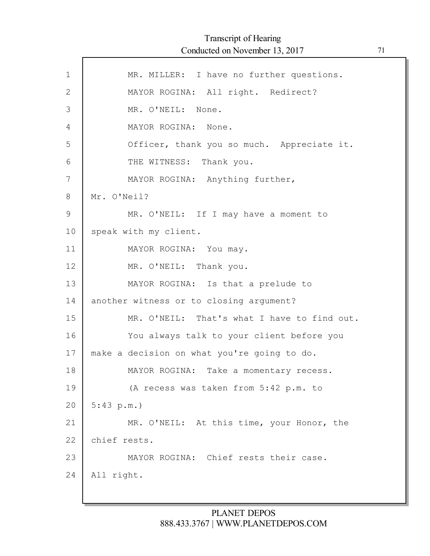$\Gamma$ 

| $\mathbf 1$  | MR. MILLER: I have no further questions.    |
|--------------|---------------------------------------------|
| $\mathbf{2}$ | MAYOR ROGINA: All right. Redirect?          |
| 3            | MR. O'NEIL: None.                           |
| 4            | MAYOR ROGINA: None.                         |
| 5            | Officer, thank you so much. Appreciate it.  |
| 6            | THE WITNESS: Thank you.                     |
| 7            | MAYOR ROGINA: Anything further,             |
| 8            | Mr. O'Neil?                                 |
| 9            | MR. O'NEIL: If I may have a moment to       |
| 10           | speak with my client.                       |
| 11           | MAYOR ROGINA: You may.                      |
| 12           | MR. O'NEIL: Thank you.                      |
| 13           | MAYOR ROGINA: Is that a prelude to          |
| 14           | another witness or to closing argument?     |
| 15           | MR. O'NEIL: That's what I have to find out. |
| 16           | You always talk to your client before you   |
| 17           | make a decision on what you're going to do. |
| 18           | MAYOR ROGINA: Take a momentary recess.      |
| 19           | (A recess was taken from 5:42 p.m. to       |
| 20           | 5:43 p.m.                                   |
| 21           | MR. O'NEIL: At this time, your Honor, the   |
| 22           | chief rests.                                |
| 23           | MAYOR ROGINA: Chief rests their case.       |
| 24           | All right.                                  |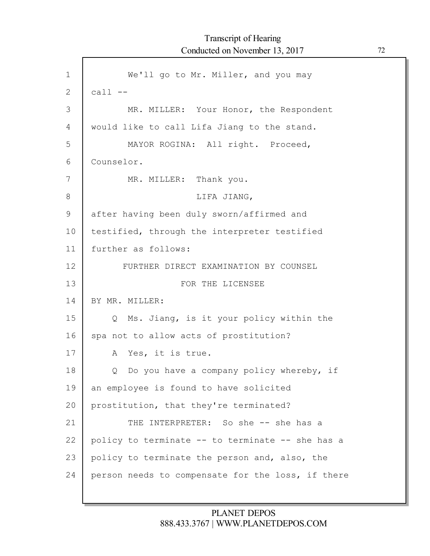1 2 3 4 5 6 7 8 9 10 11 12 13 14 15 16 17 18 19 20 21 22 23 24 We'll go to Mr. Miller, and you may  $call --$ MR. MILLER: Your Honor, the Respondent would like to call Lifa Jiang to the stand. MAYOR ROGINA: All right. Proceed, Counselor. MR. MILLER: Thank you. LIFA JIANG, after having been duly sworn/affirmed and testified, through the interpreter testified further as follows: FURTHER DIRECT EXAMINATION BY COUNSEL FOR THE LICENSEE BY MR. MILLER: Q Ms. Jiang, is it your policy within the spa not to allow acts of prostitution? A Yes, it is true. Q Do you have a company policy whereby, if an employee is found to have solicited prostitution, that they're terminated? THE INTERPRETER: So she -- she has a policy to terminate -- to terminate -- she has a policy to terminate the person and, also, the person needs to compensate for the loss, if there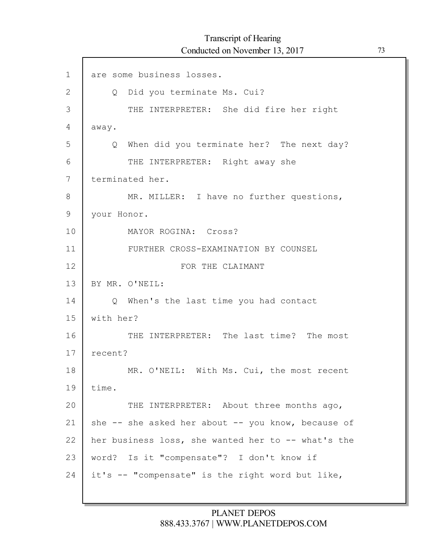Г

| $\mathbf 1$   | are some business losses.                            |
|---------------|------------------------------------------------------|
| $\mathbf{2}$  | Did you terminate Ms. Cui?<br>Q                      |
| 3             | THE INTERPRETER: She did fire her right              |
| 4             | away.                                                |
| 5             | Q When did you terminate her? The next day?          |
| 6             | THE INTERPRETER: Right away she                      |
| 7             | terminated her.                                      |
| 8             | MR. MILLER: I have no further questions,             |
| $\mathcal{G}$ | your Honor.                                          |
| 10            | MAYOR ROGINA: Cross?                                 |
| 11            | FURTHER CROSS-EXAMINATION BY COUNSEL                 |
| 12            | FOR THE CLAIMANT                                     |
| 13            | BY MR. O'NEIL:                                       |
| 14            | Q When's the last time you had contact               |
| 15            | with her?                                            |
| 16            | THE INTERPRETER: The last time? The most             |
| 17            | recent?                                              |
| 18            | MR. O'NEIL: With Ms. Cui, the most recent            |
| 19            | time.                                                |
| 20            | THE INTERPRETER: About three months ago,             |
| 21            | she $-$ she asked her about $-$ you know, because of |
| 22            | her business loss, she wanted her to -- what's the   |
| 23            | word? Is it "compensate"? I don't know if            |
| 24            | it's -- "compensate" is the right word but like,     |
|               |                                                      |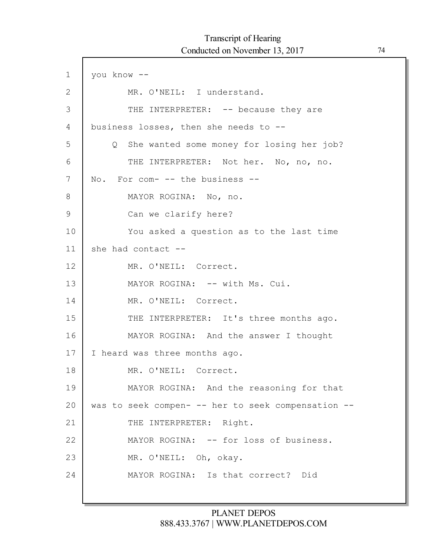| $\mathbf 1$ | you know --                                        |
|-------------|----------------------------------------------------|
| 2           | MR. O'NEIL: I understand.                          |
| 3           | THE INTERPRETER: -- because they are               |
| 4           | business losses, then she needs to --              |
| 5           | Q She wanted some money for losing her job?        |
| 6           | THE INTERPRETER: Not her. No, no, no.              |
| 7           | No. For com- -- the business --                    |
| 8           | MAYOR ROGINA: No, no.                              |
| 9           | Can we clarify here?                               |
| 10          | You asked a question as to the last time           |
| 11          | she had contact --                                 |
| 12          | MR. O'NEIL: Correct.                               |
| 13          | MAYOR ROGINA: -- with Ms. Cui.                     |
| 14          | MR. O'NEIL: Correct.                               |
| 15          | THE INTERPRETER: It's three months ago.            |
| 16          | MAYOR ROGINA: And the answer I thought             |
| 17          | I heard was three months ago.                      |
| 18          | MR. O'NEIL: Correct.                               |
| 19          | MAYOR ROGINA: And the reasoning for that           |
| 20          | was to seek compen- -- her to seek compensation -- |
| 21          | THE INTERPRETER: Right.                            |
| 22          | MAYOR ROGINA: -- for loss of business.             |
| 23          | MR. O'NEIL: Oh, okay.                              |
| 24          | MAYOR ROGINA: Is that correct? Did                 |
|             |                                                    |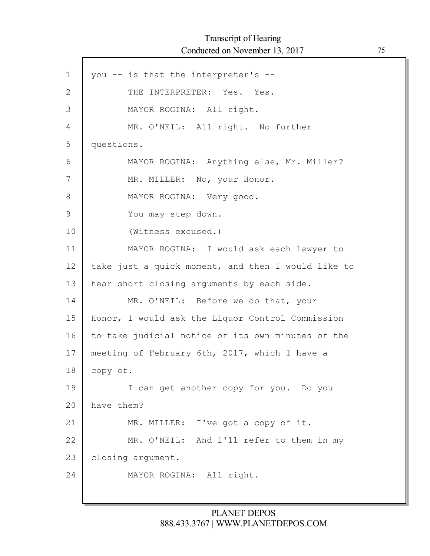Г

| $\mathbf 1$   | you -- is that the interpreter's --                |
|---------------|----------------------------------------------------|
| $\mathbf{2}$  | THE INTERPRETER: Yes. Yes.                         |
| 3             | MAYOR ROGINA: All right.                           |
| 4             | MR. O'NEIL: All right. No further                  |
| 5             | questions.                                         |
| 6             | MAYOR ROGINA: Anything else, Mr. Miller?           |
| 7             | MR. MILLER: No, your Honor.                        |
| 8             | MAYOR ROGINA: Very good.                           |
| $\mathcal{G}$ | You may step down.                                 |
| 10            | (Witness excused.)                                 |
| 11            | MAYOR ROGINA: I would ask each lawyer to           |
| 12            | take just a quick moment, and then I would like to |
| 13            | hear short closing arguments by each side.         |
| 14            | MR. O'NEIL: Before we do that, your                |
| 15            | Honor, I would ask the Liquor Control Commission   |
| 16            | to take judicial notice of its own minutes of the  |
| 17            | meeting of February 6th, 2017, which I have a      |
| 18            | copy of.                                           |
| 19            | I can get another copy for you. Do you             |
| 20            | have them?                                         |
| 21            | MR. MILLER: I've got a copy of it.                 |
| 22            | MR. O'NEIL: And I'll refer to them in my           |
| 23            | closing argument.                                  |
| 24            | MAYOR ROGINA: All right.                           |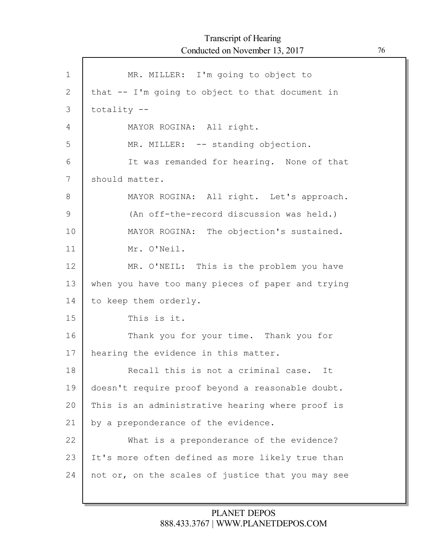Г

| $\mathbf{1}$  | MR. MILLER: I'm going to object to                |
|---------------|---------------------------------------------------|
| $\mathbf{2}$  | that -- I'm going to object to that document in   |
| 3             | $totality$ --                                     |
| 4             | MAYOR ROGINA: All right.                          |
| 5             | MR. MILLER: -- standing objection.                |
| 6             | It was remanded for hearing. None of that         |
| 7             | should matter.                                    |
| 8             | MAYOR ROGINA: All right. Let's approach.          |
| $\mathcal{G}$ | (An off-the-record discussion was held.)          |
| 10            | MAYOR ROGINA: The objection's sustained.          |
| 11            | Mr. O'Neil.                                       |
| 12            | MR. O'NEIL: This is the problem you have          |
| 13            | when you have too many pieces of paper and trying |
| 14            | to keep them orderly.                             |
| 15            | This is it.                                       |
| 16            | Thank you for your time. Thank you for            |
| 17            | hearing the evidence in this matter.              |
| 18            | Recall this is not a criminal case. It            |
| 19            | doesn't require proof beyond a reasonable doubt.  |
| 20            | This is an administrative hearing where proof is  |
| 21            | by a preponderance of the evidence.               |
| 22            | What is a preponderance of the evidence?          |
| 23            | It's more often defined as more likely true than  |
| 24            | not or, on the scales of justice that you may see |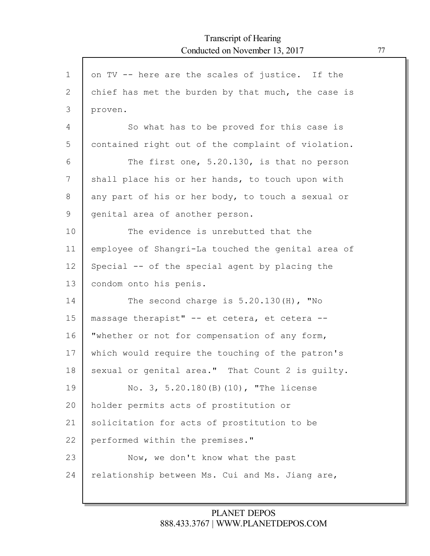| $\mathbf 1$    | on TV -- here are the scales of justice. If the    |
|----------------|----------------------------------------------------|
| 2              | chief has met the burden by that much, the case is |
| 3              | proven.                                            |
| $\overline{4}$ | So what has to be proved for this case is          |
| 5              | contained right out of the complaint of violation. |
| 6              | The first one, 5.20.130, is that no person         |
| 7              | shall place his or her hands, to touch upon with   |
| 8              | any part of his or her body, to touch a sexual or  |
| 9              | genital area of another person.                    |
| 10             | The evidence is unrebutted that the                |
| 11             | employee of Shangri-La touched the genital area of |
| 12             | Special -- of the special agent by placing the     |
| 13             | condom onto his penis.                             |
| 14             | The second charge is $5.20.130(H)$ , "No           |
| 15             | massage therapist" -- et cetera, et cetera --      |
| 16             | "whether or not for compensation of any form,      |
| 17             | which would require the touching of the patron's   |
| 18             | sexual or genital area." That Count 2 is quilty.   |
| 19             | No. 3, 5.20.180 (B) (10), "The license             |
| 20             | holder permits acts of prostitution or             |
| 21             | solicitation for acts of prostitution to be        |
| 22             | performed within the premises."                    |
| 23             | Now, we don't know what the past                   |
| 24             | relationship between Ms. Cui and Ms. Jiang are,    |
|                |                                                    |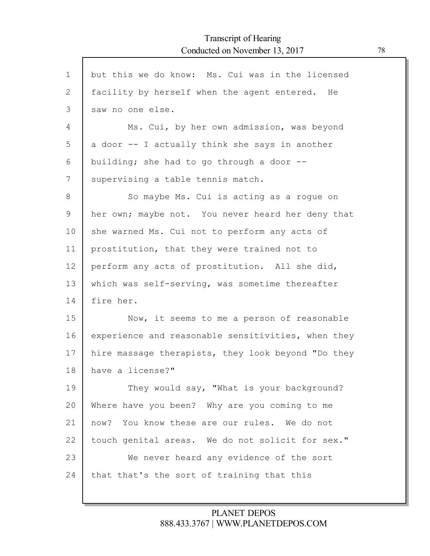$\Gamma$ 

| $\mathbf 1$ | but this we do know: Ms. Cui was in the licensed   |
|-------------|----------------------------------------------------|
| 2           | facility by herself when the agent entered. He     |
| 3           | saw no one else.                                   |
| 4           | Ms. Cui, by her own admission, was beyond          |
| 5           | a door -- I actually think she says in another     |
| 6           | building; she had to go through a door --          |
| 7           | supervising a table tennis match.                  |
| 8           | So maybe Ms. Cui is acting as a rogue on           |
| 9           | her own; maybe not. You never heard her deny that  |
| 10          | she warned Ms. Cui not to perform any acts of      |
| 11          | prostitution, that they were trained not to        |
| 12          | perform any acts of prostitution. All she did,     |
| 13          | which was self-serving, was sometime thereafter    |
| 14          | fire her.                                          |
| 15          | Now, it seems to me a person of reasonable         |
| 16          | experience and reasonable sensitivities, when they |
| 17          | hire massage therapists, they look beyond "Do they |
| 18          | have a license?"                                   |
| 19          | They would say, "What is your background?          |
| 20          | Where have you been? Why are you coming to me      |
| 21          | now? You know these are our rules. We do not       |
| 22          | touch genital areas. We do not solicit for sex."   |
| 23          | We never heard any evidence of the sort            |
| 24          | that that's the sort of training that this         |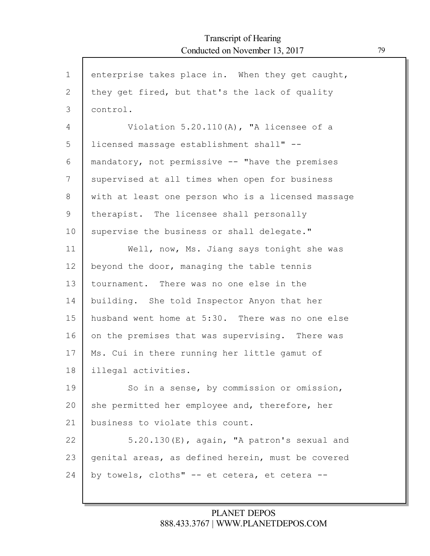Г

| $\mathbf{1}$  | enterprise takes place in. When they get caught,   |
|---------------|----------------------------------------------------|
| 2             | they get fired, but that's the lack of quality     |
| 3             | control.                                           |
| 4             | Violation $5.20.110(A)$ , "A licensee of a         |
| 5             | licensed massage establishment shall" --           |
| 6             | mandatory, not permissive -- "have the premises    |
| 7             | supervised at all times when open for business     |
| $8\,$         | with at least one person who is a licensed massage |
| $\mathcal{G}$ | therapist. The licensee shall personally           |
| 10            | supervise the business or shall delegate."         |
| 11            | Well, now, Ms. Jiang says tonight she was          |
| 12            | beyond the door, managing the table tennis         |
| 13            | tournament. There was no one else in the           |
| 14            | building. She told Inspector Anyon that her        |
| 15            | husband went home at 5:30. There was no one else   |
| 16            | on the premises that was supervising. There was    |
| 17            | Ms. Cui in there running her little gamut of       |
| 18            | illegal activities.                                |
| 19            | So in a sense, by commission or omission,          |
| 20            | she permitted her employee and, therefore, her     |
| 21            | business to violate this count.                    |
| 22            | 5.20.130 (E), again, "A patron's sexual and        |
| 23            | genital areas, as defined herein, must be covered  |
| 24            | by towels, cloths" -- et cetera, et cetera --      |
|               |                                                    |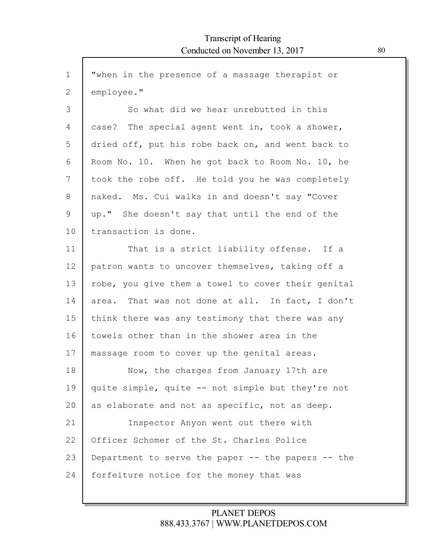Г

| $\mathbf 1$   | "when in the presence of a massage therapist or    |
|---------------|----------------------------------------------------|
| $\mathbf{2}$  | employee."                                         |
| 3             | So what did we hear unrebutted in this             |
| 4             | case? The special agent went in, took a shower,    |
| 5             | dried off, put his robe back on, and went back to  |
| 6             | Room No. 10. When he got back to Room No. 10, he   |
| 7             | took the robe off. He told you he was completely   |
| 8             | naked. Ms. Cui walks in and doesn't say "Cover     |
| $\mathcal{G}$ | up." She doesn't say that until the end of the     |
| 10            | transaction is done.                               |
| 11            | That is a strict liability offense. If a           |
| 12            | patron wants to uncover themselves, taking off a   |
| 13            | robe, you give them a towel to cover their genital |
| 14            | area. That was not done at all. In fact, I don't   |
| 15            | think there was any testimony that there was any   |
| 16            | towels other than in the shower area in the        |
| 17            | massage room to cover up the genital areas.        |
| 18            | Now, the charges from January 17th are             |
| 19            | quite simple, quite -- not simple but they're not  |
| 20            | as elaborate and not as specific, not as deep.     |
| 21            | Inspector Anyon went out there with                |
| 22            | Officer Schomer of the St. Charles Police          |
| 23            | Department to serve the paper -- the papers -- the |
| 24            | forfeiture notice for the money that was           |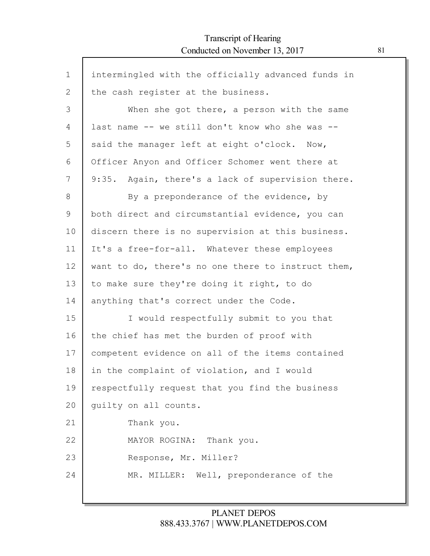Г

| $\mathbf{1}$   | intermingled with the officially advanced funds in   |
|----------------|------------------------------------------------------|
| $\overline{2}$ | the cash register at the business.                   |
| 3              | When she got there, a person with the same           |
| 4              | last name -- we still don't know who she was --      |
| 5              | said the manager left at eight o'clock. Now,         |
| 6              | Officer Anyon and Officer Schomer went there at      |
| 7              | 9:35.<br>Again, there's a lack of supervision there. |
| 8              | By a preponderance of the evidence, by               |
| 9              | both direct and circumstantial evidence, you can     |
| 10             | discern there is no supervision at this business.    |
| 11             | It's a free-for-all. Whatever these employees        |
| 12             | want to do, there's no one there to instruct them,   |
| 13             | to make sure they're doing it right, to do           |
| 14             | anything that's correct under the Code.              |
| 15             | I would respectfully submit to you that              |
| 16             | the chief has met the burden of proof with           |
| 17             | competent evidence on all of the items contained     |
| 18             | in the complaint of violation, and I would           |
| 19             | respectfully request that you find the business      |
| 20             | quilty on all counts.                                |
| 21             | Thank you.                                           |
| 22             | MAYOR ROGINA: Thank you.                             |
| 23             | Response, Mr. Miller?                                |
| 24             | MR. MILLER: Well, preponderance of the               |
|                |                                                      |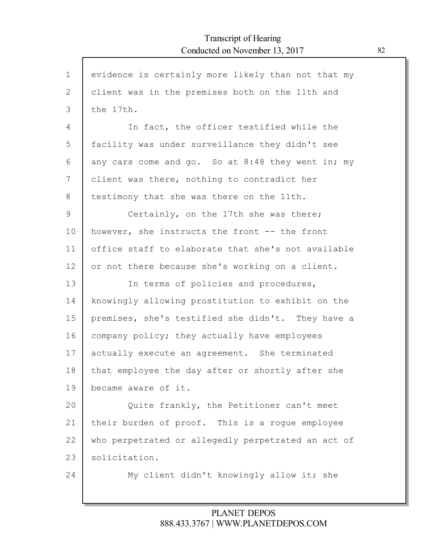ľ

| $\mathbf{1}$ | evidence is certainly more likely than not that my |
|--------------|----------------------------------------------------|
| 2            | client was in the premises both on the 11th and    |
| 3            | the 17th.                                          |
| 4            | In fact, the officer testified while the           |
| 5            | facility was under surveillance they didn't see    |
| 6            | any cars come and go. So at 8:48 they went in; my  |
| 7            | client was there, nothing to contradict her        |
| 8            | testimony that she was there on the 11th.          |
| 9            | Certainly, on the 17th she was there;              |
| 10           | however, she instructs the front -- the front      |
| 11           | office staff to elaborate that she's not available |
| 12           | or not there because she's working on a client.    |
| 13           | In terms of policies and procedures,               |
| 14           | knowingly allowing prostitution to exhibit on the  |
| 15           | premises, she's testified she didn't. They have a  |
| 16           | company policy; they actually have employees       |
| 17           | actually execute an agreement. She terminated      |
| 18           | that employee the day after or shortly after she   |
| 19           | became aware of it.                                |
| 20           | Quite frankly, the Petitioner can't meet           |
| 21           | their burden of proof. This is a roque employee    |
| 22           | who perpetrated or allegedly perpetrated an act of |
| 23           | solicitation.                                      |
| 24           | My client didn't knowingly allow it; she           |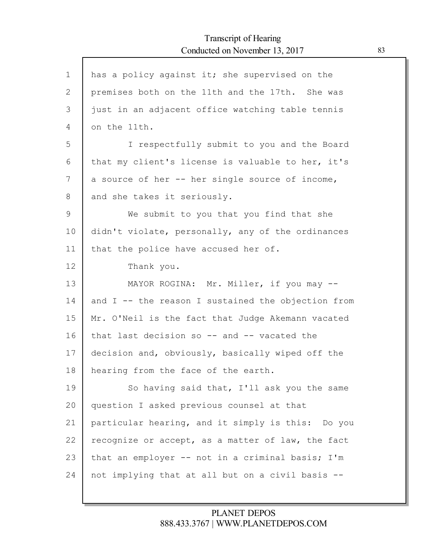$\mathsf{l}$ 

| $\mathbf 1$ | has a policy against it; she supervised on the     |
|-------------|----------------------------------------------------|
| 2           | premises both on the 11th and the 17th. She was    |
| 3           | just in an adjacent office watching table tennis   |
| 4           | on the 11th.                                       |
| 5           | I respectfully submit to you and the Board         |
| 6           | that my client's license is valuable to her, it's  |
| 7           | a source of her -- her single source of income,    |
| 8           | and she takes it seriously.                        |
| 9           | We submit to you that you find that she            |
| 10          | didn't violate, personally, any of the ordinances  |
| 11          | that the police have accused her of.               |
| 12          | Thank you.                                         |
| 13          | MAYOR ROGINA: Mr. Miller, if you may --            |
| 14          | and I -- the reason I sustained the objection from |
| 15          | Mr. O'Neil is the fact that Judge Akemann vacated  |
| 16          | that last decision so -- and -- vacated the        |
| 17          | decision and, obviously, basically wiped off the   |
| 18          | hearing from the face of the earth.                |
| 19          | So having said that, I'll ask you the same         |
| 20          | question I asked previous counsel at that          |
| 21          | particular hearing, and it simply is this: Do you  |
| 22          | recognize or accept, as a matter of law, the fact  |
| 23          | that an employer -- not in a criminal basis; I'm   |
| 24          | not implying that at all but on a civil basis --   |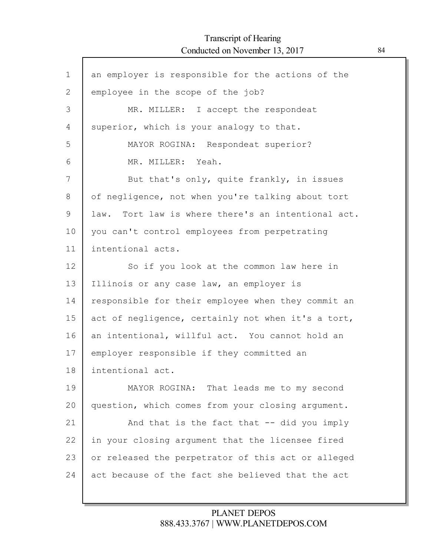Г

| $\mathbf{1}$ | an employer is responsible for the actions of the  |
|--------------|----------------------------------------------------|
| $\mathbf{2}$ | employee in the scope of the job?                  |
| 3            | MR. MILLER: I accept the respondeat                |
| 4            | superior, which is your analogy to that.           |
| 5            | MAYOR ROGINA: Respondeat superior?                 |
| 6            | MR. MILLER: Yeah.                                  |
| 7            | But that's only, quite frankly, in issues          |
| 8            | of negligence, not when you're talking about tort  |
| 9            | law. Tort law is where there's an intentional act. |
| 10           | you can't control employees from perpetrating      |
| 11           | intentional acts.                                  |
| 12           | So if you look at the common law here in           |
| 13           | Illinois or any case law, an employer is           |
| 14           | responsible for their employee when they commit an |
| 15           | act of negligence, certainly not when it's a tort, |
| 16           | an intentional, willful act. You cannot hold an    |
| 17           | employer responsible if they committed an          |
| 18           | intentional act.                                   |
| 19           | MAYOR ROGINA: That leads me to my second           |
| 20           | question, which comes from your closing argument.  |
| 21           | And that is the fact that -- did you imply         |
| 22           | in your closing argument that the licensee fired   |
| 23           | or released the perpetrator of this act or alleged |
| 24           | act because of the fact she believed that the act  |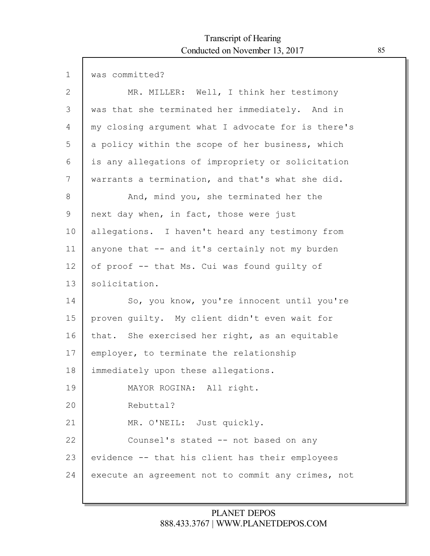Г

| $\mathbf 1$  | was committed?                                     |
|--------------|----------------------------------------------------|
| $\mathbf{2}$ | MR. MILLER: Well, I think her testimony            |
| 3            | was that she terminated her immediately. And in    |
| 4            | my closing argument what I advocate for is there's |
| 5            | a policy within the scope of her business, which   |
| 6            | is any allegations of impropriety or solicitation  |
| 7            | warrants a termination, and that's what she did.   |
| 8            | And, mind you, she terminated her the              |
| 9            | next day when, in fact, those were just            |
| 10           | allegations. I haven't heard any testimony from    |
| 11           | anyone that -- and it's certainly not my burden    |
| 12           | of proof -- that Ms. Cui was found guilty of       |
| 13           | solicitation.                                      |
| 14           | So, you know, you're innocent until you're         |
| 15           | proven guilty. My client didn't even wait for      |
| 16           | that. She exercised her right, as an equitable     |
| 17           | employer, to terminate the relationship            |
| 18           | immediately upon these allegations.                |
| 19           | MAYOR ROGINA: All right.                           |
| 20           | Rebuttal?                                          |
| 21           | MR. O'NEIL: Just quickly.                          |
| 22           | Counsel's stated -- not based on any               |
| 23           | evidence -- that his client has their employees    |
| 24           | execute an agreement not to commit any crimes, not |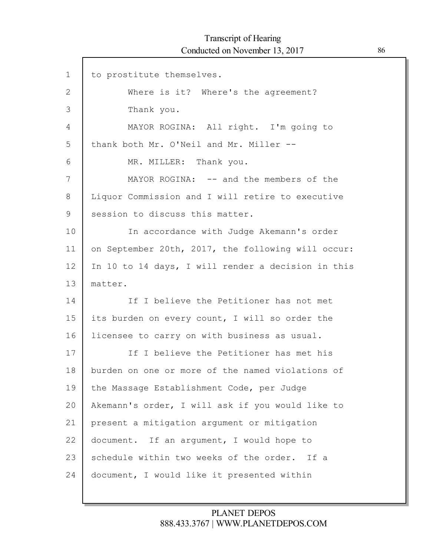Г

| $\mathbf 1$  | to prostitute themselves.                          |
|--------------|----------------------------------------------------|
| $\mathbf{2}$ | Where is it? Where's the agreement?                |
| 3            | Thank you.                                         |
| 4            | MAYOR ROGINA: All right. I'm going to              |
| 5            | thank both Mr. O'Neil and Mr. Miller --            |
| 6            | MR. MILLER: Thank you.                             |
| 7            | MAYOR ROGINA: -- and the members of the            |
| 8            | Liquor Commission and I will retire to executive   |
| 9            | session to discuss this matter.                    |
| 10           | In accordance with Judge Akemann's order           |
| 11           | on September 20th, 2017, the following will occur: |
| 12           | In 10 to 14 days, I will render a decision in this |
| 13           | matter.                                            |
| 14           | If I believe the Petitioner has not met            |
| 15           | its burden on every count, I will so order the     |
| 16           | licensee to carry on with business as usual.       |
| 17           | If I believe the Petitioner has met his            |
| 18           | burden on one or more of the named violations of   |
| 19           | the Massage Establishment Code, per Judge          |
| 20           | Akemann's order, I will ask if you would like to   |
| 21           | present a mitigation argument or mitigation        |
| 22           | document. If an argument, I would hope to          |
| 23           | schedule within two weeks of the order. If a       |
| 24           | document, I would like it presented within         |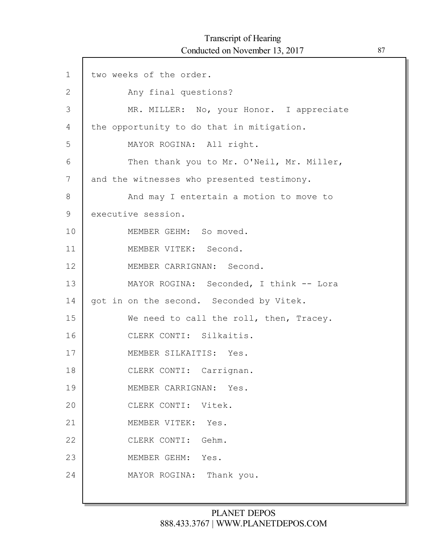Г

| $\mathbf 1$ | two weeks of the order.                    |
|-------------|--------------------------------------------|
| 2           | Any final questions?                       |
| 3           | MR. MILLER: No, your Honor. I appreciate   |
| 4           | the opportunity to do that in mitigation.  |
| 5           | MAYOR ROGINA: All right.                   |
| 6           | Then thank you to Mr. O'Neil, Mr. Miller,  |
| 7           | and the witnesses who presented testimony. |
| 8           | And may I entertain a motion to move to    |
| 9           | executive session.                         |
| 10          | MEMBER GEHM: So moved.                     |
| 11          | MEMBER VITEK: Second.                      |
| 12          | MEMBER CARRIGNAN: Second.                  |
| 13          | MAYOR ROGINA: Seconded, I think -- Lora    |
| 14          | got in on the second. Seconded by Vitek.   |
| 15          | We need to call the roll, then, Tracey.    |
| 16          | CLERK CONTI: Silkaitis.                    |
| 17          | MEMBER SILKAITIS: Yes.                     |
| 18          | CLERK CONTI: Carrignan.                    |
| 19          | MEMBER CARRIGNAN: Yes.                     |
| 20          | CLERK CONTI: Vitek.                        |
| 21          | MEMBER VITEK: Yes.                         |
| 22          | CLERK CONTI: Gehm.                         |
| 23          | MEMBER GEHM: Yes.                          |
| 24          | MAYOR ROGINA: Thank you.                   |
|             |                                            |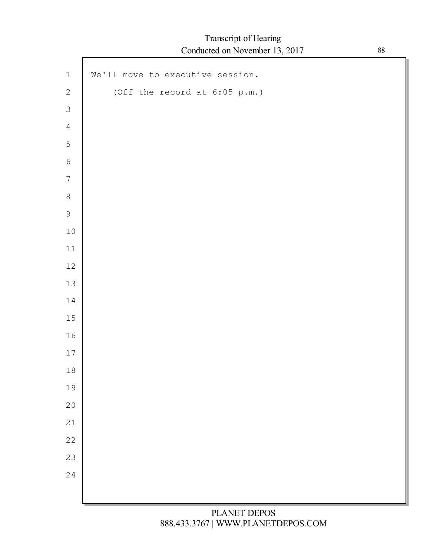Г

| $\,1\,$        | We'll move to executive session. |
|----------------|----------------------------------|
| $\sqrt{2}$     | (Off the record at $6:05$ p.m.)  |
| $\mathfrak{Z}$ |                                  |
| $\overline{4}$ |                                  |
| $\mathsf S$    |                                  |
| $\sqrt{6}$     |                                  |
| $\overline{7}$ |                                  |
| $\,8\,$        |                                  |
| $\mathsf 9$    |                                  |
| $10$           |                                  |
| $11\,$         |                                  |
| $12\,$         |                                  |
| $13\,$         |                                  |
| $1\,4$         |                                  |
| $15\,$         |                                  |
| 16             |                                  |
| $17$           |                                  |
| $1\,8$         |                                  |
| 19             |                                  |
| 20             |                                  |
| 21             |                                  |
| 22             |                                  |
| 23             |                                  |
| 24             |                                  |
|                |                                  |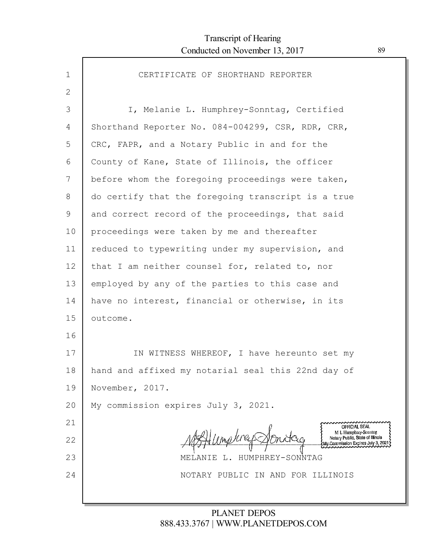| $\mathbf{1}$ | CERTIFICATE OF SHORTHAND REPORTER                                                               |
|--------------|-------------------------------------------------------------------------------------------------|
| 2            |                                                                                                 |
| 3            | I, Melanie L. Humphrey-Sonntag, Certified                                                       |
| 4            | Shorthand Reporter No. 084-004299, CSR, RDR, CRR,                                               |
| 5            | CRC, FAPR, and a Notary Public in and for the                                                   |
| 6            | County of Kane, State of Illinois, the officer                                                  |
| 7            | before whom the foregoing proceedings were taken,                                               |
| 8            | do certify that the foregoing transcript is a true                                              |
| 9            | and correct record of the proceedings, that said                                                |
| 10           | proceedings were taken by me and thereafter                                                     |
| 11           | reduced to typewriting under my supervision, and                                                |
| 12           | that I am neither counsel for, related to, nor                                                  |
| 13           | employed by any of the parties to this case and                                                 |
| 14           | have no interest, financial or otherwise, in its                                                |
| 15           | outcome.                                                                                        |
| 16           |                                                                                                 |
| 17           | IN WITNESS WHEREOF, I have hereunto set my                                                      |
| 18           | hand and affixed my notarial seal this 22nd day of                                              |
| 19           | November, 2017.                                                                                 |
| 20           | My commission expires July 3, 2021.                                                             |
| 21           | OFFICIAL SEAL                                                                                   |
| 22           | M L Humphrey-Sonntag<br>Notary Public, State of Illinois<br>My Commission Expires July 3, 2021; |
| 23           | HUMPHREY-SONNTAG<br>MELANIE                                                                     |
| 24           | NOTARY PUBLIC IN AND FOR ILLINOIS                                                               |
|              |                                                                                                 |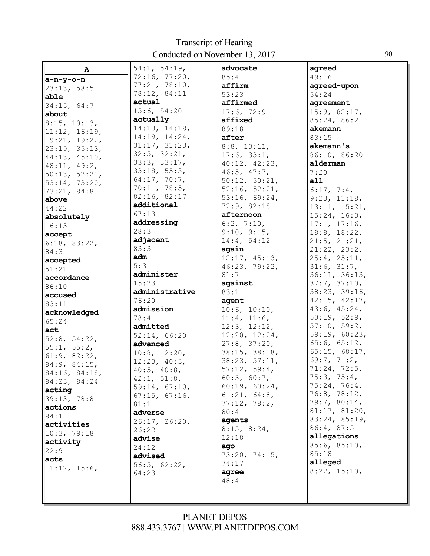| $\mathbf{A}$                  | 54:1, 54:19,      | advocate             | agreed                       |
|-------------------------------|-------------------|----------------------|------------------------------|
|                               | 72:16, 77:20,     | 85:4                 | 49:16                        |
| $a-n-y-o-n$                   | 77:21, 78:10,     | affirm               | agreed-upon                  |
| 23:13, 58:5                   | 78:12, 84:11      | 53:23                | 54:24                        |
| able                          | actual            | affirmed             | agreement                    |
| 34:15, 64:7                   | 15:6, 54:20       | 17:6, 72:9           | 15:9, 82:17,                 |
| about                         | actually          | affixed              | 85:24, 86:2                  |
| 8:15, 10:13,<br>11:12, 16:19, | 14:13, 14:18,     | 89:18                | akemann                      |
| 19:21, 19:22,                 | 14:19, 14:24,     | after                | 83:15                        |
| 23:19, 35:13,                 | 31:17, 31:23,     | $8:8$ , $13:11$ ,    | akemann's                    |
| 44:13, 45:10,                 | 32:5, 32:21,      | 17:6, 33:1,          | 86:10, 86:20                 |
| 48:11, 49:2,                  | 33:3, 33:17,      | 40:12, 42:23,        | alderman                     |
| 50:13, 52:21,                 | 33:18, 55:3,      | $46:5$ , $47:7$ ,    | 7:20                         |
| 53:14, 73:20,                 | 64:17, 70:7,      | 50:12, 50:21,        | a11                          |
| 73:21, 84:8                   | 70:11, 78:5,      | 52:16, 52:21,        | 6:17, 7:4,                   |
| above                         | 82:16, 82:17      | 53:16, 69:24,        | 9:23, 11:18,                 |
| 44:22                         | additional        | 72:9, 82:18          | 13:11, 15:21,                |
| absolutely                    | 67:13             | afternoon            | 15:24, 16:3,                 |
| 16:13                         | addressing        | 6:2, 7:10,           | 17:1, 17:16,                 |
| accept                        | 28:3              | 9:10, 9:15,          | 18:8, 18:22,                 |
| 6:18, 83:22,                  | adjacent          | 14:4, 54:12          | $21:5$ , $21:21$ ,           |
| 84:3                          | 83:3              | again                | 21:22, 23:2,                 |
| accepted                      | adm               | 12:17, 45:13,        | 25:4, 25:11,                 |
| 51:21                         | 5:3               | 46:23, 79:22,        | 31:6, 31:7,                  |
| accordance                    | administer        | 81:7                 | 36:11, 36:13,                |
| 86:10                         | 15:23             | against              | 37:7, 37:10,                 |
| accused                       | administrative    | 83:1                 | 38:23, 39:16,                |
| 83:11                         | 76:20             | agent                | 42:15, 42:17,                |
| acknowledged                  | admission         | 10:6, 10:10,         | 43:6, 45:24,                 |
| 65:24                         | 78:4              | 11:4, 11:6,          | 50:19, 52:9,                 |
| act                           | admitted          | 12:3, 12:12,         | 57:10, 59:2,                 |
| 52:8, 54:22,                  | 52:14, 66:20      | 12:20, 12:24,        | 59:19, 60:23,                |
| 55:1, 55:2,                   | advanced          | 27:8, 37:20,         | 65:6, 65:12,                 |
| 61:9, 82:22,                  | 10:8, 12:20,      | 38:15, 38:18,        | 65:15, 68:17,                |
| 84:9, 84:15,                  | 12:23, 40:3,      | 38:23, 57:11,        | 69:7, 71:2,                  |
| 84:16, 84:18,                 | $40:5$ , $40:8$ , | 57:12, 59:4,         | 71:24, 72:5,                 |
| 84:23, 84:24                  | 42:1, 51:8,       | 60:3, 60:7,          | 75:3, 75:4,                  |
| acting                        | 59:14, 67:10,     | 60:19, 60:24,        | 75:24, 76:4,                 |
| 39:13, 78:8                   | 67:15, 67:16,     | 61:21, 64:8,         | 76:8, 78:12,<br>79:7, 80:14, |
| actions                       | 81:1              | 77:12, 78:2,<br>80:4 | 81:17, 81:20,                |
| 84:1                          | adverse           |                      | 83:24, 85:19,                |
| activities                    | 26:17, 26:20,     | agents               | 86:4, 87:5                   |
| 10:3, 79:18                   | 26:22             | 8:15, 8:24,<br>12:18 | allegations                  |
| activity                      | advise            |                      | 85:6, 85:10,                 |
| 22:9                          | 24:12             | ago<br>73:20, 74:15, | 85:18                        |
| acts                          | advised           | 74:17                | alleged                      |
| 11:12, 15:6,                  | 56:5, 62:22,      | agree                | 8:22, 15:10,                 |
|                               | 64:23             | 48:4                 |                              |
|                               |                   |                      |                              |
|                               |                   |                      |                              |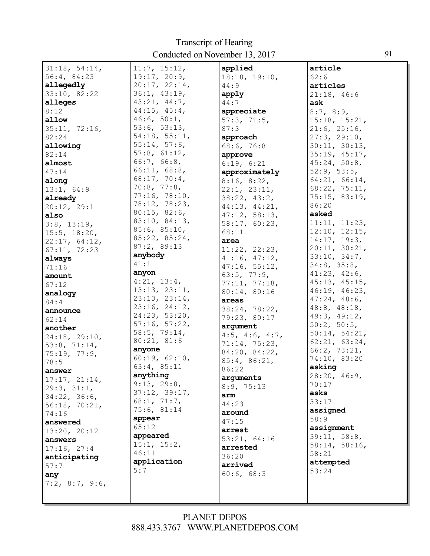| 31:18, 54:14,      | 11:7, 15:12,         | applied                 | article            |
|--------------------|----------------------|-------------------------|--------------------|
| 56:4, 84:23        | 19:17, 20:9,         | 18:18, 19:10,           | 62:6               |
| allegedly          | 20:17, 22:14,        | 44:9                    | articles           |
| 33:10, 82:22       | 36:1, 43:19,         | apply                   | 21:18, 46:6        |
| alleges            | 43:21, 44:7,         | 44:7                    | ask                |
| 8:12               | $44:15$ , $45:4$ ,   |                         |                    |
|                    | 46:6, 50:1,          | appreciate              | 8:7, 8:9,          |
| allow              |                      | 57:3, 71:5,             | 15:18, 15:21,      |
| 35:11, 72:16,      | 53:6, 53:13,         | 87:3                    | 21:6, 25:16,       |
| 82:24              | 54:18, 55:11,        | approach                | 27:3, 29:10,       |
| allowing           | 55:14, 57:6,         | 68:6, 76:8              | 30:11, 30:13,      |
| 82:14              | 57:8, 61:12,         | approve                 | 35:19, 45:17,      |
| almost             | 66:7, 66:8,          | 6:19, 6:21              | 45:24, 50:8,       |
| 47:14              | 66:11, 68:8,         | approximately           | 52:9, 53:5,        |
| along              | 68:17, 70:4,         | 8:16, 8:22,             | 64:21, 66:14,      |
| 13:1, 64:9         | 70:8, 77:8,          | 22:1, 23:11,            | 68:22, 75:11,      |
| already            | 77:16, 78:10,        | 38:22, 43:2,            | 75:15, 83:19,      |
| 20:12, 29:1        | 78:12, 78:23,        | 44:13, 44:21,           | 86:20              |
| also               | 80:15, 82:6,         | 47:12, 58:13,           | asked              |
| 3:8, 13:19,        | 83:10, 84:13,        | 58:17, 60:23,           | 11:11, 11:23,      |
| $15:5$ , $18:20$ , | 85:6, 85:10,         | 68:11                   | 12:10, 12:15,      |
| 22:17, 64:12,      | 85:22, 85:24,        | area                    | 14:17, 19:3,       |
| 67:11, 72:23       | 87:2, 89:13          | 11:22, 22:23,           | 20:11, 30:21,      |
| always             | anybody              | 41:16, 47:12,           | 33:10, 34:7,       |
| 71:16              | 41:1                 | 47:16, 55:12,           | 34:8, 35:8,        |
| amount             | anyon                | 63:5, 77:9,             | 41:23, 42:6,       |
|                    | 4:21, 13:4,          | 77:11, 77:18,           | 45:13, 45:15,      |
| 67:12              | 13:13, 23:11,        | 80:14, 80:16            | 46:19, 46:23,      |
| analogy            | 23:13, 23:14,        | areas                   | 47:24, 48:6,       |
| 84:4               | 23:16, 24:12,        | 38:24, 78:22,           | $48:8$ , $48:18$ , |
| announce           | 24:23, 53:20,        | 79:23, 80:17            | 49:3, 49:12,       |
| 62:14              | 57:16, 57:22,        | argument                | 50:2, 50:5,        |
| another            | 58:5, 79:14,         |                         | 50:14, 54:21,      |
| 24:18, 29:10,      | 80:21, 81:6          | $4:5$ , $4:6$ , $4:7$ , | 62:21, 63:24,      |
| 53:8, 71:14,       | anyone               | 71:14, 75:23,           | 66:2, 73:21,       |
| 75:19, 77:9,       | 60:19, 62:10,        | 84:20, 84:22,           | 74:10, 83:20       |
| 78:5               | 63:4, 85:11          | 85:4, 86:21,            | asking             |
| answer             | anything             | 86:22                   | 28:20, 46:9,       |
| 17:17, 21:14,      | 9:13, 29:8,          | arguments               | 70:17              |
| 29:3, 31:1,        | 37:12, 39:17,        | 8:9, 75:13              | asks               |
| 34:22, 36:6,       | 68:1, 71:7,          | arm                     | 33:17              |
| 56:18, 70:21,      | 75:6, 81:14          | 44:23                   | assigned           |
| 74:16              | appear               | around                  | 58:9               |
| answered           | 65:12                | 47:15                   |                    |
| 13:20, 20:12       | appeared             | arrest                  | assignment         |
| answers            |                      | 53:21, 64:16            | 39:11, 58:8,       |
| 17:16, 27:4        | 15:1, 15:2,<br>46:11 | arrested                | 58:14, 58:16,      |
| anticipating       | application          | 36:20                   | 58:21              |
| 57:7               |                      | arrived                 | attempted          |
| any                | 5:7                  | 60:6, 68:3              | 53:24              |
| $7:2$ , 8:7, 9:6,  |                      |                         |                    |
|                    |                      |                         |                    |
|                    |                      |                         |                    |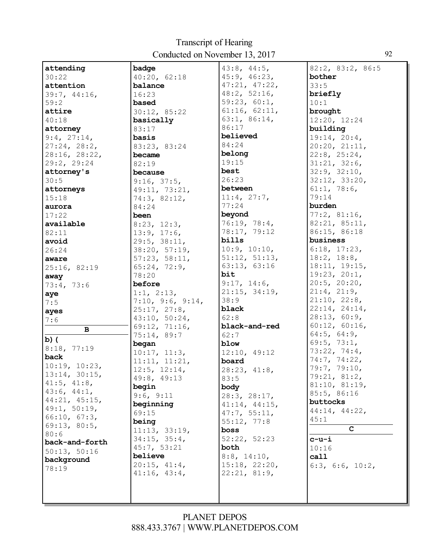| attending         | badge                               | $43:8$ , $44:5$ ,     | 82:2, 83:2, 86:5   |
|-------------------|-------------------------------------|-----------------------|--------------------|
| 30:22             | 40:20, 62:18                        | 45:9, 46:23,          | bother             |
| attention         | balance                             | 47:21, 47:22,         | 33:5               |
| 39:7, 44:16,      | 16:23                               | 48:2, 52:16,          | briefly            |
| 59:2              | based                               | 59:23, 60:1,          | 10:1               |
| attire            | 30:12, 85:22                        | 61:16, 62:11,         | brought            |
| 40:18             | basically                           | 63:1, 86:14,          | 12:20, 12:24       |
| attorney          | 83:17                               | 86:17                 | building           |
| 9:4, 27:14,       | basis                               | believed              | 19:14, 20:4,       |
| 27:24, 28:2,      | 83:23, 83:24                        | 84:24                 | 20:20, 21:11,      |
| 28:16, 28:22,     | became                              | belong                | 22:8, 25:24,       |
| 29:2, 29:24       | 82:19                               | 19:15                 | 31:21, 32:6,       |
| attorney's        | because                             | best                  | 32:9, 32:10,       |
| 30:5              | 9:16, 37:5,                         | 26:23                 | 32:12, 33:20,      |
| attorneys         | 49:11, 73:21,                       | between               | 61:1, 78:6,        |
| 15:18             | 74:3, 82:12,                        | 11:4, 27:7,           | 79:14              |
| aurora            | 84:24                               | 77:24                 | burden             |
| 17:22             | been                                | beyond                | 77:2, 81:16,       |
| available         | 8:23, 12:3,                         | 76:19, 78:4,          | 82:21, 85:11,      |
| 82:11             | 13:9, 17:6,                         | 78:17, 79:12          | 86:15, 86:18       |
| avoid             | 29:5, 38:11,                        | bills                 | business           |
| 26:24             | 38:20, 57:19,                       | 10:9, 10:10,          | 6:18, 17:23,       |
| aware             | 57:23, 58:11,                       | 51:12, 51:13,         | 18:2, 18:8,        |
| 25:16, 82:19      | 65:24, 72:9,                        | 63:13, 63:16          | 18:11, 19:15,      |
| away              | 78:20                               | bit                   | 19:23, 20:1,       |
| 73:4, 73:6        | before                              | 9:17, 14:6,           | 20:5, 20:20,       |
| aye               | 1:1, 2:13,                          | 21:15, 34:19,         | 21:4, 21:9,        |
| 7:5               | 7:10, 9:6, 9:14,                    | 38:9                  | 21:10, 22:8,       |
| ayes              | 25:17, 27:8,                        | black                 | 22:14, 24:14,      |
| 7:6               | 43:10, 50:24,                       | 62:8                  | 28:13, 60:9,       |
| $\, {\bf B}$      | 69:12, 71:16,                       | black-and-red         | 60:12, 60:16,      |
|                   |                                     |                       |                    |
|                   |                                     | 62:7                  | $64:5$ , $64:9$ ,  |
| $b)$ (            | 75:14, 89:7                         | blow                  | 69:5, 73:1,        |
| 8:18, 77:19       | began                               |                       | 73:22, 74:4,       |
| back              | 10:17, 11:3,                        | 12:10, 49:12<br>board | 74:7, 74:22,       |
| 10:19, 10:23,     | 11:11, 11:21,                       |                       | 79:7, 79:10,       |
| 13:14, 30:15,     | 12:5, 12:14,                        | 28:23, 41:8,          | 79:21, 81:2,       |
| $41:5$ , $41:8$ , | 49:8, 49:13<br>begin                | 83:5                  | 81:10, 81:19,      |
| 43:6, 44:1,       |                                     | body                  | 85:5, 86:16        |
| 44:21, 45:15,     | 9:6, 9:11                           | 28:3, 28:17,          | buttocks           |
| 49:1, 50:19,      | beginning<br>69:15                  | 41:14, 44:15,         | 44:14, 44:22,      |
| 66:10, 67:3,      |                                     | 47:7, 55:11,          | 45:1               |
| 69:13, 80:5,      | being                               | 55:12, 77:8           | $\mathbf{C}$       |
| 80:6              | 11:13, 33:19,<br>$34:15$ , $35:4$ , | boss                  |                    |
| back-and-forth    |                                     | 52:22, 52:23          | $c-u-i$            |
| 50:13, 50:16      | 45:7, 53:21<br>believe              | both                  | 10:16              |
| background        |                                     | $8:8$ , 14:10,        | call               |
| 78:19             | 20:15, 41:4,                        | 15:18, 22:20,         | 6:3, 6:6, $10:2$ , |
|                   | 41:16, 43:4,                        | 22:21, 81:9,          |                    |
|                   |                                     |                       |                    |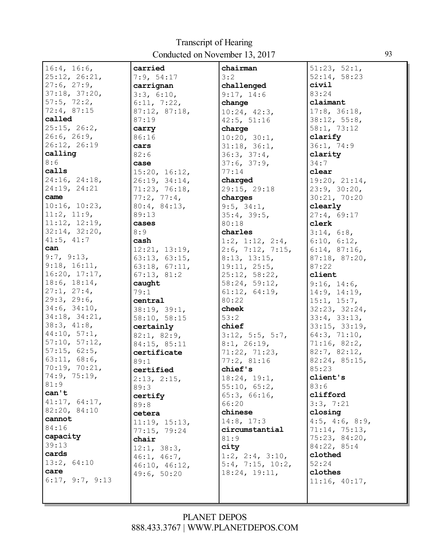| 16:4, 16:6,     | carried       | chairman                  | 51:23, 52:1,            |
|-----------------|---------------|---------------------------|-------------------------|
| 25:12, 26:21,   | 7:9, 54:17    | 3:2                       | 52:14, 58:23            |
| 27:6, 27:9,     | carrignan     | challenged                | civil                   |
| 37:18, 37:20,   | 3:3, 6:10,    | 9:17, 14:6                | 83:24                   |
| 57:5, 72:2,     | 6:11, 7:22,   | change                    | claimant                |
| 72:4, 87:15     | 87:12, 87:18, | 10:24, 42:3,              | 17:8, 36:18,            |
| called          | 87:19         | 42:5, 51:16               | 38:12, 55:8,            |
| 25:15, 26:2,    | carry         | charge                    | 58:1, 73:12             |
| 26:6, 26:9,     | 86:16         | 10:20, 30:1,              | clarify                 |
| 26:12, 26:19    | cars          | 31:18, 36:1,              | 36:1, 74:9              |
| calling         | 82:6          | 36:3, 37:4,               | clarity                 |
| 8:6             | case          | 37:6, 37:9,               | 34:7                    |
| calls           | 15:20, 16:12, | 77:14                     | clear                   |
| 24:16, 24:18,   | 26:19, 34:14, | charged                   | 19:20, 21:14,           |
| 24:19, 24:21    | 71:23, 76:18, | 29:15, 29:18              | 23:9, 30:20,            |
| came            | 77:2, 77:4,   | charges                   | 30:21, 70:20            |
| 10:16, 10:23,   | 80:4, 84:13,  | 9:5, 34:1,                | clearly                 |
| 11:2, 11:9,     | 89:13         | 35:4, 39:5,               |                         |
| 11:12, 12:19,   | cases         |                           | 27:4, 69:17             |
| 32:14, 32:20,   | 8:9           | 80:18                     | clerk                   |
| 41:5, 41:7      |               | charles                   | 3:14, 6:8,              |
|                 | cash          | 1:2, 1:12, 2:4,           | 6:10, 6:12,             |
| can             | 12:21, 13:19, | $2:6$ , 7:12, 7:15,       | 6:14, 87:16,            |
| 9:7, 9:13,      | 63:13, 63:15, | 8:13, 13:15,              | 87:18, 87:20,           |
| 9:18, 16:11,    | 63:18, 67:11, | 19:11, 25:5,              | 87:22                   |
| 16:20, 17:17,   | 67:13, 81:2   | 25:12, 58:22,             | client                  |
| 18:6, 18:14,    | caught        | 58:24, 59:12,             | 9:16, 14:6,             |
| 27:1, 27:4,     | 79:1          | 61:12, 64:19,             | 14:9, 14:19,            |
| 29:3, 29:6,     | central       | 80:22                     | 15:1, 15:7,             |
| 34:6, 34:10,    | 38:19, 39:1,  | cheek                     | 32:23, 32:24,           |
| 34:18, 34:21,   | 58:10, 58:15  | 53:2                      | 33:4, 33:13,            |
| 38:3, 41:8,     | certainly     | chief                     | 33:15, 33:19,           |
| 44:10, 57:1,    | 82:1, 82:9,   | $3:12$ , $5:5$ , $5:7$ ,  | 64:3, 71:10,            |
| 57:10, 57:12,   | 84:15, 85:11  | 8:1, 26:19,               | 71:16, 82:2,            |
| 57:15, 62:5,    | certificate   | 71:22, 71:23,             | 82:7, 82:12,            |
| 63:11, 68:6,    | 89:1          | 77:2,81:16                | 82:24, 85:15,           |
| 70:19, 70:21,   | certified     | chief's                   | 85:23                   |
| 74:9, 75:19,    | 2:13, 2:15,   | 18:24, 19:1,              | client's                |
| 81:9            | 89:3          | 55:10, 65:2,              | 83:6                    |
| can't           | certify       | 65:3, 66:16,              | clifford                |
| 41:17, 64:17,   | 89:8          | 66:20                     | 3:3, 7:21               |
| 82:20, 84:10    | cetera        | chinese                   | closing                 |
| cannot          | 11:19, 15:13, | 14:8, 17:3                | $4:5$ , $4:6$ , $8:9$ , |
| 84:16           | 77:15, 79:24  | circumstantial            | 71:14, 75:13,           |
| capacity        | chair         | 81:9                      | 75:23, 84:20,           |
| 39:13           | 12:1, 38:3,   | city                      | 84:22, 85:4             |
| cards           | 46:1, 46:7,   | 1:2, 2:4, 3:10,           | clothed                 |
| 13:2, 64:10     | 46:10, 46:12, | $5:4$ , $7:15$ , $10:2$ , | 52:24                   |
| care            | 49:6, 50:20   | 18:24, 19:11,             | clothes                 |
| 6:17, 9:7, 9:13 |               |                           | 11:16, 40:17,           |
|                 |               |                           |                         |
|                 |               |                           |                         |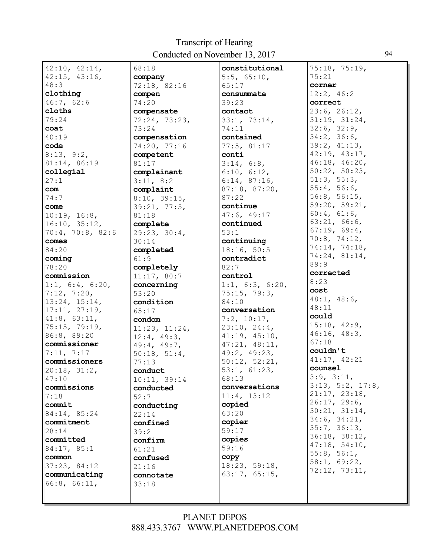| 42:10, 42:14,              | 68:18                 | constitutional                | 75:18, 75:19,         |
|----------------------------|-----------------------|-------------------------------|-----------------------|
| 42:15, 43:16,              | company               | $5:5$ , $65:10$ ,             | 75:21                 |
| 48:3                       | 72:18, 82:16          | 65:17                         | corner                |
| clothing                   | compen                | consummate                    | 12:2, 46:2            |
| 46:7, 62:6                 | 74:20                 | 39:23                         | correct               |
| cloths                     | compensate            | contact                       | 23:6, 26:12,          |
| 79:24                      | 72:24, 73:23,         | 33:1, 73:14,                  | 31:19, 31:24,         |
| coat                       | 73:24                 | 74:11                         | 32:6, 32:9,           |
| 40:19                      | compensation          | contained                     | 34:2, 36:6,           |
| code                       | 74:20, 77:16          | 77:5, 81:17                   | 39:2, 41:13,          |
| 8:13, 9:2,                 | competent             | conti                         | 42:19, 43:17,         |
| 81:14, 86:19               | 81:17                 | 3:14, 6:8,                    | 46:18, 46:20,         |
| collegial                  | complainant           | 6:10, 6:12,                   | 50:22, 50:23,         |
| 27:1                       | 3:11, 8:2             | 6:14, 87:16,                  | 51:3, 55:3,           |
| com                        | complaint             | 87:18, 87:20,                 | 55:4, 56:6,           |
| 74:7                       | 8:10, 39:15,          | 87:22                         | 56:8, 56:15,          |
| come                       | 39:21, 77:5,          | continue                      | 59:20, 59:21,         |
| 10:19, 16:8,               | 81:18                 | 47:6, 49:17                   | 60:4, 61:6,           |
| 16:10, 35:12,              | complete              | continued                     | 63:21, 66:6,          |
| 70:4, 70:8, 82:6           | 29:23, 30:4,          | 53:1                          | 67:19, 69:4,          |
| comes                      | 30:14                 | continuing                    | 70:8, 74:12,          |
| 84:20                      | completed             | 18:16, 50:5                   | 74:14, 74:18,         |
| coming                     | 61:9                  | contradict                    | 74:24, 81:14,<br>89:9 |
| 78:20                      | completely            | 82:7                          | corrected             |
| commission                 | 11:17, 80:7           | control                       | 8:23                  |
| 1:1, 6:4, 6:20,            | concerning            | 1:1, $6:3$ , $6:20$ ,         | cost                  |
| 7:12, 7:20,                | 53:20                 | 75:15, 79:3,                  | 48:1, 48:6,           |
| 13:24, 15:14,              | condition             | 84:10                         | 48:11                 |
| 17:11, 27:19,              | 65:17                 | conversation                  | could                 |
| $41:8$ , $63:11$ ,         | condom                | 7:2, 10:17,                   | 15:18, 42:9,          |
| 75:15, 79:19,              | 11:23, 11:24,         | 23:10, 24:4,                  | 46:16, 48:3,          |
| 86:8, 89:20                | 12:4, 49:3,           | 41:19, 45:10,                 | 67:18                 |
| commissioner<br>7:11, 7:17 | 49:4, 49:7,           | 47:21, 48:11,<br>49:2, 49:23, | couldn't              |
| commissioners              | 50:18, 51:4,<br>77:13 | 50:12, 52:21,                 | 41:17, 42:21          |
| 20:18, 31:2,               | conduct               | 53:1, 61:23,                  | counsel               |
| 47:10                      | 10:11, 39:14          | 68:13                         | 3:9, 3:11,            |
| commissions                | conducted             | conversations                 | 3:13, 5:2, 17:8,      |
| 7:18                       | 52:7                  | 11:4, 13:12                   | 21:17, 23:18,         |
| commit                     | conducting            | copied                        | 26:17, 29:6,          |
| 84:14, 85:24               | 22:14                 | 63:20                         | 30:21, 31:14,         |
| commitment                 | confined              | copier                        | 34:6, 34:21,          |
| 28:14                      | 39:2                  | 59:17                         | 35:7, 36:13,          |
| committed                  | confirm               | copies                        | 36:18, 38:12,         |
| 84:17, 85:1                | 61:21                 | 59:16                         | 47:18, 54:10,         |
| common                     | confused              | copy                          | 55:8, 56:1,           |
| 37:23, 84:12               | 21:16                 | 18:23, 59:18,                 | 58:1, 69:22,          |
| communicating              | connotate             | 63:17, 65:15,                 | 72:12, 73:11,         |
| 66:8, 66:11,               | 33:18                 |                               |                       |
|                            |                       |                               |                       |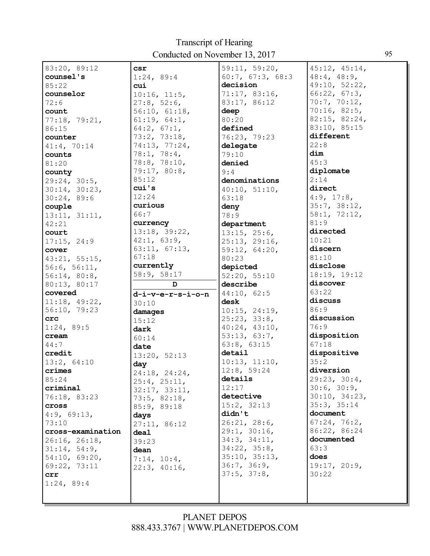| 83:20, 89:12                  | <b>CSI</b>        | 59:11, 59:20,                 | 45:12, 45:14,     |
|-------------------------------|-------------------|-------------------------------|-------------------|
| counsel's                     | 1:24, 89:4        | 60:7, 67:3, 68:3              | $48:4$ , $48:9$ , |
| 85:22                         | cui               | decision                      | 49:10, 52:22,     |
| counselor                     | 10:16, 11:5,      | 71:17, 83:16,                 | 66:22, 67:3,      |
| 72:6                          | 27:8, 52:6,       | 83:17, 86:12                  | 70:7, 70:12,      |
| count                         | 56:10, 61:18,     | deep                          | 70:16, 82:5,      |
| 77:18, 79:21,                 | 61:19, 64:1,      | 80:20                         | 82:15, 82:24,     |
| 86:15                         | $64:2$ , $67:1$ , | defined                       | 83:10, 85:15      |
| counter                       | 73:2, 73:18,      | 76:23, 79:23                  | different         |
| 41:4, 70:14                   | 74:13, 77:24,     | delegate                      | 22:8              |
| counts                        | 78:1, 78:4,       | 79:10                         | dim               |
| 81:20                         | 78:8, 78:10,      | denied                        | 45:3              |
| county                        | 79:17, 80:8,      | 9:4                           | diplomate         |
| 29:24, 30:5,                  | 85:12             | denominations                 | 2:14              |
| 30:14, 30:23,                 | cui's             | 40:10, 51:10,                 | direct            |
| 30:24,89:6                    | 12:24             | 63:18                         | 4:9, 17:8,        |
| couple                        | curious           | deny                          | 35:7, 38:12,      |
| 13:11, 31:11,                 | 66:7              | 78:9                          | 58:1, 72:12,      |
| 42:21                         | currency          | department                    | 81:9              |
| court                         | 13:18, 39:22,     | 13:15, 25:6,                  | directed          |
| 17:15, 24:9                   | 42:1, 63:9,       | 25:13, 29:16,                 | 10:21             |
| cover                         | 63:11, 67:13,     | 59:12, 64:20,                 | discern           |
| 43:21, 55:15,                 | 67:18             | 80:23                         | 81:10             |
| 56:6, 56:11,                  | currently         | depicted                      | disclose          |
| 56:14, 80:8,                  | 58:9, 58:17       | 52:20, 55:10                  | 18:19, 19:12      |
|                               |                   |                               |                   |
|                               | D                 | describe                      | discover          |
| 80:13, 80:17<br>covered       |                   |                               | 63:22             |
|                               | d-i-v-e-r-s-i-o-n | 44:10, 62:5<br>desk           | discuss           |
| 11:18, 49:22,<br>56:10, 79:23 | 30:10             |                               | 86:9              |
| crc                           | damages           | 10:15, 24:19,<br>25:23, 33:8, | discussion        |
| 1:24, 89:5                    | 15:12             | 40:24, 43:10,                 | 76:9              |
| cream                         | dark              | 53:13, 63:7,                  | disposition       |
| 44:7                          | 60:14             | 63:8, 63:15                   | 67:18             |
| credit                        | date              | detail                        | dispositive       |
| 13:2, 64:10                   | 13:20, 52:13      | 10:13, 11:10,                 | 35:2              |
| crimes                        | day               | 12:8, 59:24                   | diversion         |
| 85:24                         | 24:18, 24:24,     | details                       | 29:23, 30:4,      |
| criminal                      | 25:4, 25:11,      | 12:17                         | 30:6, 30:9,       |
| 76:18, 83:23                  | 32:17, 33:11,     | detective                     | 30:10, 34:23,     |
| cross                         | 73:5, 82:18,      | 15:2, 32:13                   | 35:3, 35:14       |
| 4:9, 69:13,                   | 85:9, 89:18       | didn't                        | document          |
| 73:10                         | days              | 26:21, 28:6,                  | 67:24, 76:2,      |
| cross-examination             | 27:11, 86:12      | 29:1, 30:16,                  | 86:22, 86:24      |
| 26:16, 26:18,                 | deal<br>39:23     | 34:3, 34:11,                  | documented        |
| 31:14, 54:9,                  |                   | 34:22, 35:8,                  | 63:3              |
| 54:10, 69:20,                 | dean              | 35:10, 35:13,                 | does              |
| 69:22, 73:11                  | 7:14, 10:4,       | 36:7, 36:9,                   | 19:17, 20:9,      |
| crr                           | 22:3, 40:16,      | 37:5, 37:8,                   | 30:22             |
| 1:24,89:4                     |                   |                               |                   |
|                               |                   |                               |                   |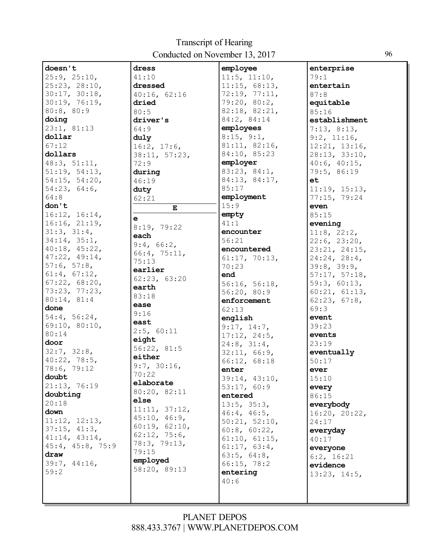| doesn't          | dress                 | employee      | enterprise        |
|------------------|-----------------------|---------------|-------------------|
| 25:9, 25:10,     | 41:10                 | 11:5, 11:10,  | 79:1              |
| 25:23, 28:10,    | dressed               | 11:15, 68:13, | entertain         |
|                  |                       |               |                   |
| 30:17, 30:18,    | 40:16, 62:16          | 72:19, 77:11, | 87:8              |
| 30:19, 76:19,    | dried                 | 79:20, 80:2,  | equitable         |
| 80:8, 80:9       | 80:5                  | 82:18, 82:21, | 85:16             |
| doing            | driver's              | 84:2, 84:14   | establishment     |
| 23:1, 81:13      | 64:9                  | employees     | 7:13, 8:13,       |
| dollar           | duly                  | 8:15, 9:1,    | 9:2, 11:16,       |
| 67:12            | 16:2, 17:6,           | 81:11, 82:16, | 12:21, 13:16,     |
| dollars          |                       | 84:10, 85:23  | 28:13, 33:10,     |
| 48:3, 51:11,     | 38:11, 57:23,<br>72:9 | employer      |                   |
|                  |                       |               | 40:6, 40:15,      |
| 51:19, 54:13,    | during                | 83:23, 84:1,  | 79:5, 86:19       |
| 54:15, 54:20,    | 46:19                 | 84:13, 84:17, | et                |
| 54:23, 64:6,     | duty                  | 85:17         | 11:19, 15:13,     |
| 64:8             | 62:21                 | employment    | 77:15, 79:24      |
| don't            | $\mathbf E$           | 15:9          | even              |
| 16:12, 16:14,    |                       | empty         | 85:15             |
| 16:16, 21:19,    | $\mathbf{e}$          | 41:1          | evening           |
| 31:3, 31:4,      | 8:19, 79:22           | encounter     | $11:8$ , $22:2$ , |
| 34:14, 35:1,     | each                  | 56:21         | 22:6, 23:20,      |
| 40:18, 45:22,    | 9:4, 66:2,            | encountered   |                   |
|                  | 66:4, 75:11,          |               | 23:21, 24:15,     |
| 47:22, 49:14,    | 75:13                 | 61:17, 70:13, | 24:24, 28:4,      |
| 57:6, 57:8,      | earlier               | 70:23         | 39:8, 39:9,       |
| 61:4, 67:12,     | 62:23, 63:20          | end           | 57:17, 57:18,     |
| 67:22, 68:20,    |                       | 56:16, 56:18, | 59:3, 60:13,      |
| 73:23, 77:23,    | earth                 | 56:20, 80:9   | 60:21, 61:13,     |
| 80:14, 81:4      | 83:18                 | enforcement   | 62:23, 67:8,      |
| done             | ease                  | 62:13         | 69:3              |
| 54:4, 56:24,     | 9:16                  | english       | event             |
| 69:10, 80:10,    | east                  |               | 39:23             |
| 80:14            | 2:5, 60:11            | 9:17, 14:7,   |                   |
| door             | eight                 | 17:12, 24:5,  | events            |
|                  | 56:22, 81:5           | 24:8, 31:4,   | 23:19             |
| 32:7, 32:8,      | either                | 32:11, 66:9,  | eventually        |
| 40:22, 78:5,     |                       | 66:12, 68:18  | 50:17             |
| 78:6, 79:12      | 9:7, 30:16,           | enter         | ever              |
| doubt            | 70:22                 | 39:14, 43:10, | 15:10             |
| 21:13, 76:19     | elaborate             | 53:17, 60:9   | every             |
| doubting         | 80:20, 82:11          | entered       | 86:15             |
| 20:18            | else                  | 13:5, 35:3,   | everybody         |
| down             | 11:11, 37:12,         | 46:4, 46:5,   | 16:20, 20:22,     |
| 11:12, 12:13,    | 45:10, 46:9,          | 50:21, 52:10, | 24:17             |
| 37:15, 41:3,     | 60:19, 62:10,         |               |                   |
| 41:14, 43:14,    | 62:12, 75:6,          | 60:8, 60:22,  | everyday          |
|                  | 78:3, 79:13,          | 61:10, 61:15, | 40:17             |
| 45:4, 45:8, 75:9 | 79:15                 | 61:17, 63:4,  | everyone          |
| draw             | employed              | 63:5, 64:8,   | $6:2$ , $16:21$   |
| 39:7, 44:16,     | 58:20, 89:13          | 66:15, 78:2   | evidence          |
| 59:2             |                       | entering      | 13:23, 14:5,      |
|                  |                       | 40:6          |                   |
|                  |                       |               |                   |
|                  |                       |               |                   |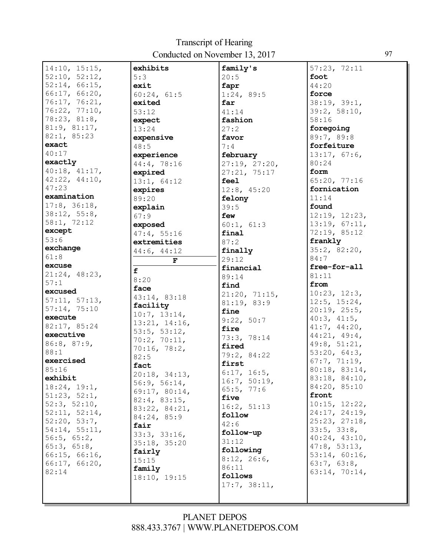| $\boxed{14:10, 15:15}$ | exhibits      | family's                   | 57:23, 72:11       |
|------------------------|---------------|----------------------------|--------------------|
| 52:10, 52:12,          | 5:3           | 20:5                       | foot               |
| 52:14, 66:15,          | exit          | fapr                       | 44:20              |
| 66:17, 66:20,          | 60:24, 61:5   | 1:24, 89:5                 | force              |
| 76:17, 76:21,          | exited        | far                        | 38:19, 39:1,       |
| 76:22, 77:10,          | 53:12         | 41:14                      | 39:2, 58:10,       |
| 78:23, 81:8,           | expect        | fashion                    | 58:16              |
| 81:9, 81:17,           | 13:24         | 27:2                       | foregoing          |
| 82:1, 85:23            | expensive     | favor                      | 89:7, 89:8         |
| exact                  | 48:5          | 7:4                        | forfeiture         |
| 40:17                  | experience    | february                   | 13:17, 67:6,       |
| exactly                | 44:4, 78:16   | 27:19, 27:20,              | 80:24              |
| 40:18, 41:17,          | expired       | 27:21, 75:17               | form               |
| 42:22, 44:10,          | 13:1, 64:12   | feel                       | 65:20, 77:16       |
| 47:23                  | expires       | 12:8, 45:20                | fornication        |
| examination            | 89:20         | felony                     | 11:14              |
| 17:8, 36:18,           | explain       | 39:5                       | found              |
| 38:12, 55:8,           | 67:9          | few                        | 12:19, 12:23,      |
| 58:1, 72:12            | exposed       | 60:1, 61:3                 | 13:19, 67:11,      |
| except                 | 47:4, 55:16   | final                      | 72:19, 85:12       |
| 53:6                   | extremities   | 87:2                       | frankly            |
| exchange               | 44:6, 44:12   |                            | 35:2, 82:20,       |
| 61:8                   |               | finally<br>29:12           | 84:7               |
| excuse                 | $\mathbf F$   | financial                  | free-for-all       |
| 21:24, 48:23,          | f             | 89:14                      | 81:11              |
| 57:1                   | 8:20          | find                       | from               |
| excused                | face          | 21:20, 71:15,              | 10:23, 12:3,       |
| 57:11, 57:13,          | 43:14, 83:18  | 81:19, 83:9                | $12:5$ , $15:24$ , |
| 57:14, 75:10           | facility      | fine                       | 20:19, 25:5,       |
| execute                | 10:7, 13:14,  | 9:22, 50:7                 | 40:3, 41:5,        |
| 82:17, 85:24           | 13:21, 14:16, | fire                       | 41:7, 44:20,       |
| executive              | 53:5, 53:12,  | 73:3, 78:14                | 44:21, 49:4,       |
| 86:8, 87:9,            | 70:2, 70:11,  | fired                      | 49:8, 51:21,       |
| 88:1                   | 70:16, 78:2,  |                            | 53:20, 64:3,       |
| exercised              | 82:5          | 79:2, 84:22<br>first       | 67:7, 71:19,       |
| 85:16                  | fact          |                            | 80:18, 83:14,      |
| exhibit                | 20:18, 34:13, | 6:17, 16:5,                | 83:18, 84:10,      |
| 18:24, 19:1,           | 56:9, 56:14,  | 16:7, 50:19,<br>65:5, 77:6 | 84:20, 85:10       |
| 51:23, 52:1,           | 69:17, 80:14, | five                       | front              |
| 52:3, 52:10,           | 82:4, 83:15,  |                            | 10:15, 12:22,      |
| 52:11, 52:14,          | 83:22, 84:21, | 16:2, 51:13                | 24:17, 24:19,      |
| 52:20, 53:7,           | 84:24, 85:9   | follow                     | 25:23, 27:18,      |
| 54:14, 55:11,          | fair          | 42:6                       | 33:5, 33:8,        |
| 56:5, 65:2,            | 33:3, 33:16,  | follow-up                  | 40:24, 43:10,      |
| 65:3, 65:8,            | 35:18, 35:20  | 31:12                      | 47:8, 53:13,       |
| 66:15, 66:16,          | fairly        | following                  | 53:14, 60:16,      |
| 66:17, 66:20,          | 15:15         | 8:12, 26:6,                | 63:7, 63:8,        |
| 82:14                  | family        | 86:11                      | 63:14, 70:14,      |
|                        | 18:10, 19:15  | follows                    |                    |
|                        |               | 17:7, 38:11,               |                    |
|                        |               |                            |                    |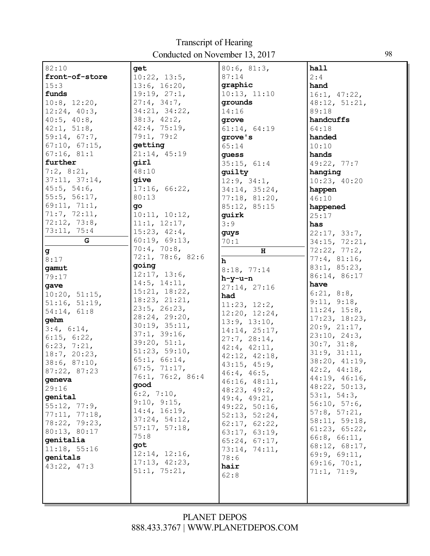| 82:10                        | get                            | 80:6, 81:3,                   | hall                         |
|------------------------------|--------------------------------|-------------------------------|------------------------------|
| front-of-store               | 10:22, 13:5,                   | 87:14                         | 2:4                          |
| 15:3                         | 13:6, 16:20,                   | graphic                       | hand                         |
| funds                        | 19:19, 27:1,                   | 10:13, 11:10                  | 16:1, 47:22,                 |
| 10:8, 12:20,                 | 27:4, 34:7,                    | grounds                       | 48:12, 51:21,                |
| 12:24, 40:3,                 | 34:21, 34:22,                  | 14:16                         | 89:18                        |
| $40:5$ , $40:8$ ,            | 38:3, 42:2,                    | grove                         | handcuffs                    |
| 42:1, 51:8,                  | 42:4, 75:19,                   | 61:14, 64:19                  | 64:18                        |
| 59:14, 67:7,                 | 79:1, 79:2                     | grove's                       | handed                       |
| 67:10, 67:15,                | getting                        | 65:14                         | 10:10                        |
| 67:16, 81:1                  | 21:14, 45:19                   | quess                         | hands                        |
| further                      | qirl                           | 35:15, 61:4                   | 49:22, 77:7                  |
| 7:2, 8:21,                   | 48:10                          | quilty                        | hanging                      |
| 37:11, 37:14,                | qive                           | 12:9, 34:1,                   | 10:23, 40:20                 |
| 45:5, 54:6,                  | 17:16, 66:22,                  | 34:14, 35:24,                 | happen                       |
| 55:5, 56:17,                 | 80:13                          | 77:18, 81:20,                 | 46:10                        |
| 69:11, 71:1,                 | qo                             | 85:12, 85:15                  | happened                     |
| 71:7, 72:11,                 | 10:11, 10:12,                  | quirk                         | 25:17                        |
| 72:12, 73:8,                 | 11:1, 12:17,                   | 3:9                           | has                          |
| 73:11, 75:4                  | 15:23, 42:4,                   | guys                          | 22:17, 33:7,                 |
| G                            | 60:19, 69:13,                  | 70:1                          | 34:15, 72:21,                |
| g                            | 70:4, 70:8,                    | $\, {\bf H}$                  | 72:22, 77:2,                 |
| 8:17                         | 72:1, 78:6, 82:6               | $\mathbf h$                   | 77:4, 81:16,                 |
| gamut                        | going                          | 8:18, 77:14                   | 83:1, 85:23,                 |
| 79:17                        | 12:17, 13:6,                   | $h-y-u-n$                     | 86:14, 86:17                 |
| gave                         | 14:5, 14:11,                   | 27:14, 27:16                  | have                         |
| 10:20, 51:15,                | 15:21, 18:22,<br>18:23, 21:21, | had                           | 6:21, 8:8,                   |
| 51:16, 51:19,                | 23:5, 26:23,                   | 11:23, 12:2,                  | 9:11, 9:18,                  |
| 54:14, 61:8                  | 28:24, 29:20,                  | 12:20, 12:24,                 | 11:24, 15:8,                 |
| gehm                         | 30:19, 35:11,                  | 13:9, 13:10,                  | 17:23, 18:23,                |
| 3:4, 6:14,                   | 37:1, 39:16,                   | 14:14, 25:17,                 | 20:9, 21:17,<br>23:10, 24:3, |
| 6:15, 6:22,                  | 39:20, 51:1,                   | 27:7, 28:14,                  | 30:7, 31:8,                  |
| 6:23, 7:21,                  | 51:23, 59:10,                  | 42:4, 42:11,                  | 31:9, 31:11,                 |
| 18:7, 20:23,                 | 65:1, 66:14,                   | 42:12, 42:18,                 | 38:20, 41:19,                |
| 38:6, 87:10,<br>87:22, 87:23 | 67:5, 71:17,                   | 43:15, 45:9,                  | 42:2, 44:18,                 |
| geneva                       | 76:1, 76:2, 86:4               | $46:4$ , $46:5$ ,             | 44:19, 46:16,                |
| 29:16                        | good                           | 46:16, 48:11,                 | 48:22, 50:13,                |
| genital                      | 6:2, 7:10,                     | 48:23, 49:2,                  | 53:1, 54:3,                  |
| 55:12, 77:9,                 | 9:10, 9:15,                    | 49:4, 49:21,<br>49:22, 50:16, | 56:10, 57:6,                 |
| 77:11, 77:18,                | 14:4, 16:19,                   | 52:13, 52:24,                 | 57:8, 57:21,                 |
| 78:22, 79:23,                | 37:24, 54:12,                  | 62:17, 62:22,                 | 58:11, 59:18,                |
| 80:13, 80:17                 | 57:17, 57:18,                  | 63:17, 63:19,                 | 61:23, 65:22,                |
| genitalia                    | 75:8                           | 65:24, 67:17,                 | 66:8, 66:11,                 |
| 11:18, 55:16                 | got                            | 73:14, 74:11,                 | 68:12, 68:17,                |
| qenitals                     | 12:14, 12:16,                  | 78:6                          | 69:9, 69:11,                 |
| 43:22, 47:3                  | 17:13, 42:23,                  | hair                          | 69:16, 70:1,                 |
|                              | 51:1, 75:21,                   | 62:8                          | 71:1, 71:9,                  |
|                              |                                |                               |                              |
|                              |                                |                               |                              |
|                              |                                |                               |                              |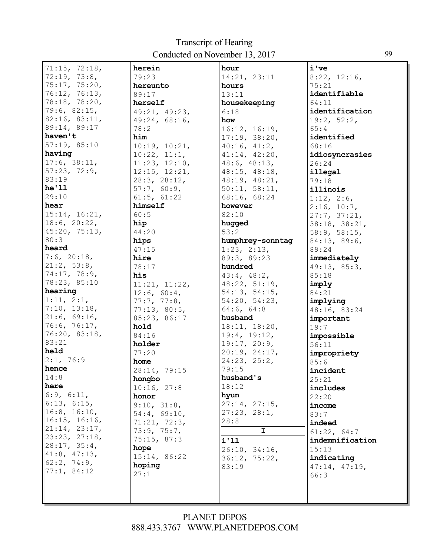| 71:15, 72:18,      | herein        | hour             | i've            |
|--------------------|---------------|------------------|-----------------|
| 72:19, 73:8,       | 79:23         | 14:21, 23:11     | 8:22, 12:16,    |
| 75:17, 75:20,      | hereunto      | hours            | 75:21           |
| 76:12, 76:13,      | 89:17         | 13:11            | identifiable    |
| 78:18, 78:20,      | herself       | housekeeping     | 64:11           |
| 79:6, 82:15,       | 49:21, 49:23, | 6:18             | identification  |
| 82:16, 83:11,      | 49:24, 68:16, | how              | 19:2, 52:2,     |
| 89:14, 89:17       | 78:2          | 16:12, 16:19,    | 65:4            |
| haven't            | him           | 17:19, 38:20,    | identified      |
| 57:19, 85:10       | 10:19, 10:21, | 40:16, 41:2,     | 68:16           |
| having             | 10:22, 11:1,  | 41:14, 42:20,    | idiosyncrasies  |
| 17:6, 38:11,       | 11:23, 12:10, | 48:6, 48:13,     | 26:24           |
| 57:23, 72:9,       | 12:15, 12:21, | 48:15, 48:18,    | illegal         |
| 83:19              | 28:3, 28:12,  | 48:19, 48:21,    | 79:18           |
| he'11              | 57:7, 60:9,   | 50:11, 58:11,    | illinois        |
| 29:10              | 61:5, 61:22   | 68:16, 68:24     | 1:12, 2:6,      |
| hear               | himself       | however          | 2:16, 10:7,     |
| 15:14, 16:21,      | 60:5          | 82:10            | 27:7, 37:21,    |
| 18:6, 20:22,       | hip           | hugged           | 38:18, 38:21,   |
| 45:20, 75:13,      | 44:20         | 53:2             | 58:9, 58:15,    |
| 80:3               | hips          | humphrey-sonntag | 84:13, 89:6,    |
| heard              | 47:15         | 1:23, 2:13,      | 89:24           |
| 7:6, 20:18,        | hire          | 89:3, 89:23      | immediately     |
| 21:2, 53:8,        | 78:17         | hundred          | 49:13, 85:3,    |
| 74:17, 78:9,       | his           | 43:4, 48:2,      | 85:18           |
| 78:23, 85:10       | 11:21, 11:22, | 48:22, 51:19,    | imply           |
| hearing            | 12:6, 60:4,   | 54:13, 54:15,    | 84:21           |
| 1:11, 2:1,         | 77:7, 77:8,   | 54:20, 54:23,    | implying        |
| 7:10, 13:18,       | 77:13, 80:5,  | 64:6, 64:8       | 48:16, 83:24    |
| 21:6, 69:16,       | 85:23, 86:17  | husband          | important       |
| 76:6, 76:17,       | hold          | 18:11, 18:20,    | 19:7            |
| 76:20, 83:18,      | 84:16         | 19:4, 19:12,     | impossible      |
| 83:21<br>held      | holder        | 19:17, 20:9,     | 56:11           |
|                    | 77:20         | 20:19, 24:17,    | impropriety     |
| 2:1, 76:9<br>hence | home          | 24:23, 25:2,     | 85:6            |
|                    | 28:14, 79:15  | 79:15            | incident        |
| 14:8<br>here       | hongbo        | husband's        | 25:21           |
| 6:9, 6:11,         | 10:16, 27:8   | 18:12            | includes        |
| 6:13, 6:15,        | honor         | hyun             | 22:20           |
| 16:8, 16:10,       | 9:10, 31:8,   | 27:14, 27:15,    | income          |
| 16:15, 16:16,      | 54:4, 69:10,  | 27:23, 28:1,     | 83:7            |
| 21:14, 23:17,      | 71:21, 72:3,  | 28:8             | indeed          |
| 23:23, 27:18,      | 73:9, 75:7,   | $\overline{I}$   | 61:22, 64:7     |
| 28:17, 35:4,       | 75:15, 87:3   | i'll             | indemnification |
| 41:8, 47:13,       | hope          | 26:10, 34:16,    | 15:13           |
| 62:2, 74:9,        | 15:14, 86:22  | 36:12, 75:22,    | indicating      |
| 77:1, 84:12        | hoping        | 83:19            | 47:14, 47:19,   |
|                    | 27:1          |                  | 66:3            |
|                    |               |                  |                 |
|                    |               |                  |                 |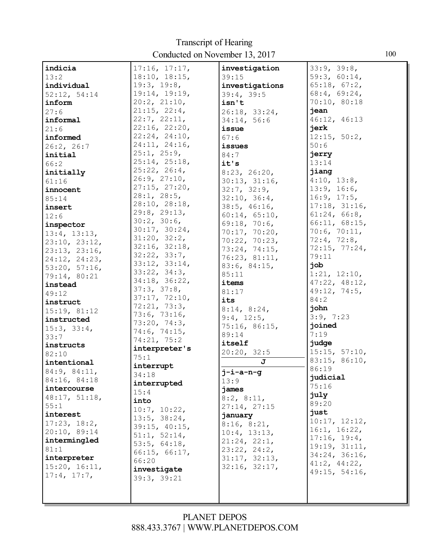| indicia                       | 17:16, 17:17,      | investigation  | 33:9, 39:8,   |
|-------------------------------|--------------------|----------------|---------------|
| 13:2                          | 18:10, 18:15,      | 39:15          | 59:3, 60:14,  |
| individual                    | 19:3, 19:8,        | investigations | 65:18, 67:2,  |
| 52:12, 54:14                  | 19:14, 19:19,      | 39:4, 39:5     | 68:4, 69:24,  |
| inform                        | $20:2$ , $21:10$ , | isn't          | 70:10, 80:18  |
| 27:6                          | 21:15, 22:4,       | 26:18, 33:24,  | jean          |
| informal                      | 22:7, 22:11,       | 34:14, 56:6    | 46:12, 46:13  |
| 21:6                          | 22:16, 22:20,      | issue          | jerk          |
| informed                      | 22:24, 24:10,      | 67:6           | 12:15, 50:2,  |
| 26:2, 26:7                    | 24:11, 24:16,      | issues         | 50:6          |
| initial                       | 25:1, 25:9,        | 84:7           | jerry         |
| 66:2                          | 25:14, 25:18,      | it's           | 13:14         |
| initially                     | 25:22, 26:4,       | 8:23, 26:20,   | jiang         |
| 61:16                         | 26:9, 27:10,       | 30:13, 31:16,  | 4:10, 13:8,   |
| innocent                      | 27:15, 27:20,      | 32:7, 32:9,    | 13:9, 16:6,   |
| 85:14                         | 28:1, 28:5,        | 32:10, 36:4,   | 16:9, 17:5,   |
| insert                        | 28:10, 28:18,      | 38:5, 46:16,   | 17:18, 31:16, |
| 12:6                          | 29:8, 29:13,       | 60:14, 65:10,  | 61:24, 66:8,  |
| inspector                     | 30:2, 30:6,        | 69:18, 70:6,   | 66:11, 68:15, |
| 13:4, 13:13,                  | 30:17, 30:24,      | 70:17, 70:20,  | 70:6, 70:11,  |
|                               | 31:20, 32:2,       | 70:22, 70:23,  | 72:4, 72:8,   |
| 23:10, 23:12,                 | 32:16, 32:18,      | 73:24, 74:15,  | 72:15, 77:24, |
| 23:13, 23:16,                 | 32:22, 33:7,       | 76:23, 81:11,  | 79:11         |
| 24:12, 24:23,                 | 33:12, 33:14,      | 83:6, 84:15,   | dor           |
| 53:20, 57:16,<br>79:14, 80:21 | 33:22, 34:3,       | 85:11          | 1:21, 12:10,  |
| instead                       | 34:18, 36:22,      | items          | 47:22, 48:12, |
| 49:12                         | 37:3, 37:8,        | 81:17          | 49:12, 74:5,  |
| instruct                      | 37:17, 72:10,      | its            | 84:2          |
| 15:19, 81:12                  | 72:21, 73:3,       | 8:14, 8:24,    | john          |
| instructed                    | 73:6, 73:16,       | 9:4, 12:5,     | 3:9, 7:23     |
| 15:3, 33:4,                   | 73:20, 74:3,       | 75:16, 86:15,  | joined        |
| 33:7                          | 74:6, 74:15,       | 89:14          | 7:19          |
| instructs                     | 74:21, 75:2        | itself         | judge         |
| 82:10                         | interpreter's      | 20:20, 32:5    | 15:15, 57:10, |
| intentional                   | 75:1               | J              | 83:15, 86:10, |
| 84:9, 84:11,                  | interrupt          | $j$ -i-a-n-g   | 86:19         |
| 84:16, 84:18                  | 34:18              | 13:9           | judicial      |
| intercourse                   | interrupted        | james          | 75:16         |
| 48:17, 51:18,                 | 15:4               | 8:2, 8:11,     | july          |
| 55:1                          | into               | 27:14, 27:15   | 89:20         |
| interest                      | 10:7, 10:22,       | january        | just          |
| 17:23, 18:2,                  | 13:5, 38:24,       | 8:16, 8:21,    | 10:17, 12:12, |
| 20:10, 89:14                  | 39:15, 40:15,      | 10:4, 13:13,   | 16:1, 16:22,  |
| intermingled                  | 51:1, 52:14,       | 21:24, 22:1,   | 17:16, 19:4,  |
| 81:1                          | 53:5, 64:18,       | 23:22, 24:2,   | 19:19, 31:11, |
| interpreter                   | 66:15, 66:17,      | 31:17, 32:13,  | 34:24, 36:16, |
| 15:20, 16:11,                 | 66:20              | 32:16, 32:17,  | 41:2, 44:22,  |
| 17:4, 17:7,                   | investigate        |                | 49:15, 54:16, |
|                               | 39:3, 39:21        |                |               |
|                               |                    |                |               |
|                               |                    |                |               |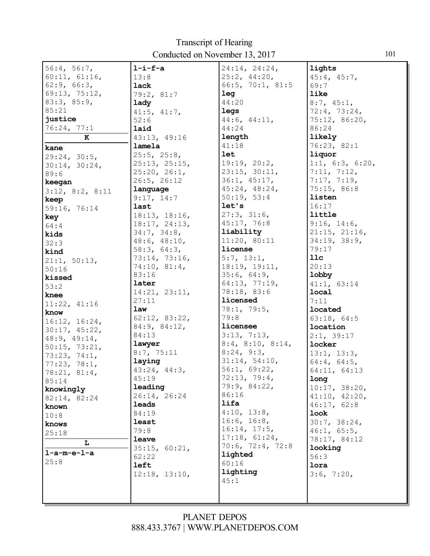| 56:4, 56:7,     | $l-i-f-a$     | 24:14, 24:24,             | lights          |
|-----------------|---------------|---------------------------|-----------------|
| 60:11, 61:16,   | 13:8          | 25:2, 44:20,              | 45:4, 45:7,     |
| 62:9, 66:3,     | lack          | 66:5, 70:1, 81:5          | 69:7            |
| 69:13, 75:12,   | 79:2, 81:7    | leg                       | like            |
| 83:3, 85:9,     | lady          | 44:20                     | 8:7, 45:1,      |
| 85:21           | 41:5, 41:7,   | legs                      | 72:4, 73:24,    |
| justice         | 52:6          | 44:6, 44:11,              | 75:12, 86:20,   |
| 76:24, 77:1     | laid          | 44:24                     | 86:24           |
| K               | 43:13, 49:16  | length                    | likely          |
| kane            | lamela        | 41:18                     | 76:23, 82:1     |
| 29:24, 30:5,    | 25:5, 25:8,   | <b>let</b>                | liquor          |
| 30:14, 30:24,   | 25:13, 25:15, | 19:19, 20:2,              | 1:1, 6:3, 6:20, |
| 89:6            | 25:20, 26:1,  | 23:15, 30:11,             | 7:11, 7:12,     |
| keegan          | 26:5, 26:12   | 36:1, 45:17,              | 7:17, 7:19,     |
| 3:12, 8:2, 8:11 | language      | 45:24, 48:24,             | 75:15, 86:8     |
| keep            | 9:17, 14:7    | 50:19, 53:4               | listen          |
| 59:16, 76:14    | last          | let's                     | 16:17           |
| key             | 18:13, 18:16, | 27:3, 31:6,               | little          |
| 64:4            | 18:17, 24:13, | 45:17, 76:8               | 9:16, 14:6,     |
| kids            | 34:7, 34:8,   | liability                 | 21:15, 21:16,   |
| 32:3            | 48:6, 48:10,  | 11:20, 80:11              | 34:19, 38:9,    |
| kind            | 58:3, 64:3,   | license                   | 79:17           |
| 21:1, 50:13,    | 73:14, 73:16, | 5:7, 13:1,                | 11c             |
| 50:16           | 74:10, 81:4,  | 18:19, 19:11,             | 20:13           |
| kissed          | 83:16         | 35:6, 64:9,               | lobby           |
| 53:2            | later         | 64:13, 77:19,             | 41:1, 63:14     |
| knee            | 14:21, 23:11, | 78:18, 83:6               | local           |
| 11:22, 41:16    | 27:11         | licensed                  | 7:11            |
| know            | law           | 78:1, 79:5,               | located         |
| 16:12, 16:24,   | 62:12, 83:22, | 79:8                      | 63:18, 64:5     |
| 30:17, 45:22,   | 84:9, 84:12,  | licensee                  | location        |
| 48:9, 49:14,    | 84:13         | 3:13, 7:13,               | 2:1, 39:17      |
| 50:15, 73:21,   | lawyer        | $8:4$ , $8:10$ , $8:14$ , | locker          |
| 73:23, 74:1,    | 8:7, 75:11    | 8:24, 9:3,                | 13:1, 13:3,     |
| 77:23, 78:1,    | laying        | 31:14, 54:10,             | 64:4, 64:5,     |
| 78:21, 81:4,    | 43:24, 44:3,  | 56:1, 69:22,              | 64:11, 64:13    |
| 85:14           | 45:19         | 72:13, 79:4,              | long            |
| knowingly       | leading       | 79:9, 84:22,              | 10:17, 38:20,   |
| 82:14, 82:24    | 26:14, 26:24  | 86:16                     | 41:10, 42:20,   |
| known           | <b>leads</b>  | lifa                      | 46:17, 62:8     |
| 10:8            | 84:19         | 4:10, 13:8,               | look            |
| knows           | least         | 16:6, 16:8,               | 30:7, 38:24,    |
| 25:18           | 79:8          | 16:14, 17:5,              | 46:1, 65:5,     |
| L               | leave         | 17:18, 61:24,             | 78:17, 84:12    |
| $l-a-m-e-l-a$   | 35:15, 60:21, | $70:6$ , $72:4$ , $72:8$  | looking         |
| 25:8            | 62:22         | lighted                   | 56:3            |
|                 | left          | 60:16                     | lora            |
|                 | 12:18, 13:10, | lighting                  | 3:6, 7:20,      |
|                 |               | 45:1                      |                 |
|                 |               |                           |                 |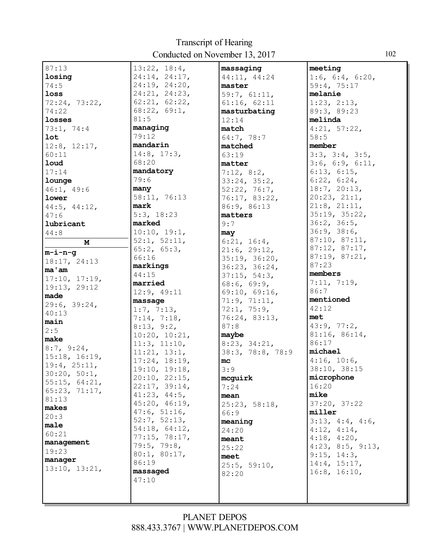| 87:13              | 13:22, 18:4,      | massaging        | meeting                   |
|--------------------|-------------------|------------------|---------------------------|
| losing             | 24:14, 24:17,     | 44:11, 44:24     | 1:6, 6:4, 6:20,           |
| 74:5               | 24:19, 24:20,     | master           | 59:4, 75:17               |
| loss               | 24:21, 24:23,     | 59:7, 61:11,     | melanie                   |
| 72:24, 73:22,      | 62:21, 62:22,     | 61:16, 62:11     | 1:23, 2:13,               |
| 74:22              | 68:22, 69:1,      | masturbating     | 89:3, 89:23               |
| losses             | 81:5              | 12:14            | melinda                   |
| 73:1, 74:4         | managing          | match            | 4:21, 57:22,              |
| <b>lot</b>         | 79:12             | 64:7, 78:7       | 58:5                      |
| 12:8, 12:17,       | mandarin          | matched          | member                    |
| 60:11              | $14:8$ , $17:3$ , | 63:19            | 3:3, 3:4, 3:5,            |
| <b>loud</b>        | 68:20             | matter           | 3:6, 6:9, 6:11,           |
| 17:14              | mandatory         | 7:12, 8:2,       | 6:13, 6:15,               |
| lounge             | 79:6              | 33:24, 35:2,     | $6:22$ , $6:24$ ,         |
| 46:1, 49:6         | many              | 52:22, 76:7,     | 18:7, 20:13,              |
| lower              | 58:11, 76:13      | 76:17, 83:22,    | 20:23, 21:1,              |
| $44:5$ , $44:12$ , | mark              | 86:9, 86:13      | $21:8$ , $21:11$ ,        |
| 47:6               | 5:3, 18:23        | matters          | 35:19, 35:22,             |
| lubricant          | marked            | 9:7              | 36:2, 36:5,               |
| 44:8               | 10:10, 19:1,      | may              | 36:9, 38:6,               |
| M                  | 52:1, 52:11,      | 6:21, 16:4,      | 87:10, 87:11,             |
| m-i-n-q            | 65:2, 65:3,       | 21:6, 29:12,     | 87:12, 87:17,             |
| 18:17, 24:13       | 66:16             | 35:19, 36:20,    | 87:19, 87:21,             |
| ma'am              | markings          | 36:23, 36:24,    | 87:23                     |
| 17:10, 17:19,      | 44:15             | 37:15, 54:3,     | members                   |
| 19:13, 29:12       | married           | 68:6, 69:9,      | 7:11, 7:19,               |
| made               | 12:9, 49:11       | 69:10, 69:16,    | 86:7                      |
| 29:6, 39:24,       | massage           | 71:9, 71:11,     | mentioned                 |
| 40:13              | 1:7, 7:13,        | 72:1, 75:9,      | 42:12                     |
| main               | 7:14, 7:18,       | 76:24, 83:13,    | met                       |
| 2:5                | 8:13, 9:2,        | 87:8             | 43:9, 77:2,               |
| make               | 10:20, 10:21,     | maybe            | 81:16, 86:14,             |
| 8:7, 9:24,         | 11:3, 11:10,      | 8:23, 34:21,     | 86:17                     |
| 15:18, 16:19,      | 11:21, 13:1,      | 38:3, 78:8, 78:9 | michael                   |
| 19:4, 25:11,       | 17:24, 18:19,     | mc               | 4:16, 10:6,               |
| 30:20, 50:1,       | 19:10, 19:18,     | 3:9              | 38:10, 38:15              |
| 55:15, 64:21,      | 20:10, 22:15,     | mcguirk          | microphone                |
| 65:23, 71:17,      | 22:17, 39:14,     | 7:24             | 16:20                     |
| 81:13              | 41:23, 44:5,      | mean             | mike                      |
| makes              | 45:20, 46:19,     | 25:23, 58:18,    | 37:20, 37:22              |
| 20:3               | 47:6, 51:16,      | 66:9             | miller                    |
| male               | 52:7, 52:13,      | meaning          | 3:13, 4:4, 4:6,           |
| 60:21              | 54:18, 64:12,     | 24:20            | $4:12$ , $4:14$ ,         |
| management         | 77:15, 78:17,     | meant            | 4:18, 4:20,               |
| 19:23              | 79:5, 79:8,       | 25:22            | $4:23$ , $8:5$ , $9:13$ , |
| manager            | 80:1, 80:17,      | meet             | 9:15, 14:3,               |
| 13:10, 13:21,      | 86:19             | 25:5, 59:10,     | 14:4, 15:17,              |
|                    | massaged          | 82:20            | 16:8, 16:10,              |
|                    | 47:10             |                  |                           |
|                    |                   |                  |                           |
|                    |                   |                  |                           |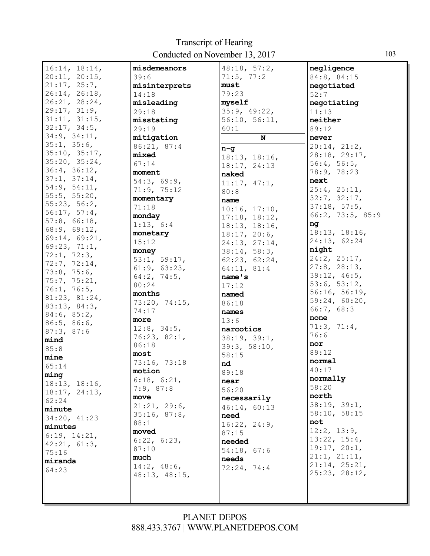| 16:14, 18:14,                  | misdemeanors      | 48:18, 57:2,                  | negligence                    |
|--------------------------------|-------------------|-------------------------------|-------------------------------|
| 20:11, 20:15,                  | 39:6              | 71:5, 77:2                    | 84:8, 84:15                   |
| 21:17, 25:7,                   | misinterprets     | must                          | negotiated                    |
| 26:14, 26:18,                  | 14:18             | 79:23                         | 52:7                          |
| 26:21, 28:24,                  | misleading        | myself                        | negotiating                   |
| 29:17, 31:9,                   | 29:18             | 35:9, 49:22,                  | 11:13                         |
| 31:11, 31:15,                  | misstating        | 56:10, 56:11,                 | neither                       |
| 32:17, 34:5,                   | 29:19             | 60:1                          | 89:12                         |
| 34:9, 34:11,                   | mitigation        | N                             | never                         |
| 35:1, 35:6,                    | 86:21, 87:4       | $n - g$                       | 20:14, 21:2,                  |
| 35:10, 35:17,                  | mixed             |                               | 28:18, 29:17,                 |
| 35:20, 35:24,                  | 67:14             | 18:13, 18:16,<br>18:17, 24:13 | 56:4, 56:5,                   |
| 36:4, 36:12,                   | moment            |                               | 78:9, 78:23                   |
| 37:1, 37:14,                   | 54:3, 69:9,       | naked                         | next                          |
| 54:9, 54:11,                   | 71:9, 75:12       | 11:17, 47:1,                  | 25:4, 25:11,                  |
| 55:5, 55:20,                   | momentary         | 80:8                          | 32:7, 32:17,                  |
| 55:23, 56:2,                   | 71:18             | name                          | 37:18, 57:5,                  |
| 56:17, 57:4,                   | monday            | 10:16, 17:10,                 | 66:2, 73:5, 85:9              |
| 57:8, 66:18,                   |                   | 17:18, 18:12,                 |                               |
| 68:9, 69:12,                   | 1:13, 6:4         | 18:13, 18:16,                 | ng                            |
| 69:14, 69:21,                  | monetary          | 18:17, 20:6,                  | 18:13, 18:16,<br>24:13, 62:24 |
| 69:23, 71:1,                   | 15:12             | 24:13, 27:14,                 |                               |
| 72:1, 72:3,                    | money             | 38:14, 58:3,                  | night                         |
| 72:7, 72:14,                   | 53:1, 59:17,      | 62:23, 62:24,                 | 24:2, 25:17,                  |
| 73:8, 75:6,                    | 61:9, 63:23,      | 64:11, 81:4                   | $27:8$ , $28:13$ ,            |
| 75:7, 75:21,                   | 64:2, 74:5,       | name's                        | 39:12, 46:5,                  |
| 76:1, 76:5,                    | 80:24             | 17:12                         | 53:6, 53:12,                  |
| 81:23, 81:24,                  | months            | named                         | 56:16, 56:19,                 |
| 83:13, 84:3,                   | 73:20, 74:15,     | 86:18                         | 59:24, 60:20,                 |
| 84:6, 85:2,                    | 74:17             | names                         | 66:7, 68:3                    |
| 86:5, 86:6,                    | more              | 13:6                          | none                          |
| 87:3, 87:6                     | $12:8$ , $34:5$ , | narcotics                     | 71:3, 71:4,                   |
| mind                           | 76:23, 82:1,      | 38:19, 39:1,                  | 76:6                          |
| 85:8                           | 86:18             | 39:3, 58:10,                  | nor                           |
| mine                           | most              | 58:15                         | 89:12                         |
| 65:14                          | 73:16, 73:18      | nd                            | normal                        |
| ming                           | motion            | 89:18                         | 40:17                         |
|                                | 6:18, 6:21,       | near                          | normally                      |
| 18:13, 18:16,<br>18:17, 24:13, | 7:9,87:8          | 56:20                         | 58:20                         |
| 62:24                          | move              | necessarily                   | north                         |
|                                | 21:21, 29:6,      | 46:14, 60:13                  | 38:19, 39:1,                  |
| minute                         | 35:16, 87:8,      | need                          | 58:10, 58:15                  |
| 34:20, 41:23                   | 88:1              | 16:22, 24:9,                  | not                           |
| minutes                        | moved             | 87:15                         | 12:2, 13:9,                   |
| 6:19, 14:21,                   | 6:22, 6:23,       | needed                        | 13:22, 15:4,                  |
| 42:21, 61:3,                   | 87:10             | 54:18, 67:6                   | 19:17, 20:1,                  |
| 75:16                          | much              | needs                         | 21:1, 21:11,                  |
| miranda                        | 14:2, 48:6,       | 72:24, 74:4                   | 21:14, 25:21,                 |
| 64:23                          | 48:13, 48:15,     |                               | 25:23, 28:12,                 |
|                                |                   |                               |                               |
|                                |                   |                               |                               |
|                                |                   |                               |                               |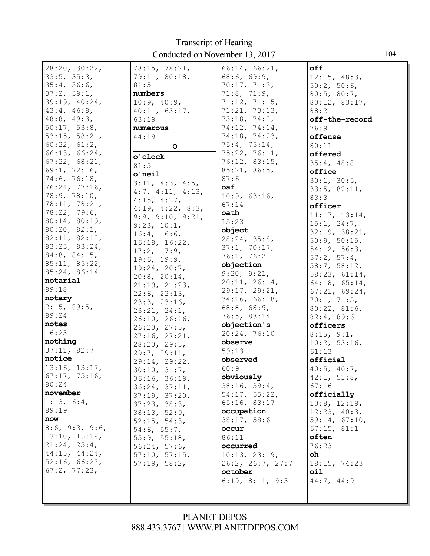| 28:20, 30:22,     | 78:15, 78:21,                  | 66:14, 66:21,            | off                         |
|-------------------|--------------------------------|--------------------------|-----------------------------|
| 33:5, 35:3,       | 79:11, 80:18,                  | 68:6, 69:9,              | 12:15, 48:3,                |
| 35:4, 36:6,       | 81:5                           | 70:17, 71:3,             | 50:2, 50:6,                 |
|                   |                                | 71:8, 71:9,              |                             |
| 37:2, 39:1,       | numbers                        | 71:12, 71:15,            | 80:5, 80:7,                 |
| 39:19, 40:24,     | 10:9, 40:9,                    |                          | 80:12, 83:17,               |
| 43:4, 46:8,       | 40:11, 63:17,                  | 71:21, 73:13,            | 88:2                        |
| $48:8$ , $49:3$ , | 63:19                          | 73:18, 74:2,             | off-the-record              |
| 50:17, 53:8,      | numerous                       | 74:12, 74:14,            | 76:9                        |
| 53:15, 58:21,     | 44:19                          | 74:18, 74:23,            | offense                     |
| 60:22, 61:2,      | $\circ$                        | 75:4, 75:14,             | 80:11                       |
| 66:13, 66:24,     | o'clock                        | 75:22, 76:11,            | offered                     |
| 67:22, 68:21,     | 81:5                           | 76:12, 83:15,            | 35:4, 48:8                  |
| 69:1, 72:16,      | $o'$ neil                      | 85:21, 86:5,             | office                      |
| 74:6, 76:18,      | 3:11, 4:3, 4:5,                | 87:6                     | 30:1, 30:5,                 |
| 76:24, 77:16,     | 4:7, 4:11, 4:13,               | oaf                      | 33:5, 82:11,                |
| 78:9, 78:10,      | $4:15$ , $4:17$ ,              | 10:9, 63:16,             | 83:3                        |
| 78:11, 78:21,     | 4:19, 4:22, 8:3,               | 67:14                    | officer                     |
| 78:22, 79:6,      | 9:9, 9:10, 9:21,               | oath                     | 11:17, 13:14,               |
| 80:14, 80:19,     | 9:23, 10:1,                    | 15:23                    | 15:1, 24:7,                 |
| 80:20, 82:1,      | 16:4, 16:6,                    | object                   | 32:19, 38:21,               |
| 82:11, 82:12,     | 16:18, 16:22,                  | 28:24, 35:8,             | 50:9, 50:15,                |
| 83:23, 83:24,     | 17:2, 17:9,                    | 37:1, 70:17,             | 54:12, 56:3,                |
| 84:8, 84:15,      | 19:6, 19:9,                    | 76:1, 76:2               | 57:2, 57:4,                 |
| 85:11, 85:22,     | 19:24, 20:7,                   | objection                | 58:7, 58:12,                |
| 85:24, 86:14      | $20:8$ , $20:14$ ,             | 9:20, 9:21,              | 58:23, 61:14,               |
| notarial          | 21:19, 21:23,                  | 20:11, 26:14,            | 64:18, 65:14,               |
| 89:18             | 22:6, 22:13,                   | 29:17, 29:21,            | 67:21, 69:24,               |
| notary            | 23:3, 23:16,                   | 34:16, 66:18,            | 70:1, 71:5,                 |
| 2:15, 89:5,       | 23:21, 24:1,                   | $68:8$ , $68:9$ ,        | 80:22, 81:6,                |
| 89:24             |                                | 76:5, 83:14              | 82:4, 89:6                  |
| notes             | 26:10, 26:16,                  | objection's              | officers                    |
| 16:23             | 26:20, 27:5,                   | 20:24, 76:10             | 8:15, 9:1,                  |
| nothing           | 27:16, 27:21,                  | observe                  | 10:2, 53:16,                |
| 37:11, 82:7       | 28:20, 29:3,                   | 59:13                    | 61:13                       |
| notice            | 29:7, 29:11,                   | observed                 | $of \ddot{\texttt{ficial}}$ |
| 13:16, 13:17,     | 29:14, 29:22,                  | 60:9                     | 40:5, 40:7,                 |
| 67:17, 75:16,     | 30:10, 31:7,                   | obviously                | 42:1, 51:8,                 |
| 80:24             | 36:16, 36:19,<br>36:24, 37:11, | 38:16, 39:4,             | 67:16                       |
| november          |                                | 54:17, 55:22,            | officially                  |
| 1:13, 6:4,        | 37:19, 37:20,                  | 65:16, 83:17             | $10:8$ , $12:19$ ,          |
| 89:19             | 37:23, 38:3,                   | occupation               | 12:23, 40:3,                |
| now               | 38:13, 52:9,                   | 38:17, 58:6              | 59:14, 67:10,               |
| 8:6, 9:3, 9:6,    | 52:15, 54:3,                   |                          | 67:15, 81:1                 |
| 13:10, 15:18,     | 54:6, 55:7,                    | occur                    |                             |
| 21:24, 25:4,      | 55:9, 55:18,                   | 86:11                    | often                       |
| 44:15, 44:24,     | 56:24, 57:6,                   | occurred                 | 76:23                       |
| 52:16, 66:22,     | 57:10, 57:15,                  | 10:13, 23:19,            | oh                          |
| 67:2, 77:23,      | 57:19, 58:2,                   | $26:2$ , $26:7$ , $27:7$ | 18:15, 74:23                |
|                   |                                | october                  | oil                         |
|                   |                                | 6:19, 8:11, 9:3          | 44:7, 44:9                  |
|                   |                                |                          |                             |
|                   |                                |                          |                             |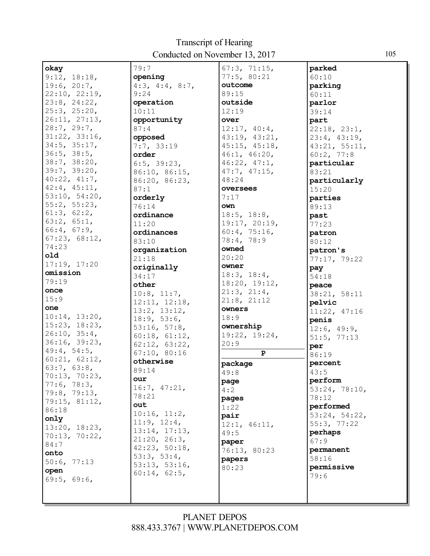| okay              | 79:7              | 67:3, 71:15,  | parked        |
|-------------------|-------------------|---------------|---------------|
| 9:12, 18:18,      | opening           | 77:5, 80:21   | 60:10         |
| 19:6, 20:7,       | 4:3, 4:4, 8:7,    | outcome       | parking       |
| 22:10, 22:19,     | 9:24              | 89:15         | 60:11         |
| 23:8, 24:22,      | operation         | outside       | parlor        |
| 25:3, 25:20,      | 10:11             | 12:19         | 39:14         |
| 26:11, 27:13,     | opportunity       | over          | part          |
| 28:7, 29:7,       | 87:4              | 12:17, 40:4,  | 22:18, 23:1,  |
| 31:22, 33:16,     | opposed           | 43:19, 43:21, | 23:4, 43:19,  |
| 34:5, 35:17,      | 7:7, 33:19        | 45:15, 45:18, | 43:21, 55:11, |
| $36:5$ , $38:5$ , | order             | 46:1, 46:20,  | 60:2, 77:8    |
| 38:7, 38:20,      | 6:5, 39:23,       | 46:22, 47:1,  | particular    |
| 39:7, 39:20,      | 86:10, 86:15,     | 47:7, 47:15,  | 83:21         |
| 40:22, 41:7,      | 86:20, 86:23,     | 48:24         | particularly  |
| 42:4, 45:11,      | 87:1              | oversees      | 15:20         |
| 53:10, 54:20,     | orderly           | 7:17          | parties       |
| 55:2, 55:23,      | 76:14             | own           | 89:13         |
| 61:3, 62:2,       | ordinance         | 18:5, 18:8,   | past          |
| 63:2, 65:1,       | 11:20             | 19:17, 20:19, | 77:23         |
| 66:4, 67:9,       | ordinances        | 60:4, 75:16,  | patron        |
| 67:23, 68:12,     | 83:10             | 78:4, 78:9    | 80:12         |
| 74:23             | organization      | owned         | patron's      |
| old               | 21:18             | 20:20         | 77:17, 79:22  |
| 17:19, 17:20      | originally        | owner         | pay           |
| omission          | 34:17             | 18:3, 18:4,   | 54:18         |
| 79:19             | other             | 18:20, 19:12, | peace         |
| once              | $10:8$ , $11:7$ , | 21:3, 21:4,   | 38:21, 58:11  |
| 15:9              | 12:11, 12:18,     | 21:8, 21:12   | pelvic        |
| one               | 13:2, 13:12,      | owners        | 11:22, 47:16  |
| 10:14, 13:20,     | 18:9, 53:6,       | 18:9          | penis         |
| 15:23, 18:23,     | 53:16, 57:8,      | ownership     | 12:6, 49:9,   |
| 26:10, 35:4,      | 60:18, 61:12,     | 19:22, 19:24, | 51:5, 77:13   |
| 36:16, 39:23,     | 62:12, 63:22,     | 20:9          | per           |
| 49:4, 54:5,       | 67:10, 80:16      | $\mathbf{P}$  | 86:19         |
| 60:21, 62:12,     | otherwise         | package       | percent       |
| 63:7, 63:8,       | 89:14             | 49:8          | 43:5          |
| 70:13, 70:23,     | our               | page          | perform       |
| 77:6, 78:3,       | 16:7, 47:21,      | 4:2           | 53:24, 78:10, |
| 79:8, 79:13,      | 78:21             | pages         | 78:12         |
| 79:15, 81:12,     | out               | 1:22          | performed     |
| 86:18             | 10:16, 11:2,      | pair          | 53:24, 54:22, |
| only              | 11:9, 12:4,       | 12:1, 46:11,  | 55:3, 77:22   |
| 13:20, 18:23,     | 13:14, 17:13,     | 49:5          | perhaps       |
| 70:13, 70:22,     | 21:20, 26:3,      | paper         | 67:9          |
| 84:7              | 42:23, 50:18,     | 76:13, 80:23  | permanent     |
| onto              | 53:3, 53:4,       | papers        | 58:16         |
| 50:6, 77:13       | 53:13, 53:16,     | 80:23         | permissive    |
| open              | 60:14, 62:5,      |               | 79:6          |
| 69:5, 69:6,       |                   |               |               |
|                   |                   |               |               |
|                   |                   |               |               |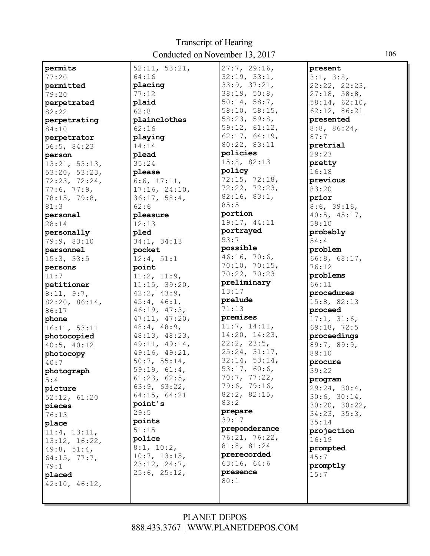| permits       | 52:11, 53:21,     | 27:7, 29:16,  | present       |
|---------------|-------------------|---------------|---------------|
| 77:20         | 64:16             | 32:19, 33:1,  | 3:1, 3:8,     |
| permitted     | placing           | 33:9, 37:21,  | 22:22, 22:23, |
| 79:20         | 77:12             | 38:19, 50:8,  | 27:18, 58:8,  |
| perpetrated   | plaid             | 50:14, 58:7,  | 58:14, 62:10, |
| 82:22         | 62:8              | 58:10, 58:15, | 62:12, 86:21  |
| perpetrating  | plainclothes      | 58:23, 59:8,  | presented     |
| 84:10         | 62:16             | 59:12, 61:12, | 8:8, 86:24,   |
|               | playing           | 62:17, 64:19, | 87:7          |
| perpetrator   | 14:14             | 80:22, 83:11  | pretrial      |
| 56:5, 84:23   |                   | policies      | 29:23         |
| person        | plead             | 15:8, 82:13   |               |
| 13:21, 53:13, | 35:24             | policy        | pretty        |
| 53:20, 53:23, | please            |               | 16:18         |
| 72:23, 72:24, | 6:6, 17:11,       | 72:15, 72:18, | previous      |
| 77:6, 77:9,   | 17:16, 24:10,     | 72:22, 72:23, | 83:20         |
| 78:15, 79:8,  | 36:17, 58:4,      | 82:16, 83:1,  | prior         |
| 81:3          | 62:6              | 85:5          | 8:6, 39:16,   |
| personal      | pleasure          | portion       | 40:5, 45:17,  |
| 28:14         | 12:13             | 19:17, 44:11  | 59:10         |
| personally    | pled              | portrayed     | probably      |
| 79:9, 83:10   | 34:1, 34:13       | 53:7          | 54:4          |
| personnel     | pocket            | possible      | problem       |
| 15:3, 33:5    | 12:4, 51:1        | 46:16, 70:6,  | 66:8, 68:17,  |
| persons       | point             | 70:10, 70:15, | 76:12         |
| 11:7          | 11:2, 11:9,       | 70:22, 70:23  | problems      |
| petitioner    | 11:15, 39:20,     | preliminary   | 66:11         |
| 8:11, 9:7,    | 42:2, 43:9,       | 13:17         | procedures    |
| 82:20, 86:14, | $45:4$ , $46:1$ , | prelude       | 15:8, 82:13   |
| 86:17         | 46:19, 47:3,      | 71:13         | proceed       |
| phone         | 47:11, 47:20,     | premises      | 17:1, 31:6,   |
| 16:11, 53:11  | $48:4$ , $48:9$ , | 11:7, 14:11,  | 69:18, 72:5   |
| photocopied   | 48:13, 48:23,     | 14:20, 14:23, | proceedings   |
| 40:5, 40:12   | 49:11, 49:14,     | 22:2, 23:5,   | 89:7, 89:9,   |
| photocopy     | 49:16, 49:21,     | 25:24, 31:17, | 89:10         |
| 40:7          | 50:7, 55:14,      | 32:14, 53:14, | procure       |
| photograph    | 59:19, 61:4,      | 53:17, 60:6,  | 39:22         |
|               | 61:23, 62:5,      | 70:7, 77:22,  | program       |
| 5:4           | 63:9, 63:22,      | 79:6, 79:16,  |               |
| picture       | 64:15, 64:21      | 82:2, 82:15,  | 29:24, 30:4,  |
| 52:12, 61:20  | point's           | 83:2          | 30:6, 30:14,  |
| pieces        | 29:5              | prepare       | 30:20, 30:22, |
| 76:13         | points            | 39:17         | 34:23, 35:3,  |
| place         | 51:15             | preponderance | 35:14         |
| 11:4, 13:11,  | police            | 76:21, 76:22, | projection    |
| 13:12, 16:22, |                   | 81:8, 81:24   | 16:19         |
| 49:8, 51:4,   | 8:1, 10:2,        | prerecorded   | prompted      |
| 64:15, 77:7,  | 10:7, 13:15,      |               | 45:7          |
| 79:1          | 23:12, 24:7,      | 63:16, 64:6   | promptly      |
| placed        | 25:6, 25:12,      | presence      | 15:7          |
| 42:10, 46:12, |                   | 80:1          |               |
|               |                   |               |               |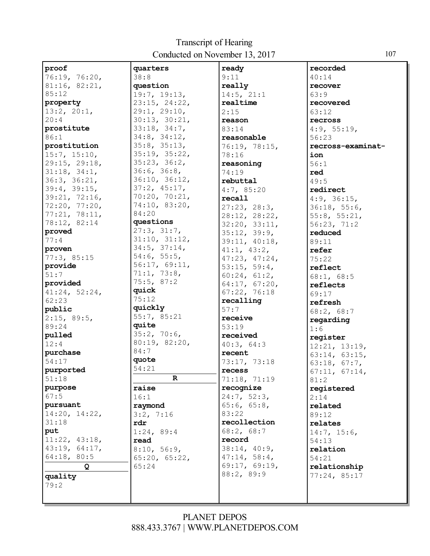| proof         | quarters           | ready         | recorded          |
|---------------|--------------------|---------------|-------------------|
| 76:19, 76:20, | 38:8               | 9:11          | 40:14             |
| 81:16, 82:21, | question           | really        | recover           |
| 85:12         | 19:7, 19:13,       | 14:5, 21:1    | 63:9              |
| property      | 23:15, 24:22,      | realtime      | recovered         |
| 13:2, 20:1,   | 29:1, 29:10,       | 2:15          | 63:12             |
| 20:4          | 30:13, 30:21,      | reason        | recross           |
| prostitute    | 33:18, 34:7,       | 83:14         | 4:9, 55:19,       |
| 86:1          | 34:8, 34:12,       | reasonable    | 56:23             |
| prostitution  | 35:8, 35:13,       | 76:19, 78:15, | recross-examinat- |
| 15:7, 15:10,  | 35:19, 35:22,      | 78:16         | ion               |
| 29:15, 29:18, | 35:23, 36:2,       | reasoning     | 56:1              |
| 31:18, 34:1,  | 36:6, 36:8,        | 74:19         | red               |
| 36:3, 36:21,  | 36:10, 36:12,      | rebuttal      | 49:5              |
| 39:4, 39:15,  | 37:2, 45:17,       | 4:7, 85:20    | redirect          |
| 39:21, 72:16, | 70:20, 70:21,      | recall        | 4:9, 36:15,       |
| 72:20, 77:20, | 74:10, 83:20,      | 27:23, 28:3,  | 36:18, 55:6,      |
| 77:21, 78:11, | 84:20              | 28:12, 28:22, | 55:8, 55:21,      |
| 78:12, 82:14  | questions          | 32:20, 33:11, | 56:23, 71:2       |
| proved        | 27:3, 31:7,        | 35:12, 39:9,  | reduced           |
| 77:4          | 31:10, 31:12,      |               | 89:11             |
| proven        | $34:5$ , $37:14$ , | 39:11, 40:18, |                   |
| 77:3,85:15    | 54:6, 55:5,        | 41:1, 43:2,   | refer             |
| provide       | 56:17, 69:11,      | 47:23, 47:24, | 75:22             |
| 51:7          | 71:1, 73:8,        | 53:15, 59:4,  | reflect           |
|               | 75:5, 87:2         | 60:24, 61:2,  | 68:1, 68:5        |
| provided      | quick              | 64:17, 67:20, | reflects          |
| 41:24, 52:24, | 75:12              | 67:22, 76:18  | 69:17             |
| 62:23         | quickly            | recalling     | refresh           |
| public        | 55:7, 85:21        | 57:7          | 68:2, 68:7        |
| 2:15, 89:5,   | quite              | receive       | regarding         |
| 89:24         |                    | 53:19         | 1:6               |
| pulled        | 35:2, 70:6,        | received      | register          |
| 12:4          | 80:19, 82:20,      | 40:3, 64:3    | 12:21, 13:19,     |
| purchase      | 84:7               | recent        | 63:14, 63:15,     |
| 54:17         | quote              | 73:17, 73:18  | 63:18, 67:7,      |
| purported     | 54:21              | recess        | 67:11, 67:14,     |
| 51:18         | $\mathbf R$        | 71:18, 71:19  | 81:2              |
| purpose       | raise              | recognize     | registered        |
| 67:5          | 16:1               | 24:7, 52:3,   | 2:14              |
| pursuant      | raymond            | 65:6, 65:8,   | related           |
| 14:20, 14:22, | 3:2, 7:16          | 83:22         | 89:12             |
| 31:18         | rdr                | recollection  | relates           |
| put           | 1:24, 89:4         | 68:2, 68:7    | 14:7, 15:6,       |
| 11:22, 43:18, | read               | record        | 54:13             |
| 43:19, 64:17, | 8:10, 56:9,        | 38:14, 40:9,  | relation          |
| 64:18, 80:5   | 65:20, 65:22,      | 47:14, 58:4,  | 54:21             |
| Q             | 65:24              | 69:17, 69:19, | relationship      |
| quality       |                    | 88:2, 89:9    | 77:24,85:17       |
| 79:2          |                    |               |                   |
|               |                    |               |                   |
|               |                    |               |                   |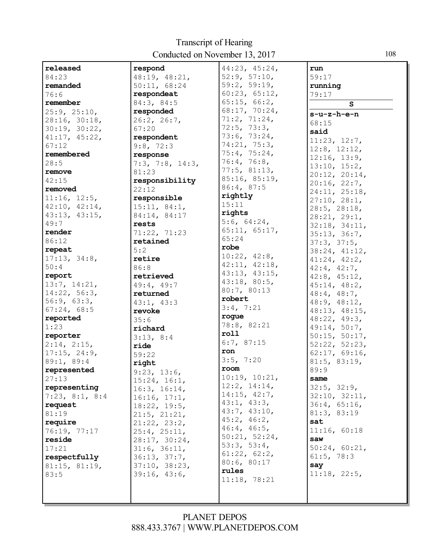| released       | respond         | 44:23, 45:24, | run               |
|----------------|-----------------|---------------|-------------------|
| 84:23          | 48:19, 48:21,   | 52:9, 57:10,  | 59:17             |
| remanded       | 50:11, 68:24    | 59:2, 59:19,  | running           |
| 76:6           | respondeat      | 60:23, 65:12, | 79:17             |
| remember       | 84:3, 84:5      | 65:15, 66:2,  |                   |
| 25:9, 25:10,   | responded       | 68:17, 70:24, | S                 |
|                |                 | 71:2, 71:24,  | s-u-z-h-e-n       |
| 28:16, 30:18,  | 26:2, 26:7,     |               | 68:15             |
| 30:19, 30:22,  | 67:20           | 72:5, 73:3,   | said              |
| 41:17, 45:22,  | respondent      | 73:6, 73:24,  | 11:23, 12:7,      |
| 67:12          | 9:8, 72:3       | 74:21, 75:3,  | 12:8, 12:12,      |
| remembered     | response        | 75:4, 75:24,  | 12:16, 13:9,      |
| 28:5           | 7:3, 7:8, 14:3, | 76:4, 76:8,   |                   |
| remove         | 81:23           | 77:5, 81:13,  | 13:10, 15:2,      |
| 42:15          | responsibility  | 85:16, 85:19, | 20:12, 20:14,     |
| removed        | 22:12           | 86:4, 87:5    | 20:16, 22:7,      |
| 11:16, 12:5,   |                 | rightly       | 24:11, 25:18,     |
|                | responsible     | 15:11         | 27:10, 28:1,      |
| 42:10, 42:14,  | 15:11, 84:1,    | rights        | 28:5, 28:18,      |
| 43:13, 43:15,  | 84:14, 84:17    |               | 28:21, 29:1,      |
| 49:7           | rests           | 5:6, 64:24,   | 32:18, 34:11,     |
| render         | 71:22, 71:23    | 65:11, 65:17, | 35:13, 36:7,      |
| 86:12          | retained        | 65:24         | 37:3, 37:5,       |
| repeat         | 5:2             | robe          | 38:24, 41:12,     |
| 17:13, 34:8,   | retire          | 10:22, 42:8,  | 41:24, 42:2,      |
| 50:4           | 86:8            | 42:11, 42:18, | $42:4$ , $42:7$ , |
| report         | retrieved       | 43:13, 43:15, | 42:8, 45:12,      |
| 13:7, 14:21,   | 49:4, 49:7      | 43:18, 80:5,  | 45:14, 48:2,      |
| 14:22, 56:3,   | returned        | 80:7, 80:13   |                   |
| 56:9, 63:3,    |                 | robert        | $48:4$ , $48:7$ , |
|                | 43:1, 43:3      | 3:4, 7:21     | 48:9, 48:12,      |
| 67:24, 68:5    | revoke          | rogue         | 48:13, 48:15,     |
| reported       | 35:6            | 78:8, 82:21   | 48:22, 49:3,      |
| 1:23           | richard         |               | 49:14, 50:7,      |
| reporter       | 3:13, 8:4       | roll          | 50:15, 50:17,     |
| 2:14, 2:15,    | ride            | 6:7, 87:15    | 52:22, 52:23,     |
| 17:15, 24:9,   | 59:22           | ron           | 62:17, 69:16,     |
| 89:1, 89:4     | right           | 3:5, 7:20     | 81:5, 83:19,      |
| represented    | 9:23, 13:6,     | room          | 89:9              |
| 27:13          | 15:24, 16:1,    | 10:19, 10:21, | same              |
| representing   | 16:3, 16:14,    | 12:2, 14:14,  | 32:5, 32:9,       |
| 7:23, 8:1, 8:4 | 16:16, 17:1,    | 14:15, 42:7,  | 32:10, 32:11,     |
| request        |                 | 43:1, 43:3,   | 36:4, 65:16,      |
| 81:19          | 18:22, 19:5,    | 43:7, 43:10,  | 81:3, 83:19       |
|                | 21:5, 21:21,    | 45:2, 46:2,   |                   |
| require        | 21:22, 23:2,    | 46:4, 46:5,   | sat               |
| 76:19, 77:17   | 25:4, 25:11,    | 50:21, 52:24, | 11:16, 60:18      |
| reside         | 28:17, 30:24,   | 53:3, 53:4,   | saw               |
| 17:21          | 31:6, 36:11,    |               | 50:24, 60:21,     |
| respectfully   | 36:13, 37:7,    | 61:22, 62:2,  | 61:5, 78:3        |
| 81:15, 81:19,  | 37:10, 38:23,   | 80:6, 80:17   | say               |
| 83:5           | 39:16, 43:6,    | rules         | 11:18, 22:5,      |
|                |                 | 11:18, 78:21  |                   |
|                |                 |               |                   |
|                |                 |               |                   |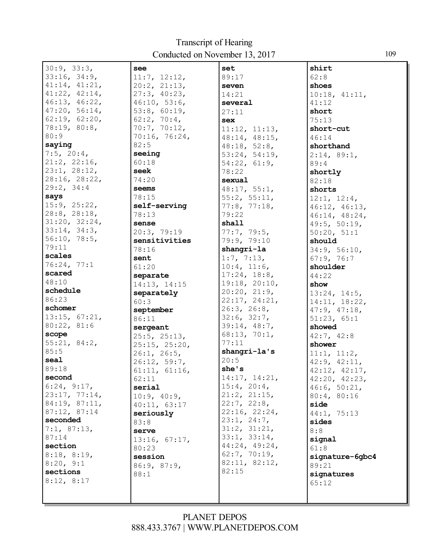| 30:9, 33:3,        | see                | set                | shirt                         |
|--------------------|--------------------|--------------------|-------------------------------|
| 33:16, 34:9,       | 11:7, 12:12,       | 89:17              | 62:8                          |
| 41:14, 41:21,      | $20:2$ , $21:13$ , | seven              | shoes                         |
| 41:22, 42:14,      | 27:3, 40:23,       | 14:21              | 10:18, 41:11,                 |
| 46:13, 46:22,      | 46:10, 53:6,       | several            | 41:12                         |
| 47:20, 56:14,      | 53:8, 60:19,       | 27:11              | short                         |
| 62:19, 62:20,      | 62:2, 70:4,        | <b>sex</b>         | 75:13                         |
| 78:19, 80:8,       | 70:7, 70:12,       | 11:12, 11:13,      | short-cut                     |
| 80:9               | 70:16, 76:24,      | 48:14, 48:15,      | 46:14                         |
| saying             | 82:5               | 48:18, 52:8,       | shorthand                     |
| $7:5$ , $20:4$ ,   | seeing             | 53:24, 54:19,      | 2:14, 89:1,                   |
| 21:2, 22:16,       | 60:18              | 54:22, 61:9,       | 89:4                          |
| 23:1, 28:12,       | seek               | 78:22              | shortly                       |
| 28:16, 28:22,      | 74:20              | sexual             | 82:18                         |
| 29:2, 34:4         | seems              | 48:17, 55:1,       | shorts                        |
| says               | 78:15              | 55:2, 55:11,       | 12:1, 12:4,                   |
| 15:9, 25:22,       | self-serving       | 77:8, 77:18,       |                               |
| $28:8$ , $28:18$ , | 78:13              | 79:22              | 46:12, 46:13,                 |
| 31:20, 32:24,      | sense              | shall              | 46:14, 48:24,<br>49:5, 50:19, |
| 33:14, 34:3,       | 20:3, 79:19        | 77:7, 79:5,        | 50:20, 51:1                   |
| 56:10, 78:5,       | sensitivities      | 79:9, 79:10        | should                        |
| 79:11              | 78:16              | shangri-la         | 34:9, 56:10,                  |
| scales             | sent               | 1:7, 7:13,         | 67:9, 76:7                    |
| 76:24, 77:1        | 61:20              | 10:4, 11:6,        | shoulder                      |
| scared             | separate           | 17:24, 18:8,       | 44:22                         |
| 48:10              |                    | 19:18, 20:10,      |                               |
| schedule           | 14:13, 14:15       | 20:20, 21:9,       | show                          |
| 86:23              | separately         | 22:17, 24:21,      | 13:24, 14:5,                  |
| schomer            | 60:3               | 26:3, 26:8,        | 14:11, 18:22,                 |
| 13:15, 67:21,      | september          | 32:6, 32:7,        | 47:9, 47:18,                  |
| 80:22, 81:6        | 86:11              | 39:14, 48:7,       | 51:23, 65:1                   |
| scope              | sergeant           | 68:13, 70:1,       | showed                        |
| 55:21, 84:2,       | 25:5, 25:13,       | 77:11              | 42:7, 42:8                    |
| 85:5               | 25:15, 25:20,      | shangri-la's       | shower                        |
| seal               | 26:1, 26:5,        | 20:5               | 11:1, 11:2,                   |
| 89:18              | 26:12, 59:7,       | she's              | 42:9, 42:11,                  |
| second             | 61:11, 61:16,      | 14:17, 14:21,      | 42:12, 42:17,                 |
| 6:24, 9:17,        | 62:11              | 15:4, 20:4,        | 42:20, 42:23,                 |
| 23:17, 77:14,      | serial             | $21:2$ , $21:15$ , | 46:6, 50:21,                  |
| 84:19, 87:11,      | 10:9, 40:9,        | 22:7, 22:8,        | 80:4, 80:16                   |
| 87:12, 87:14       | 40:11, 63:17       | 22:16, 22:24,      | side                          |
| seconded           | seriously          | 23:1, 24:7,        | 44:1, 75:13                   |
| 7:1, 87:13,        | 83:8               | 31:2, 31:21,       | sides                         |
| 87:14              | serve              | 33:1, 33:14,       | 8:8                           |
| section            | 13:16, 67:17,      | 44:24, 49:24,      | signal                        |
|                    | 80:23              | 62:7, 70:19,       | 61:8                          |
| 8:18, 8:19,        | session            | 82:11, 82:12,      | signature-6gbc4               |
| 8:20, 9:1          | 86:9, 87:9,        | 82:15              | 89:21                         |
| sections           | 88:1               |                    | signatures                    |
| 8:12, 8:17         |                    |                    | 65:12                         |
|                    |                    |                    |                               |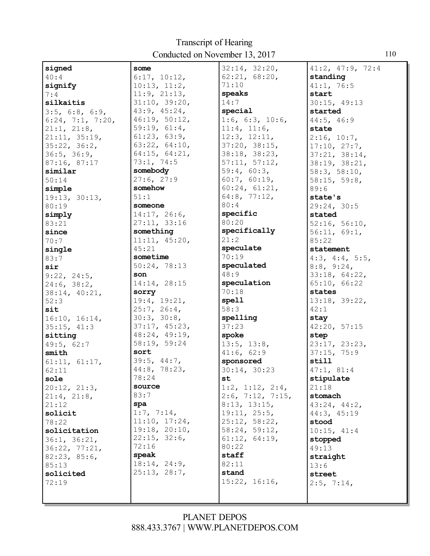| signed           | some          | 32:14, 32:20,        | 41:2, 47:9, 72:4 |
|------------------|---------------|----------------------|------------------|
| 40:4             | 6:17, 10:12,  | 62:21, 68:20,        | standing         |
| signify          | 10:13, 11:2,  | 71:10                | 41:1, 76:5       |
| 7:4              | 11:9, 21:13,  | speaks               | start            |
| silkaitis        | 31:10, 39:20, | 14:7                 | 30:15, 49:13     |
| 3:5, 6:8, 6:9,   | 43:9, 45:24,  | special              | started          |
| 6:24, 7:1, 7:20, | 46:19, 50:12, | 1:6, 6:3, 10:6,      | 44:5, 46:9       |
| 21:1, 21:8,      | 59:19, 61:4,  | 11:4, 11:6,          | state            |
| 21:11, 35:19,    | 61:23, 63:9,  | 12:3, 12:11,         | 2:16, 10:7,      |
| 35:22, 36:2,     | 63:22, 64:10, | 37:20, 38:15,        | 17:10, 27:7,     |
| 36:5, 36:9,      | 64:15, 64:21, | 38:18, 38:23,        | 37:21, 38:14,    |
| 87:16, 87:17     | 73:1, 74:5    | 57:11, 57:12,        | 38:19, 38:21,    |
| similar          | somebody      | 59:4, 60:3,          | 58:3, 58:10,     |
| 50:14            | 27:6, 27:9    | 60:7, 60:19,         |                  |
|                  | somehow       | 60:24, 61:21,        | 58:15, 59:8,     |
| simple           |               |                      | 89:6             |
| 19:13, 30:13,    | 51:1          | 64:8, 77:12,<br>80:4 | state's          |
| 80:19            | someone       |                      | 29:24, 30:5      |
| simply           | 14:17, 26:6,  | specific             | stated           |
| 83:21            | 27:11, 33:16  | 80:20                | 52:16, 56:10,    |
| since            | something     | specifically         | 56:11, 69:1,     |
| 70:7             | 11:11, 45:20, | 21:2                 | 85:22            |
| single           | 45:21         | speculate            | statement        |
| 83:7             | sometime      | 70:19                | 4:3, 4:4, 5:5,   |
| sir              | 50:24, 78:13  | speculated           | 8:8, 9:24,       |
| 9:22, 24:5,      | son           | 48:9                 | 33:18, 64:22,    |
| 24:6, 38:2,      | 14:14, 28:15  | speculation          | 65:10, 66:22     |
| 38:14, 40:21,    | sorry         | 70:18                | states           |
| 52:3             | 19:4, 19:21,  | spell                | 13:18, 39:22,    |
| sit              | 25:7, 26:4,   | 58:3                 | 42:1             |
| 16:10, 16:14,    | 30:3, 30:8,   | spelling             | stay             |
| 35:15, 41:3      | 37:17, 45:23, | 37:23                | 42:20, 57:15     |
| sitting          | 48:24, 49:19, | spoke                | step             |
| 49:5, 62:7       | 58:19, 59:24  | 13:5, 13:8,          | 23:17, 23:23,    |
| smith            | sort          | 41:6, 62:9           | 37:15, 75:9      |
| 61:11, 61:17,    | 39:5, 44:7,   | sponsored            | still            |
| 62:11            | 44:8, 78:23,  | 30:14, 30:23         | 47:1, 81:4       |
| sole             | 78:24         | st                   | stipulate        |
| 20:12, 21:3,     | source        | 1:2, 1:12, 2:4,      | 21:18            |
| 21:4, 21:8,      | 83:7          | $2:6$ , 7:12, 7:15,  | stomach          |
| 21:12            | spa           | 8:13, 13:15,         | 43:24, 44:2,     |
| solicit          | 1:7, 7:14,    | 19:11, 25:5,         | 44:3, 45:19      |
| 78:22            | 11:10, 17:24, | 25:12, 58:22,        | stood            |
| solicitation     | 19:18, 20:10, | 58:24, 59:12,        | 10:15, 41:4      |
|                  | 22:15, 32:6,  | 61:12, 64:19,        |                  |
| 36:1, 36:21,     | 72:16         | 80:22                | stopped          |
| 36:22, 77:21,    | speak         | staff                | 49:13            |
| 82:23, 85:6,     | 18:14, 24:9,  |                      | straight         |
| 85:13            | 25:13, 28:7,  | 82:11                | 13:6             |
| solicited        |               | stand                | street           |
| 72:19            |               | 15:22, 16:16,        | 2:5, 7:14,       |
|                  |               |                      |                  |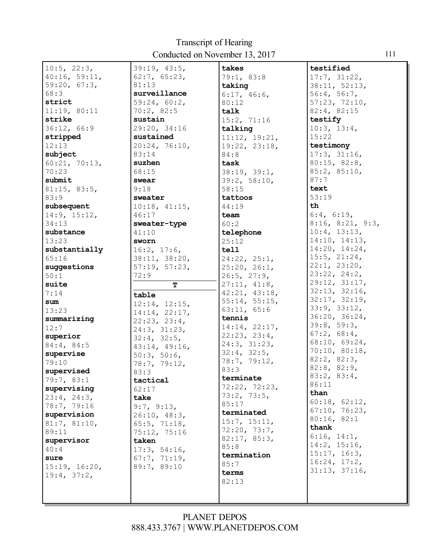| $10:5$ , $22:3$ , | 39:19, 43:5,       | takes         | testified                 |
|-------------------|--------------------|---------------|---------------------------|
|                   |                    |               |                           |
| 40:16, 59:11,     | 62:7, 65:23,       | 79:1, 83:8    | 17:7, 31:22,              |
| 59:20, 67:3,      | 81:13              | taking        | 38:11, 52:13,             |
| 68:3              | surveillance       | 6:17, 46:6,   | 56:4, 56:7,               |
| strict            | 59:24, 60:2,       | 80:12         | 57:23, 72:10,             |
| 11:19, 80:11      | 70:2,82:5          | talk          | 82:4, 82:15               |
| strike            | sustain            | 15:2, 71:16   | testify                   |
| 36:12, 66:9       | 29:20, 34:16       | talking       | 10:3, 13:4,               |
| stripped          | sustained          | 11:12, 19:21, | 15:22                     |
| 12:13             | 20:24, 76:10,      | 19:22, 23:18, | testimony                 |
| subject           | 83:14              | 84:8          | 17:3, 31:16,              |
| 60:21, 70:13,     | suzhen             | task          | 80:15, 82:8,              |
| 70:23             | 68:15              | 38:19, 39:1,  | 85:2, 85:10,              |
| submit            | swear              | 39:2, 58:10,  | 87:7                      |
| 81:15, 83:5,      | 9:18               | 58:15         | text                      |
| 83:9              | sweater            | tattoos       | 53:19                     |
| subsequent        | 10:18, 41:15,      | 44:19         | th                        |
| 14:9, 15:12,      | 46:17              | team          | 6:4, 6:19,                |
| 34:13             | sweater-type       | 60:2          | $8:16$ , $8:21$ , $9:3$ , |
| substance         | 41:10              | telephone     | 10:4, 13:13,              |
| 13:23             | sworn              | 25:12         | 14:10, 14:13,             |
| substantially     | 16:2, 17:6,        | tell          | 14:20, 14:24,             |
| 65:16             | 38:11, 38:20,      | 24:22, 25:1,  | 15:5, 21:24,              |
| suggestions       | 57:19, 57:23,      | 25:20, 26:1,  | 22:1, 23:20,              |
| 50:1              | 72:9               | 26:5, 27:9,   | 23:22, 24:2,              |
| suite             | т                  | 27:11, 41:8,  | 29:12, 31:17,             |
| 7:14              | table              | 42:21, 43:18, | 32:13, 32:16,             |
| sum               | 12:14, 12:15,      | 55:14, 55:15, | 32:17, 32:19,             |
| 13:23             | 14:14, 22:17,      | 63:11, 65:6   | 33:9, 33:12,              |
| summarizing       | 22:23, 23:4,       | tennis        | 36:20, 36:24,             |
| 12:7              | 24:3, 31:23,       | 14:14, 22:17, | 39:8, 59:3,               |
| superior          | 32:4, 32:5,        | 22:23, 23:4,  | 67:2, 68:4,               |
| 84:4, 84:5        | 43:14, 49:16,      | 24:3, 31:23,  | 68:10, 69:24,             |
| supervise         | 50:3, 50:6,        | 32:4, 32:5,   | 70:10, 80:18,             |
| 79:10             | 78:7, 79:12,       | 78:7, 79:12,  | 82:2, 82:3,               |
| supervised        | 83:3               | 83:3          | 82:8, 82:9,               |
| 79:7, 83:1        | tactical           | terminate     | 83:2, 83:4,               |
| supervising       | 62:17              | 72:22, 72:23, | 86:11                     |
| 23:4, 24:3,       | take               | 73:2, 73:5.   | than                      |
| 78:7, 79:16       | 9:7, 9:13,         | 85:17         | 60:18, 62:12,             |
| supervision       | 26:10, 48:3,       | terminated    | 67:10, 76:23,             |
| 81:7, 81:10,      | $65:5$ , $71:18$ , | 15:7, 15:11,  | 80:16, 82:1               |
| 89:11             | 75:12, 75:16       | 72:20, 73:7,  | thank                     |
| supervisor        | taken              | 82:17, 85:3,  | 6:16, 14:1,               |
| 40:4              | 17:3, 54:16,       | 85:8          | 14:2, 15:16,              |
| sure              | 67:7, 71:19,       | termination   | 15:17, 16:3,              |
| 15:19, 16:20,     | 89:7, 89:10        | 85:7          | 16:24, 17:2,              |
| 19:4, 37:2,       |                    | terms         | 31:13, 37:16,             |
|                   |                    | 82:13         |                           |
|                   |                    |               |                           |
|                   |                    |               |                           |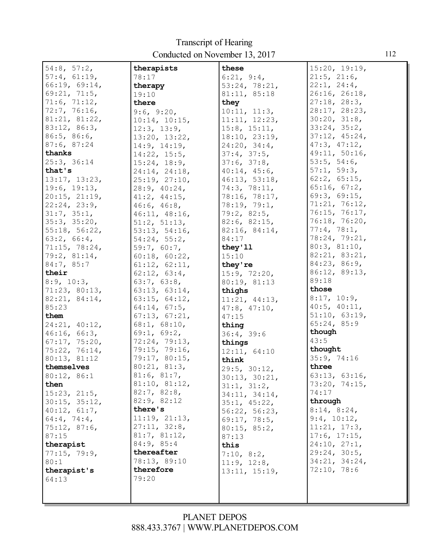| 54:8, 57:2,    | therapists         | these              | 15:20, 19:19,      |
|----------------|--------------------|--------------------|--------------------|
| 57:4, 61:19,   | 78:17              | 6:21, 9:4,         | $21:5$ , $21:6$ ,  |
| 66:19, 69:14,  |                    | 53:24, 78:21,      | 22:1, 24:4,        |
|                | therapy            |                    |                    |
| 69:21, 71:5,   | 19:10              | 81:11, 85:18       | 26:16, 26:18,      |
| 71:6, 71:12,   | there              | they               | 27:18, 28:3,       |
| 72:7, 76:16,   | 9:6, 9:20,         | 10:11, 11:3,       | 28:17, 28:23,      |
| 81:21, 81:22,  | 10:14, 10:15,      | 11:11, 12:23,      | 30:20, 31:8,       |
| 83:12, 86:3,   | 12:3, 13:9,        | 15:8, 15:11,       | 33:24, 35:2,       |
| 86:5, 86:6,    | 13:20, 13:22,      | 18:10, 23:19,      | 37:12, 45:24,      |
| 87:6, 87:24    | 14:9, 14:19,       | 24:20, 34:4,       | 47:3, 47:12,       |
| thanks         | $14:22$ , $15:5$ , | 37:4, 37:5,        | 49:11, 50:16,      |
| 25:3, 36:14    |                    |                    | 53:5, 54:6,        |
|                | 15:24, 18:9,       | 37:6, 37:8,        |                    |
| that's         | 24:14, 24:18,      | 40:14, 45:6,       | 57:1, 59:3,        |
| 13:17, 13:23,  | 25:19, 27:10,      | 46:13, 53:18,      | $62:2$ , $65:15$ , |
| 19:6, 19:13,   | 28:9, 40:24,       | 74:3, 78:11,       | 65:16, 67:2,       |
| 20:15, 21:19,  | $41:2$ , $44:15$ , | 78:16, 78:17,      | 69:3, 69:15,       |
| 22:24, 23:9,   | 46:6, 46:8,        | 78:19, 79:1,       | 71:21, 76:12,      |
| 31:7, 35:1,    | 46:11, 48:16,      | 79:2, 82:5,        | 76:15, 76:17,      |
| 35:3, 35:20,   | 51:2, 51:13,       | 82:6, 82:15,       | 76:18, 76:20,      |
| 55:18, 56:22,  | 53:13, 54:16,      | 82:16, 84:14,      | 77:4, 78:1,        |
| 63:2, 66:4,    | 54:24, 55:2,       | 84:17              | 78:24, 79:21,      |
| 71:15, 78:24,  | 59:7, 60:7,        | they'11            | 80:3, 81:10,       |
|                |                    |                    | 82:21, 83:21,      |
| 79:2, 81:14,   | 60:18, 60:22,      | 15:10              |                    |
| 84:7, 85:7     | 61:12, 62:11,      | they're            | 84:23, 86:9,       |
| their          | 62:12, 63:4,       | 15:9, 72:20,       | 86:12, 89:13,      |
| 8:9, 10:3,     | 63:7, 63:8,        | 80:19, 81:13       | 89:18              |
| 71:23, 80:13,  | 63:13, 63:14,      | thighs             | those              |
| 82:21, 84:14,  | 63:15, 64:12,      | 11:21, 44:13,      | 8:17, 10:9,        |
| 85:23          | 64:14, 67:5,       | $47:8$ , $47:10$ , | $40:5$ , $40:11$ , |
| them           | 67:13, 67:21,      | 47:15              | 51:10, 63:19,      |
| 24:21, 40:12,  | 68:1, 68:10,       | thing              | 65:24, 85:9        |
| 46:16, 66:3,   | 69:1, 69:2,        | 36:4, 39:6         | though             |
| 67:17, 75:20,  | 72:24, 79:13,      | things             | 43:5               |
| 75:22, 76:14,  | 79:15, 79:16,      | 12:11, 64:10       | thought            |
| 80:13, 81:12   | 79:17, 80:15,      | think              | 35:9, 74:16        |
| themselves     | 80:21, 81:3,       |                    | three              |
|                | 81:6, 81:7,        | 29:5, 30:12,       | 63:13, 63:16,      |
| 80:12, 86:1    |                    | 30:13, 30:21,      |                    |
| then           | 81:10, 81:12,      | 31:1, 31:2,        | 73:20, 74:15,      |
| 15:23, 21:5,   | 82:7, 82:8,        | 34:11, 34:14,      | 74:17              |
| 30:15, 35:12,  | 82:9, 82:12        | 35:1, 45:22,       | through            |
| 40:12, 61:7,   | there's            | 56:22, 56:23,      | 8:14, 8:24,        |
| $64:4$ , 74:4, | 11:19, 21:13,      | 69:17, 78:5,       | 9:4, 10:12,        |
| 75:12, 87:6,   | 27:11, 32:8,       | 80:15, 85:2,       | 11:21, 17:3,       |
| 87:15          | 81:7, 81:12,       | 87:13              | 17:6, 17:15,       |
| therapist      | 84:9, 85:4         | this               | 24:10, 27:1,       |
| 77:15, 79:9,   | thereafter         | 7:10, 8:2,         | 29:24, 30:5,       |
| 80:1           | 78:13, 89:10       | 11:9, 12:8,        | 34:21, 34:24,      |
| therapist's    | therefore          |                    | 72:10, 78:6        |
| 64:13          | 79:20              | 13:11, 15:19,      |                    |
|                |                    |                    |                    |
|                |                    |                    |                    |
|                |                    |                    |                    |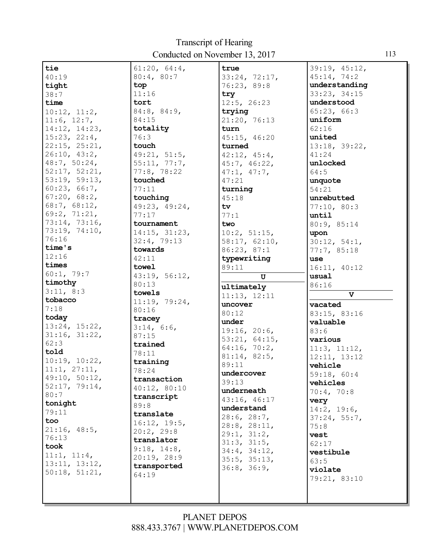| tie                 | 61:20, 64:4,  | true                 | 39:19, 45:12,           |
|---------------------|---------------|----------------------|-------------------------|
| 40:19               | 80:4, 80:7    | 33:24, 72:17,        | 45:14, 74:2             |
| tight               | top           | 76:23, 89:8          | understanding           |
| 38:7                | 11:16         | try                  | 33:23, 34:15            |
| time                | tort          | 12:5, 26:23          | understood              |
| 10:12, 11:2,        | 84:8, 84:9,   | trying               | 65:23, 66:3             |
| 11:6, 12:7,         | 84:15         | 21:20, 76:13         | uniform                 |
| 14:12, 14:23,       | totality      | turn                 | 62:16                   |
| 15:23, 22:4,        | 76:3          | 45:15, 46:20         | united                  |
| $22:15$ , $25:21$ , | touch         | turned               | 13:18, 39:22,           |
| 26:10, 43:2,        | 49:21, 51:5,  | 42:12, 45:4,         | 41:24                   |
| 48:7, 50:24,        | 55:11, 77:7,  | 45:7, 46:22,         | unlocked                |
| 52:17, 52:21,       | 77:8, 78:22   |                      | 64:5                    |
| 53:19, 59:13,       | touched       | 47:1, 47:7,<br>47:21 |                         |
| 60:23, 66:7,        |               |                      | unquote                 |
| 67:20, 68:2,        | 77:11         | turning              | 54:21                   |
|                     | touching      | 45:18                | unrebutted              |
| 68:7, 68:12,        | 49:23, 49:24, | tv                   | 77:10, 80:3             |
| 69:2, 71:21,        | 77:17         | 77:1                 | until                   |
| 73:14, 73:16,       | tournament    | two                  | 80:9, 85:14             |
| 73:19, 74:10,       | 14:15, 31:23, | 10:2, 51:15,         | upon                    |
| 76:16               | 32:4, 79:13   | 58:17, 62:10,        | 30:12, 54:1,            |
| time's              | towards       | 86:23, 87:1          | 77:7,85:18              |
| 12:16               | 42:11         | typewriting          | <b>use</b>              |
| times               | towel         | 89:11                | 16:11, 40:12            |
| 60:1, 79:7          | 43:19, 56:12, | U                    | usual                   |
| timothy             | 80:13         | ultimately           | 86:16                   |
| 3:11, 8:3           | towels        | 11:13, 12:11         | $\overline{\mathbf{v}}$ |
| tobacco             | 11:19, 79:24, |                      |                         |
|                     |               |                      |                         |
| 7:18                | 80:16         | uncover              | vacated                 |
| today               | tracey        | 80:12                | 83:15, 83:16            |
| 13:24, 15:22,       | 3:14, 6:6,    | under                | valuable                |
| 31:16, 31:22,       | 87:15         | 19:16, 20:6,         | 83:6                    |
| 62:3                | trained       | 53:21, 64:15,        | various                 |
| told                | 78:11         | 64:16, 70:2,         | 11:3, 11:12,            |
| 10:19, 10:22,       | training      | 81:14, 82:5,         | 12:11, 13:12            |
| 11:1, 27:11,        |               | 89:11                | vehicle                 |
| 49:10, 50:12,       | 78:24         | undercover           | 59:18, 60:4             |
| 52:17, 79:14,       | transaction   | 39:13                | vehicles                |
| 80:7                | 40:12, 80:10  | underneath           | 70:4, 70:8              |
| tonight             | transcript    | 43:16, 46:17         | very                    |
| 79:11               | 89:8          | understand           | 14:2, 19:6,             |
| too                 | translate     | 28:6, 28:7,          | 37:24, 55:7,            |
|                     | 16:12, 19:5,  | 28:8, 28:11,         | 75:8                    |
| 21:16, 48:5,        | 20:2, 29:8    | 29:1, 31:2,          | vest                    |
| 76:13               | translator    | 31:3, 31:5,          | 62:17                   |
| took                | 9:18, 14:8,   | 34:4, 34:12,         | vestibule               |
| 11:1, 11:4,         | 20:19, 28:9   | 35:5, 35:13,         | 63:5                    |
| 13:11, 13:12,       | transported   | 36:8, 36:9,          | violate                 |
| 50:18, 51:21,       | 64:19         |                      | 79:21, 83:10            |
|                     |               |                      |                         |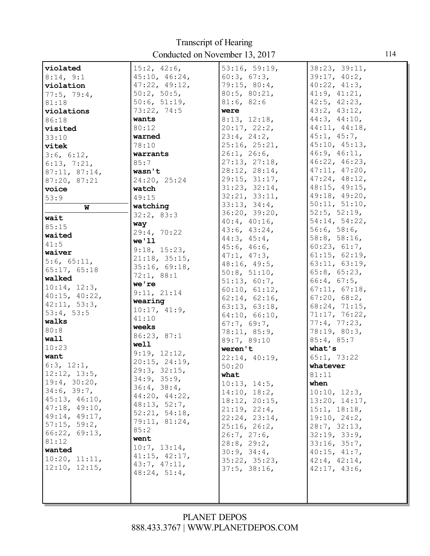| violated      | 15:2, 42:6,   | 53:16, 59:19,      | 38:23, 39:11,       |
|---------------|---------------|--------------------|---------------------|
| 8:14, 9:1     | 45:10, 46:24, | 60:3, 67:3,        | 39:17, 40:2,        |
| violation     | 47:22, 49:12, | 79:15, 80:4,       | $40:22$ , $41:3$ ,  |
|               | 50:2, 50:5,   | 80:5, 80:21,       | 41:9, 41:21,        |
| 77:5, 79:4,   | 50:6, 51:19,  | 81:6, 82:6         | $42:5$ , $42:23$ ,  |
| 81:18         | 73:22, 74:5   | were               | 43:2, 43:12,        |
| violations    |               |                    | 44:3, 44:10,        |
| 86:18         | wants         | 8:13, 12:18,       |                     |
| visited       | 80:12         | 20:17, 22:2,       | 44:11, 44:18,       |
| 33:10         | warned        | 23:4, 24:2,        | 45:1, 45:7,         |
| vitek         | 78:10         | 25:16, 25:21,      | 45:10, 45:13,       |
| 3:6, 6:12,    | warrants      | 26:1, 26:6,        | 46:9, 46:11,        |
| 6:13, 7:21,   | 85:7          | 27:13, 27:18,      | 46:22, 46:23,       |
| 87:11, 87:14, | wasn't        | 28:12, 28:14,      | 47:11, 47:20,       |
| 87:20, 87:21  | 24:20, 25:24  | 29:15, 31:17,      | 47:24, 48:12,       |
| voice         | watch         | 31:23, 32:14,      | $48:15$ , $49:15$ , |
| 53:9          | 49:15         | 32:21, 33:11,      | 49:18, 49:20,       |
| W             | watching      | 33:13, 34:4,       | 50:11, 51:10,       |
| wait          | 32:2, 83:3    | 36:20, 39:20,      | $52:5$ , $52:19$ ,  |
| 85:15         | way           | $40:4$ , $40:16$ , | 54:14, 54:22,       |
| waited        | 29:4, 70:22   | 43:6, 43:24,       | 56:6, 58:6,         |
| 41:5          | we'11         | 44:3, 45:4,        | 58:8, 58:16,        |
|               | 9:18, 15:23,  | 45:6, 46:6,        | 60:23, 61:7,        |
| waiver        | 21:18, 35:15, | 47:1, 47:3,        | 61:15, 62:19,       |
| 5:6, 65:11,   | 35:16, 69:18, | 48:16, 49:5,       | 63:11, 63:19,       |
| 65:17, 65:18  | 72:1, 88:1    | 50:8, 51:10,       | 65:8, 65:23,        |
| walked        | we're         | 51:13, 60:7,       | 66:4, 67:5,         |
| 10:14, 12:3,  | 9:11, 21:14   | 60:10, 61:12,      | 67:11, 67:18,       |
| 40:15, 40:22, | wearing       | 62:14, 62:16,      | $67:20$ , $68:2$ ,  |
| 42:11, 53:3,  | 10:17, 41:9,  | 63:13, 63:18,      | 68:24, 71:15,       |
| 53:4, 53:5    | 41:10         | 64:10, 66:10,      | 71:17, 76:22,       |
| walks         | weeks         | 67:7, 69:7,        | 77:4, 77:23,        |
| 80:8          | 86:23, 87:1   | 78:11, 85:9,       | 78:19, 80:3,        |
| wall          |               | 89:7, 89:10        | 85:4, 85:7          |
| 10:23         | well          | weren't            | what's              |
| want          | 9:19, 12:12,  | 22:14, 40:19,      | 65:1, 73:22         |
| 6:3, 12:1,    | 20:15, 24:19, | 50:20              | whatever            |
| 12:12, 13:5   | 29:3, 32:15,  | what               | 81:11               |
| 19:4, 30:20,  | 34:9, 35:9,   | 10:13, 14:5,       | when                |
| 34:6, 39:7,   | 36:4, 38:4,   | 14:10, 18:2,       | 10:10, 12:3,        |
| 45:13, 46:10, | 44:20, 44:22, | 18:12, 20:15,      | 13:20, 14:17,       |
| 47:18, 49:10, | 48:13, 52:7,  | 21:19, 22:4,       | 15:1, 18:18,        |
| 49:14, 49:17, | 52:21, 54:18, | 22:24, 23:14,      | 19:10, 24:2,        |
| 57:15, 59:2,  | 79:11, 81:24, | 25:16, 26:2,       | 28:7, 32:13,        |
| 66:22, 69:13, | 85:2          | 26:7, 27:6,        | 32:19, 33:9,        |
| 81:12         | went          | $28:8$ , $29:2$ ,  | 33:16, 35:7,        |
| wanted        | 10:7, 13:14,  | 30:9, 34:4,        | 40:15, 41:7,        |
| 10:20, 11:11, | 41:15, 42:17, | 35:22, 35:23,      | 42:4, 42:14,        |
| 12:10, 12:15, | 43:7, 47:11,  | 37:5, 38:16,       | 42:17, 43:6,        |
|               | 48:24, 51:4,  |                    |                     |
|               |               |                    |                     |
|               |               |                    |                     |
|               |               |                    |                     |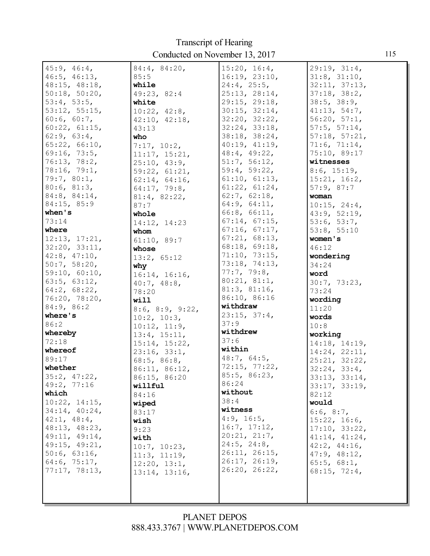Transcript of Hearing Conducted on November 13, 2017

| 45:9, 46:4,        | 84:4, 84:20,                  | 15:20, 16:4,      | 29:19, 31:4,       |
|--------------------|-------------------------------|-------------------|--------------------|
| 46:5, 46:13,       | 85:5                          | 16:19, 23:10,     | 31:8, 31:10,       |
| 48:15, 48:18,      | while                         | 24:4, 25:5,       | 32:11, 37:13,      |
| 50:18, 50:20,      | 49:23, 82:4                   | 25:13, 28:14,     | 37:18, 38:2,       |
| 53:4, 53:5,        | white                         | 29:15, 29:18,     | 38:5, 38:9,        |
| 53:12, 55:15,      | 10:22, 42:8,                  | 30:15, 32:14,     | 41:13, 54:7,       |
| 60:6, 60:7,        | 42:10, 42:18,                 | 32:20, 32:22,     | 56:20, 57:1,       |
| 60:22, 61:15,      | 43:13                         | 32:24, 33:18,     | 57:5, 57:14,       |
| 62:9, 63:4,        | who                           | 38:18, 38:24,     | 57:18, 57:21,      |
| 65:22, 66:10,      | 7:17, 10:2,                   | 40:19, 41:19,     | 71:6, 71:14,       |
| 69:16, 73:5,       | 11:17, 15:21,                 | 48:4, 49:22,      | 75:10, 89:17       |
| 76:13, 78:2,       | 25:10, 43:9,                  | 51:7, 56:12,      | witnesses          |
| 78:16, 79:1,       | 59:22, 61:21,                 | 59:4, 59:22,      | 8:6, 15:19,        |
| 79:7, 80:1,        | 62:14, 64:16,                 | 61:10, 61:13,     | 15:21, 16:2,       |
| 80:6, 81:3,        | 64:17, 79:8,                  | 61:22, 61:24,     | 57:9,87:7          |
| 84:8, 84:14,       | 81:4, 82:22,                  | 62:7, 62:18,      | woman              |
| 84:15, 85:9        | 87:7                          | 64:9, 64:11,      | 10:15, 24:4,       |
| when's             | whole                         | 66:8, 66:11,      | 43:9, 52:19,       |
| 73:14              | 14:12, 14:23                  | 67:14, 67:15,     | 53:6, 53:7,        |
| where              | whom                          | 67:16, 67:17,     | 53:8, 55:10        |
| 12:13, 17:21,      | 61:10, 89:7                   | 67:21, 68:13,     | women's            |
| 32:20, 33:11,      | whose                         | 68:18, 69:18,     | 46:12              |
| 42:8, 47:10,       | 13:2, 65:12                   | 71:10, 73:15,     | wondering          |
| 50:7, 58:20,       | why                           | 73:18, 74:13,     | 34:24              |
| 59:10, 60:10,      | 16:14, 16:16,                 | 77:7, 79:8,       | word               |
| 63:5, 63:12,       | 40:7, 48:8,                   | 80:21, 81:1,      | 30:7, 73:23,       |
| $64:2$ , $68:22$ , | 78:20                         | 81:3, 81:16,      | 73:24              |
| 76:20, 78:20,      | will                          | 86:10, 86:16      | wording            |
| 84:9, 86:2         |                               | withdraw          | 11:20              |
| where's            | 8:6, 8:9, 9:22,               | 23:15, 37:4,      | words              |
| 86:2               | 10:2, 10:3,                   | 37:9              | 10:8               |
| whereby            | 10:12, 11:9,                  | withdrew          | working            |
| 72:18              | 13:4, 15:11,<br>15:14, 15:22, | 37:6              | 14:18, 14:19,      |
| whereof            | 23:16, 33:1,                  | within            | 14:24, 22:11,      |
| 89:17              | 68:5, 86:8,                   | 48:7, 64:5,       | 25:21, 32:22,      |
| whether            | 86:11, 86:12,                 | 72:15, 77:22,     | 32:24, 33:4,       |
| 35:2, 47:22,       | 86:15, 86:20                  | 85:5, 86:23,      | 33:13, 33:14,      |
| 49:2, 77:16        | willful                       | 86:24             | 33:17, 33:19,      |
| which              | 84:16                         | without           | 82:12              |
| 10:22, 14:15,      | wiped                         | 38:4              | would              |
| 34:14, 40:24,      | 83:17                         | witness           | 6:6, 8:7,          |
| 42:1, 48:4,        | wish                          | 4:9, 16:5,        | 15:22, 16:6,       |
| 48:13, 48:23,      | 9:23                          | 16:7, 17:12,      | 17:10, 33:22,      |
| 49:11, 49:14,      | with                          | 20:21, 21:7,      | 41:14, 41:24,      |
| 49:15, 49:21,      | 10:7, 10:23,                  | $24:5$ , $24:8$ , | $42:2$ , $44:16$ , |
| 50:6, 63:16,       | 11:3, 11:19,                  | 26:11, 26:15,     | 47:9, 48:12,       |
| 64:6, 75:17,       | 12:20, 13:1,                  | 26:17, 26:19,     | 65:5, 68:1,        |
| 77:17, 78:13,      | 13:14, 13:16,                 | 26:20, 26:22,     | 68:15, 72:4,       |
|                    |                               |                   |                    |
|                    |                               |                   |                    |
|                    |                               |                   |                    |
|                    |                               |                   |                    |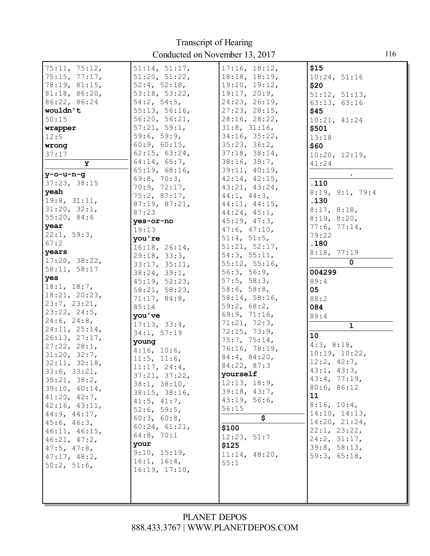| 75:11, 75:12,     | 51:14, 51:17,     | 17:16, 18:12,       | \$15            |
|-------------------|-------------------|---------------------|-----------------|
| 75:15, 77:17,     | 51:20, 51:22,     | $18:18$ , $18:19$ , | 10:24, 51:16    |
| 78:19, 81:15,     | 52:4, 52:18,      | 19:10, 19:12,       | \$20            |
| 81:18, 86:20,     | 53:18, 53:22,     | 19:17, 20:9,        |                 |
| 86:22, 86:24      |                   |                     | 51:12, 51:13,   |
|                   | 54:2, 54:5,       | 24:23, 26:19,       | 63:13, 63:16    |
| wouldn't          | 55:13, 56:16,     | 27:23, 28:15,       | \$45            |
| 50:15             | 56:20, 56:21,     | 28:16, 28:22,       | 10:21, 41:24    |
| wrapper           | 57:21, 59:1,      | 31:8, 31:16,        | \$501           |
| 12:5              | 59:6, 59:9,       | 34:16, 35:22,       | 13:18           |
| wrong             | 60:9, 60:15,      | 35:23, 36:2,        | \$60            |
| 37:17             | 62:15, 63:24,     | 37:18, 38:14,       | 10:20, 12:19,   |
| Y                 | 64:14, 65:7,      | 38:16, 39:7,        | 41:24           |
| y-o-u-n-g         | 65:19, 68:16,     | 39:11, 40:19,       |                 |
|                   | 69:8, 70:3,       | 42:14, 42:15,       |                 |
| 37:23, 38:15      | 70:9, 72:17,      | 43:21, 43:24,       | .110            |
| yeah              | 75:2, 87:17,      | 44:1, 44:3,         | 8:19, 9:1, 79:4 |
| 19:8, 31:11,      | 87:19, 87:21,     | 44:11, 44:15,       | .130            |
| 31:20, 32:1,      | 87:23             | 44:24, 45:1,        | 8:17, 8:18,     |
| 55:20, 84:6       | yes-or-no         | 45:19, 47:3,        | 8:19, 8:20,     |
| year              | 19:13             | 47:6, 47:10,        | 77:6, 77:14,    |
| 22:1, 59:3,       | you're            | 51:4, 51:5,         | 79:22           |
| 67:2              | 16:18, 26:14,     | 51:21, 52:17,       | .180            |
| years             |                   | 54:3, 55:11,        | 8:18, 77:19     |
| 17:20, 38:22,     | 29:18, 33:3,      | 55:12, 55:16,       | 0               |
| 58:11, 58:17      | 33:17, 35:11,     | 56:3, 56:9,         |                 |
| yes               | 38:24, 39:1,      |                     | 004299          |
| 18:1, 18:7,       | 45:19, 52:23,     | 57:5, 58:3,         | 89:4            |
| 18:21, 20:23,     | 58:21, 58:23,     | 58:6, 58:8,         | 05              |
| 23:7, 23:21,      | 71:17, 84:8,      | 58:14, 58:16,       | 88:2            |
| 23:22, 24:5,      | 85:14             | 59:2, 68:2,         | 084             |
| $24:6$ , $24:8$ , | you've            | 69:9, 71:16,        | 89:4            |
| 24:11, 25:14,     | 17:13, 33:4,      | 71:21, 72:3,        | $\mathbf 1$     |
|                   | 34:1, 57:19       | 72:15, 73:9,        | 10              |
| 26:13, 27:17,     | young             | 75:7, 75:14,        | 4:3, 8:18,      |
| 27:22, 28:1,      | 4:16, 10:6,       | 76:16, 78:19,       | 10:19, 10:22,   |
| 31:20, 32:7,      | $11:5$ , $11:6$ , | 84:4, 84:20,        | 12:2, 42:7,     |
| 32:11, 32:18,     | 11:17, 24:4,      | 84:22, 87:3         |                 |
| 33:6, 33:21,      | 37:21, 37:22,     | yourself            | 43:1, 43:3,     |
| 35:21, 38:2,      | 38:1, 38:10,      | 12:13, 18:9,        | 43:4, 77:19,    |
| 39:10, 40:14,     | 38:15, 38:16,     | 39:18, 43:7,        | 80:6, 86:12     |
| 41:20, 42:7,      | $41:5$ , $41:7$ , | 43:19, 56:6,        | 11              |
| 42:16, 43:11,     | 52:6, 59:5,       | 56:15               | 8:16, 10:4,     |
| 44:9, 44:17,      | 60:3, 60:8,       | \$                  | 14:10, 14:13,   |
| 45:6, 46:3,       | 60:24, 61:21,     |                     | 14:20, 21:24,   |
| 46:11, 46:15,     | 64:8, 70:1        | \$100               | 22:1, 23:22,    |
| 46:21, 47:2,      |                   | 12:23, 51:7         | 24:2, 31:17,    |
| $47:5$ , $47:8$ , | your              | \$125               | 39:8, 58:13,    |
| 47:17, 48:2,      | 9:10, 15:19,      | 11:14, 48:20,       | 59:3, 65:18,    |
| 50:2, 51:6,       | 16:1, 16:4,       | 55:1                |                 |
|                   | 16:19, 17:10,     |                     |                 |
|                   |                   |                     |                 |
|                   |                   |                     |                 |
|                   |                   |                     |                 |
|                   |                   |                     |                 |

116